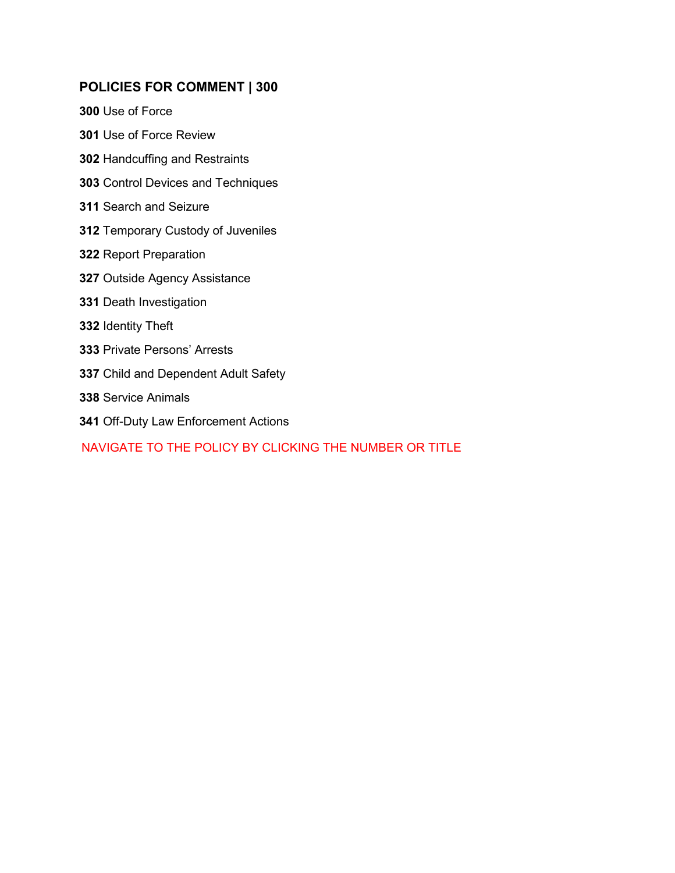# **POLICIES FOR COMMENT | 300**

[Use of Force](#page-1-0)

- [Use of Force Review](#page-10-0)
- [Handcuffing and Restraints](#page-14-0)
- [Control Devices and Techniques](#page-19-0)
- [Search and Seizure](#page-24-0)
- [Temporary Custody of Juveniles](#page-27-0)
- [Report Preparation](#page-37-0)
- [Outside Agency Assistance](#page-41-0)
- [Death Investigation](#page-44-0)
- [Identity Theft](#page-46-0)
- [Private Persons' Arrests](#page-48-0)
- [Child and Dependent Adult Safety](#page-50-0)
- [Service Animals](#page-54-0)
- [Off-Duty Law Enforcement Actions](#page-57-0)

# NAVIGATE TO THE POLICY BY CLICKING THE NUMBER OR TITLE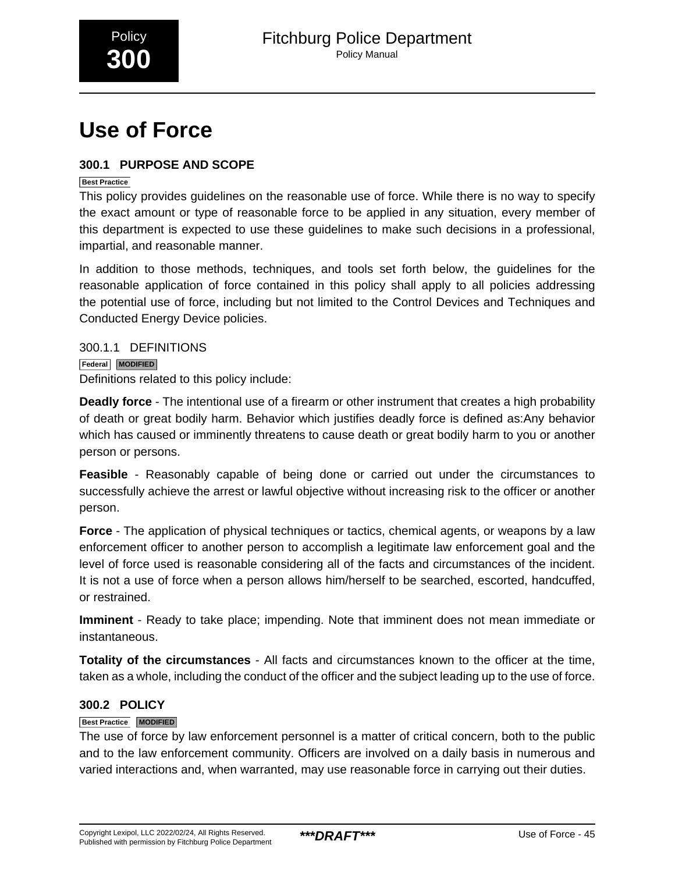<span id="page-1-0"></span>

# **Use of Force**

# **300.1 PURPOSE AND SCOPE**

### **Best Practice**

This policy provides guidelines on the reasonable use of force. While there is no way to specify the exact amount or type of reasonable force to be applied in any situation, every member of this department is expected to use these guidelines to make such decisions in a professional, impartial, and reasonable manner.

In addition to those methods, techniques, and tools set forth below, the guidelines for the reasonable application of force contained in this policy shall apply to all policies addressing the potential use of force, including but not limited to the Control Devices and Techniques and Conducted Energy Device policies.

300.1.1 DEFINITIONS **Federal MODIFIED** Definitions related to this policy include:

**Deadly force** - The intentional use of a firearm or other instrument that creates a high probability of death or great bodily harm. Behavior which justifies deadly force is defined as:Any behavior which has caused or imminently threatens to cause death or great bodily harm to you or another person or persons.

**Feasible** - Reasonably capable of being done or carried out under the circumstances to successfully achieve the arrest or lawful objective without increasing risk to the officer or another person.

**Force** - The application of physical techniques or tactics, chemical agents, or weapons by a law enforcement officer to another person to accomplish a legitimate law enforcement goal and the level of force used is reasonable considering all of the facts and circumstances of the incident. It is not a use of force when a person allows him/herself to be searched, escorted, handcuffed, or restrained.

**Imminent** - Ready to take place; impending. Note that imminent does not mean immediate or instantaneous.

**Totality of the circumstances** - All facts and circumstances known to the officer at the time, taken as a whole, including the conduct of the officer and the subject leading up to the use of force.

# **300.2 POLICY**

### **Best Practice MODIFIED**

The use of force by law enforcement personnel is a matter of critical concern, both to the public and to the law enforcement community. Officers are involved on a daily basis in numerous and varied interactions and, when warranted, may use reasonable force in carrying out their duties.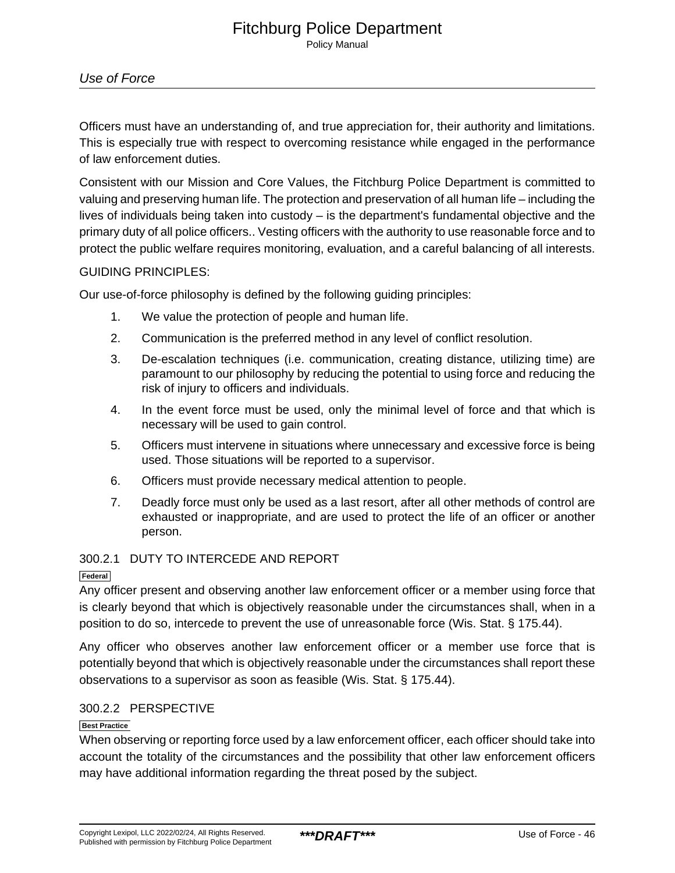# Use of Force

Officers must have an understanding of, and true appreciation for, their authority and limitations. This is especially true with respect to overcoming resistance while engaged in the performance of law enforcement duties.

Consistent with our Mission and Core Values, the Fitchburg Police Department is committed to valuing and preserving human life. The protection and preservation of all human life – including the lives of individuals being taken into custody – is the department's fundamental objective and the primary duty of all police officers.. Vesting officers with the authority to use reasonable force and to protect the public welfare requires monitoring, evaluation, and a careful balancing of all interests.

### GUIDING PRINCIPLES:

Our use-of-force philosophy is defined by the following guiding principles:

- 1. We value the protection of people and human life.
- 2. Communication is the preferred method in any level of conflict resolution.
- 3. De-escalation techniques (i.e. communication, creating distance, utilizing time) are paramount to our philosophy by reducing the potential to using force and reducing the risk of injury to officers and individuals.
- 4. In the event force must be used, only the minimal level of force and that which is necessary will be used to gain control.
- 5. Officers must intervene in situations where unnecessary and excessive force is being used. Those situations will be reported to a supervisor.
- 6. Officers must provide necessary medical attention to people.
- 7. Deadly force must only be used as a last resort, after all other methods of control are exhausted or inappropriate, and are used to protect the life of an officer or another person.

### 300.2.1 DUTY TO INTERCEDE AND REPORT

#### **Federal**

Any officer present and observing another law enforcement officer or a member using force that is clearly beyond that which is objectively reasonable under the circumstances shall, when in a position to do so, intercede to prevent the use of unreasonable force (Wis. Stat. § 175.44).

Any officer who observes another law enforcement officer or a member use force that is potentially beyond that which is objectively reasonable under the circumstances shall report these observations to a supervisor as soon as feasible (Wis. Stat. § 175.44).

### 300.2.2 PERSPECTIVE

### **Best Practice**

When observing or reporting force used by a law enforcement officer, each officer should take into account the totality of the circumstances and the possibility that other law enforcement officers may have additional information regarding the threat posed by the subject.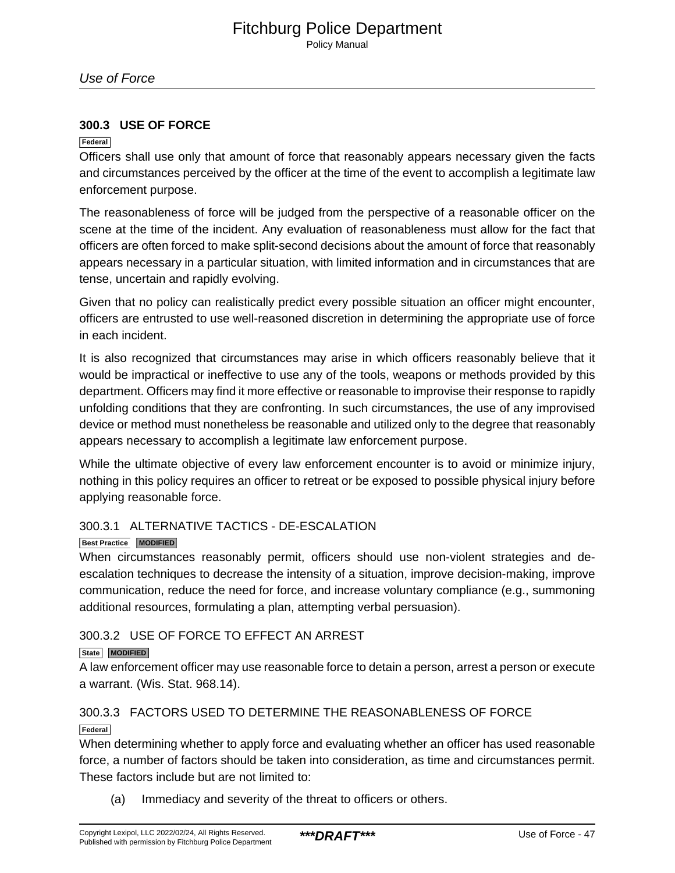### **300.3 USE OF FORCE**

### **Federal**

Officers shall use only that amount of force that reasonably appears necessary given the facts and circumstances perceived by the officer at the time of the event to accomplish a legitimate law enforcement purpose.

The reasonableness of force will be judged from the perspective of a reasonable officer on the scene at the time of the incident. Any evaluation of reasonableness must allow for the fact that officers are often forced to make split-second decisions about the amount of force that reasonably appears necessary in a particular situation, with limited information and in circumstances that are tense, uncertain and rapidly evolving.

Given that no policy can realistically predict every possible situation an officer might encounter, officers are entrusted to use well-reasoned discretion in determining the appropriate use of force in each incident.

It is also recognized that circumstances may arise in which officers reasonably believe that it would be impractical or ineffective to use any of the tools, weapons or methods provided by this department. Officers may find it more effective or reasonable to improvise their response to rapidly unfolding conditions that they are confronting. In such circumstances, the use of any improvised device or method must nonetheless be reasonable and utilized only to the degree that reasonably appears necessary to accomplish a legitimate law enforcement purpose.

While the ultimate objective of every law enforcement encounter is to avoid or minimize injury, nothing in this policy requires an officer to retreat or be exposed to possible physical injury before applying reasonable force.

### 300.3.1 ALTERNATIVE TACTICS - DE-ESCALATION

### **Best Practice MODIFIED**

When circumstances reasonably permit, officers should use non-violent strategies and deescalation techniques to decrease the intensity of a situation, improve decision-making, improve communication, reduce the need for force, and increase voluntary compliance (e.g., summoning additional resources, formulating a plan, attempting verbal persuasion).

# 300.3.2 USE OF FORCE TO EFFECT AN ARREST

### **State MODIFIED**

A law enforcement officer may use reasonable force to detain a person, arrest a person or execute a warrant. (Wis. Stat. 968.14).\_

# 300.3.3 FACTORS USED TO DETERMINE THE REASONABLENESS OF FORCE

**Federal**

When determining whether to apply force and evaluating whether an officer has used reasonable force, a number of factors should be taken into consideration, as time and circumstances permit. These factors include but are not limited to:

(a) Immediacy and severity of the threat to officers or others.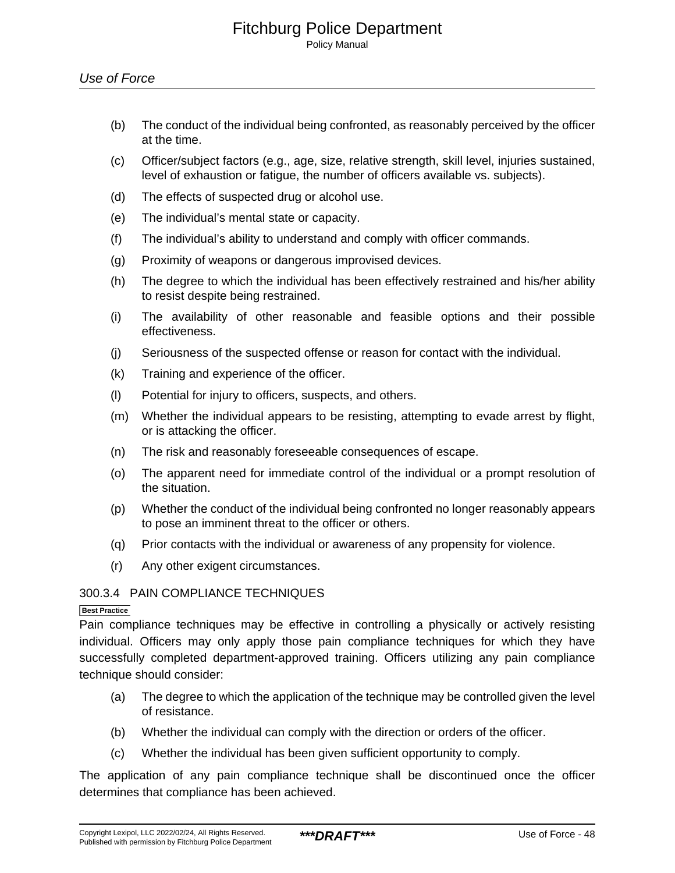- (b) The conduct of the individual being confronted, as reasonably perceived by the officer at the time.
- (c) Officer/subject factors (e.g., age, size, relative strength, skill level, injuries sustained, level of exhaustion or fatigue, the number of officers available vs. subjects).
- (d) The effects of suspected drug or alcohol use.
- (e) The individual's mental state or capacity.
- (f) The individual's ability to understand and comply with officer commands.
- (g) Proximity of weapons or dangerous improvised devices.
- (h) The degree to which the individual has been effectively restrained and his/her ability to resist despite being restrained.
- (i) The availability of other reasonable and feasible options and their possible effectiveness.
- (j) Seriousness of the suspected offense or reason for contact with the individual.
- (k) Training and experience of the officer.
- (l) Potential for injury to officers, suspects, and others.
- (m) Whether the individual appears to be resisting, attempting to evade arrest by flight, or is attacking the officer.
- (n) The risk and reasonably foreseeable consequences of escape.
- (o) The apparent need for immediate control of the individual or a prompt resolution of the situation.
- (p) Whether the conduct of the individual being confronted no longer reasonably appears to pose an imminent threat to the officer or others.
- (q) Prior contacts with the individual or awareness of any propensity for violence.
- (r) Any other exigent circumstances.

### 300.3.4 PAIN COMPLIANCE TECHNIQUES

#### **Best Practice**

Pain compliance techniques may be effective in controlling a physically or actively resisting individual. Officers may only apply those pain compliance techniques for which they have successfully completed department-approved training. Officers utilizing any pain compliance technique should consider:

- (a) The degree to which the application of the technique may be controlled given the level of resistance.
- (b) Whether the individual can comply with the direction or orders of the officer.
- (c) Whether the individual has been given sufficient opportunity to comply.

The application of any pain compliance technique shall be discontinued once the officer determines that compliance has been achieved.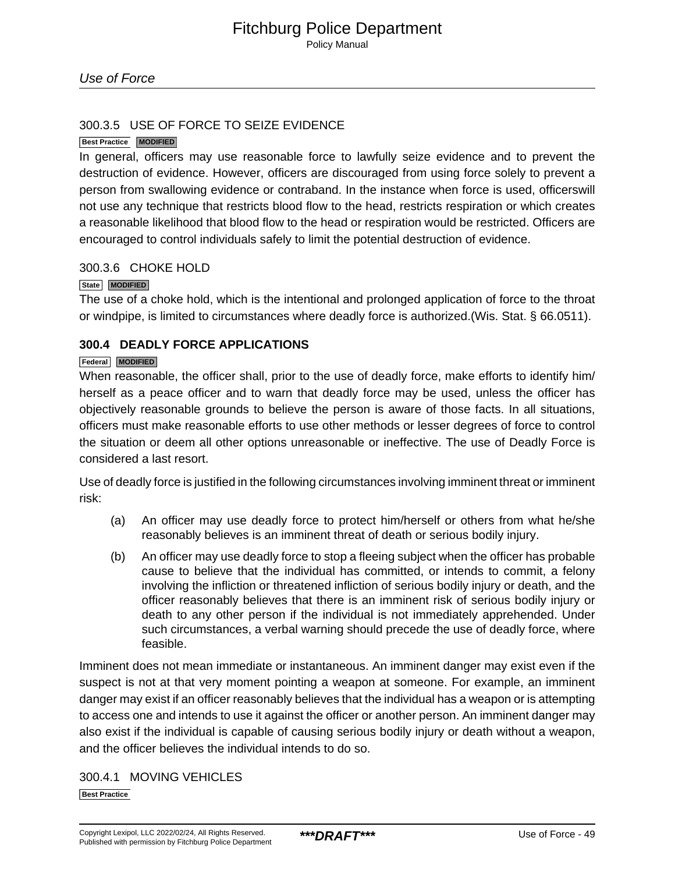Policy Manual

### 300.3.5 USE OF FORCE TO SEIZE EVIDENCE

### **Best Practice MODIFIED**

In general, officers may use reasonable force to lawfully seize evidence and to prevent the destruction of evidence. However, officers are discouraged from using force solely to prevent a person from swallowing evidence or contraband. In the instance when force is used, officerswill not use any technique that restricts blood flow to the head, restricts respiration or which creates a reasonable likelihood that blood flow to the head or respiration would be restricted. Officers are encouraged to control individuals safely to limit the potential destruction of evidence.\_

### 300.3.6 CHOKE HOLD

#### **State MODIFIED**

The use of a choke hold, which is the intentional and prolonged application of force to the throat or windpipe, is limited to circumstances where deadly force is authorized.(Wis. Stat. § 66.0511).

### **300.4 DEADLY FORCE APPLICATIONS**

### **Federal MODIFIED**

When reasonable, the officer shall, prior to the use of deadly force, make efforts to identify him/ herself as a peace officer and to warn that deadly force may be used, unless the officer has objectively reasonable grounds to believe the person is aware of those facts. In all situations, officers must make reasonable efforts to use other methods or lesser degrees of force to control the situation or deem all other options unreasonable or ineffective. The use of Deadly Force is considered a last resort.

Use of deadly force is justified in the following circumstances involving imminent threat or imminent risk:

- (a) An officer may use deadly force to protect him/herself or others from what he/she reasonably believes is an imminent threat of death or serious bodily injury.
- (b) An officer may use deadly force to stop a fleeing subject when the officer has probable cause to believe that the individual has committed, or intends to commit, a felony involving the infliction or threatened infliction of serious bodily injury or death, and the officer reasonably believes that there is an imminent risk of serious bodily injury or death to any other person if the individual is not immediately apprehended. Under such circumstances, a verbal warning should precede the use of deadly force, where feasible.

Imminent does not mean immediate or instantaneous. An imminent danger may exist even if the suspect is not at that very moment pointing a weapon at someone. For example, an imminent danger may exist if an officer reasonably believes that the individual has a weapon or is attempting to access one and intends to use it against the officer or another person. An imminent danger may also exist if the individual is capable of causing serious bodily injury or death without a weapon, and the officer believes the individual intends to do so.

300.4.1 MOVING VEHICLES

**Best Practice**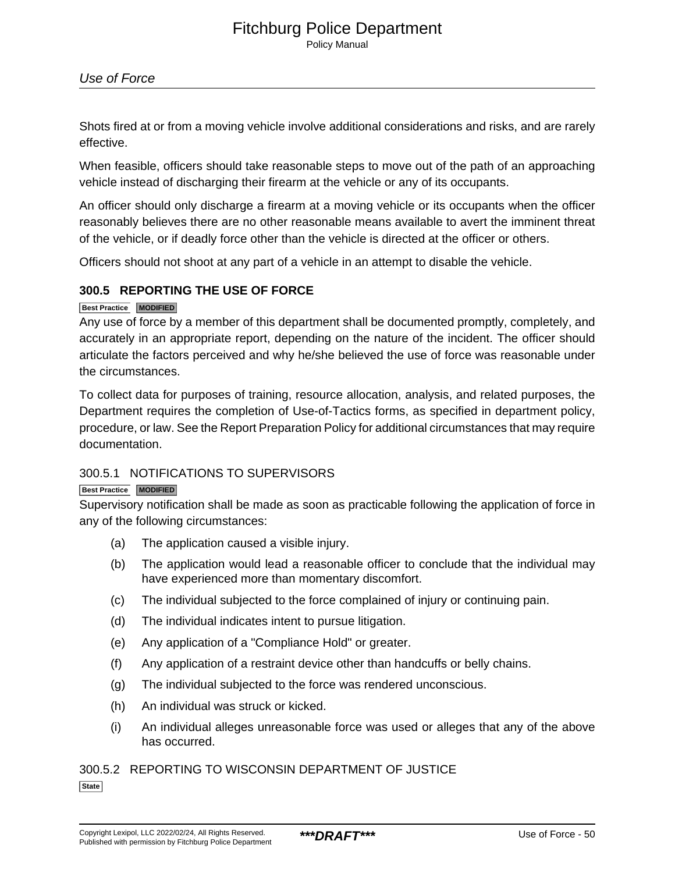Policy Manual

### Use of Force

Shots fired at or from a moving vehicle involve additional considerations and risks, and are rarely effective.

When feasible, officers should take reasonable steps to move out of the path of an approaching vehicle instead of discharging their firearm at the vehicle or any of its occupants.

An officer should only discharge a firearm at a moving vehicle or its occupants when the officer reasonably believes there are no other reasonable means available to avert the imminent threat of the vehicle, or if deadly force other than the vehicle is directed at the officer or others.

Officers should not shoot at any part of a vehicle in an attempt to disable the vehicle.

### **300.5 REPORTING THE USE OF FORCE**

### **Best Practice MODIFIED**

Any use of force by a member of this department shall be documented promptly, completely, and accurately in an appropriate report, depending on the nature of the incident. The officer should articulate the factors perceived and why he/she believed the use of force was reasonable under the circumstances.

To collect data for purposes of training, resource allocation, analysis, and related purposes, the Department requires the completion of Use-of-Tactics forms, as specified in department policy, procedure, or law. See the Report Preparation Policy for additional circumstances that may require documentation.

### 300.5.1 NOTIFICATIONS TO SUPERVISORS

### **Best Practice MODIFIED**

Supervisory notification shall be made as soon as practicable following the application of force in any of the following circumstances:

- (a) The application caused a visible injury.
- (b) The application would lead a reasonable officer to conclude that the individual may have experienced more than momentary discomfort.
- (c) The individual subjected to the force complained of injury or continuing pain.
- (d) The individual indicates intent to pursue litigation.
- (e) Any application of a "Compliance Hold" or greater.
- (f) Any application of a restraint device other than handcuffs or belly chains.
- (g) The individual subjected to the force was rendered unconscious.
- (h) An individual was struck or kicked.
- (i) An individual alleges unreasonable force was used or alleges that any of the above has occurred.

300.5.2 REPORTING TO WISCONSIN DEPARTMENT OF JUSTICE

**State**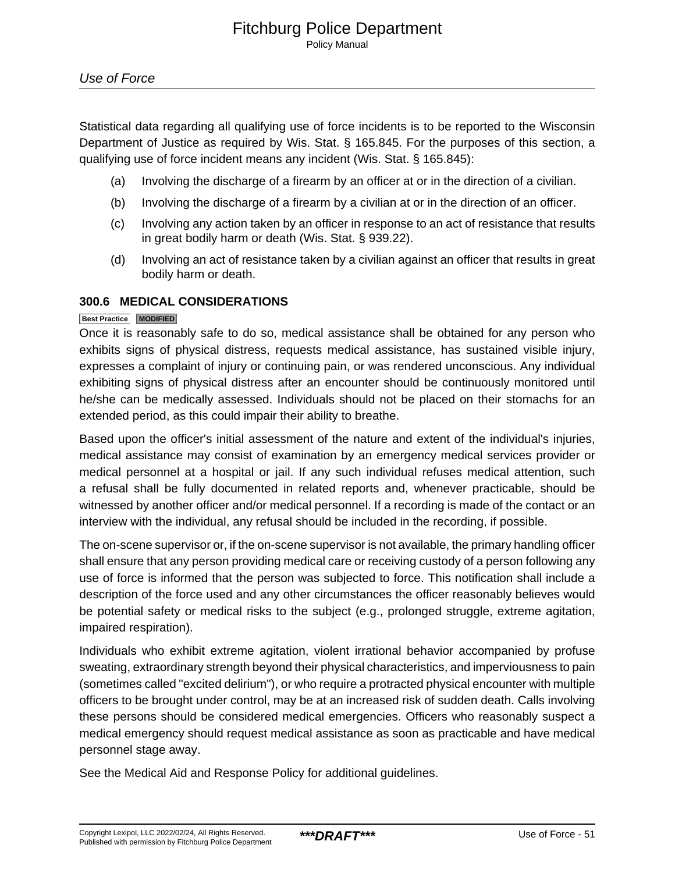Statistical data regarding all qualifying use of force incidents is to be reported to the Wisconsin Department of Justice as required by Wis. Stat. § 165.845. For the purposes of this section, a qualifying use of force incident means any incident (Wis. Stat. § 165.845):

- (a) Involving the discharge of a firearm by an officer at or in the direction of a civilian.
- (b) Involving the discharge of a firearm by a civilian at or in the direction of an officer.
- (c) Involving any action taken by an officer in response to an act of resistance that results in great bodily harm or death (Wis. Stat. § 939.22).
- (d) Involving an act of resistance taken by a civilian against an officer that results in great bodily harm or death.

### **300.6 MEDICAL CONSIDERATIONS**

### **Best Practice MODIFIED**

Once it is reasonably safe to do so, medical assistance shall be obtained for any person who exhibits signs of physical distress, requests medical assistance, has sustained visible injury, expresses a complaint of injury or continuing pain, or was rendered unconscious. Any individual exhibiting signs of physical distress after an encounter should be continuously monitored until he/she can be medically assessed. Individuals should not be placed on their stomachs for an extended period, as this could impair their ability to breathe.

Based upon the officer's initial assessment of the nature and extent of the individual's injuries, medical assistance may consist of examination by an emergency medical services provider or medical personnel at a hospital or jail. If any such individual refuses medical attention, such a refusal shall be fully documented in related reports and, whenever practicable, should be witnessed by another officer and/or medical personnel. If a recording is made of the contact or an interview with the individual, any refusal should be included in the recording, if possible.

The on-scene supervisor or, if the on-scene supervisor is not available, the primary handling officer shall ensure that any person providing medical care or receiving custody of a person following any use of force is informed that the person was subjected to force. This notification shall include a description of the force used and any other circumstances the officer reasonably believes would be potential safety or medical risks to the subject (e.g., prolonged struggle, extreme agitation, impaired respiration).

Individuals who exhibit extreme agitation, violent irrational behavior accompanied by profuse sweating, extraordinary strength beyond their physical characteristics, and imperviousness to pain (sometimes called "excited delirium"), or who require a protracted physical encounter with multiple officers to be brought under control, may be at an increased risk of sudden death. Calls involving these persons should be considered medical emergencies. Officers who reasonably suspect a medical emergency should request medical assistance as soon as practicable and have medical personnel stage away.

See the Medical Aid and Response Policy for additional guidelines.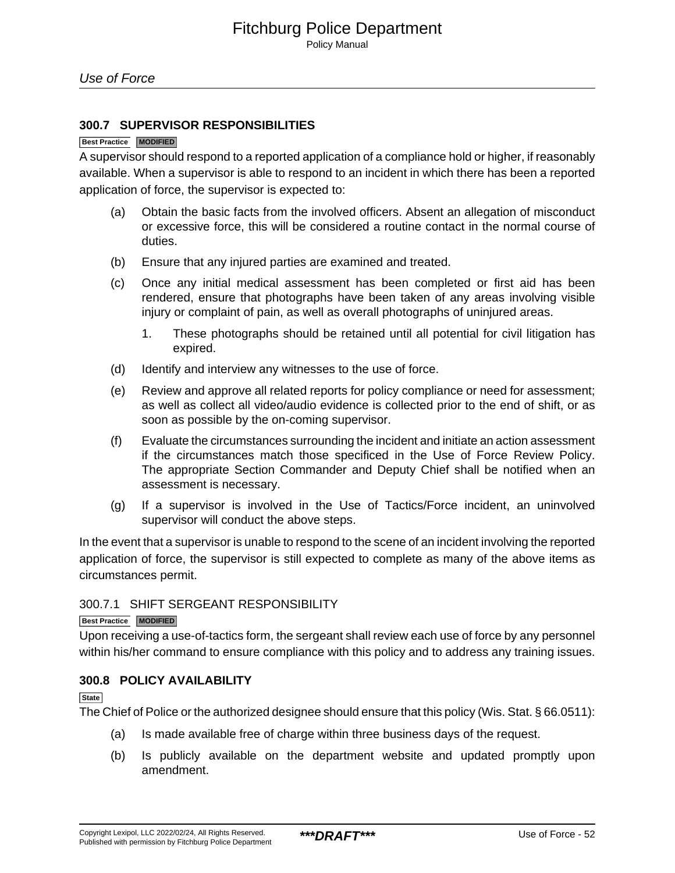### **300.7 SUPERVISOR RESPONSIBILITIES**

#### **Best Practice MODIFIED**

A supervisor should respond to a reported application of a compliance hold or higher, if reasonably available. When a supervisor is able to respond to an incident in which there has been a reported application of force, the supervisor is expected to:

- (a) Obtain the basic facts from the involved officers. Absent an allegation of misconduct or excessive force, this will be considered a routine contact in the normal course of duties.
- (b) Ensure that any injured parties are examined and treated.
- (c) Once any initial medical assessment has been completed or first aid has been rendered, ensure that photographs have been taken of any areas involving visible injury or complaint of pain, as well as overall photographs of uninjured areas.
	- 1. These photographs should be retained until all potential for civil litigation has expired.
- (d) Identify and interview any witnesses to the use of force.
- (e) Review and approve all related reports for policy compliance or need for assessment; as well as collect all video/audio evidence is collected prior to the end of shift, or as soon as possible by the on-coming supervisor.
- (f) Evaluate the circumstances surrounding the incident and initiate an action assessment if the circumstances match those specificed in the Use of Force Review Policy. The appropriate Section Commander and Deputy Chief shall be notified when an assessment is necessary.
- (g) If a supervisor is involved in the Use of Tactics/Force incident, an uninvolved supervisor will conduct the above steps.

In the event that a supervisor is unable to respond to the scene of an incident involving the reported application of force, the supervisor is still expected to complete as many of the above items as circumstances permit.

### 300.7.1 SHIFT SERGEANT RESPONSIBILITY

#### **Best Practice MODIFIED**

Upon receiving a use-of-tactics form, the sergeant shall review each use of force by any personnel within his/her command to ensure compliance with this policy and to address any training issues.

### **300.8 POLICY AVAILABILITY**

**State**

The Chief of Police or the authorized designee should ensure that this policy (Wis. Stat. § 66.0511):

- (a) Is made available free of charge within three business days of the request.
- (b) Is publicly available on the department website and updated promptly upon amendment.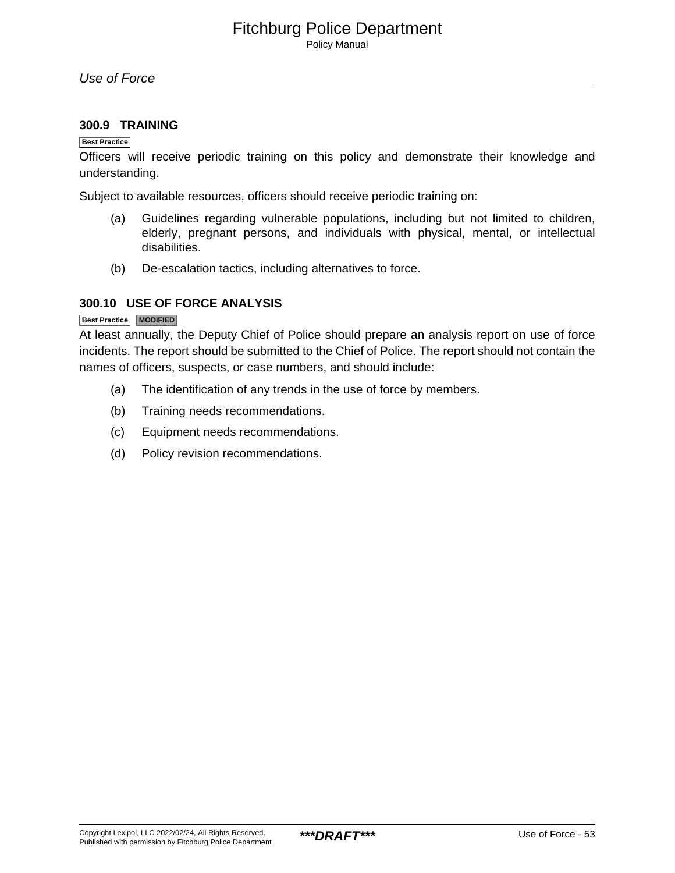Policy Manual

### **300.9 TRAINING**

### **Best Practice**

Officers will receive periodic training on this policy and demonstrate their knowledge and understanding.

Subject to available resources, officers should receive periodic training on:

- (a) Guidelines regarding vulnerable populations, including but not limited to children, elderly, pregnant persons, and individuals with physical, mental, or intellectual disabilities.
- (b) De-escalation tactics, including alternatives to force.

### **300.10 USE OF FORCE ANALYSIS**

### **Best Practice MODIFIED**

At least annually, the Deputy Chief of Police should prepare an analysis report on use of force incidents. The report should be submitted to the Chief of Police. The report should not contain the names of officers, suspects, or case numbers, and should include:

- (a) The identification of any trends in the use of force by members.
- (b) Training needs recommendations.
- (c) Equipment needs recommendations.
- (d) Policy revision recommendations.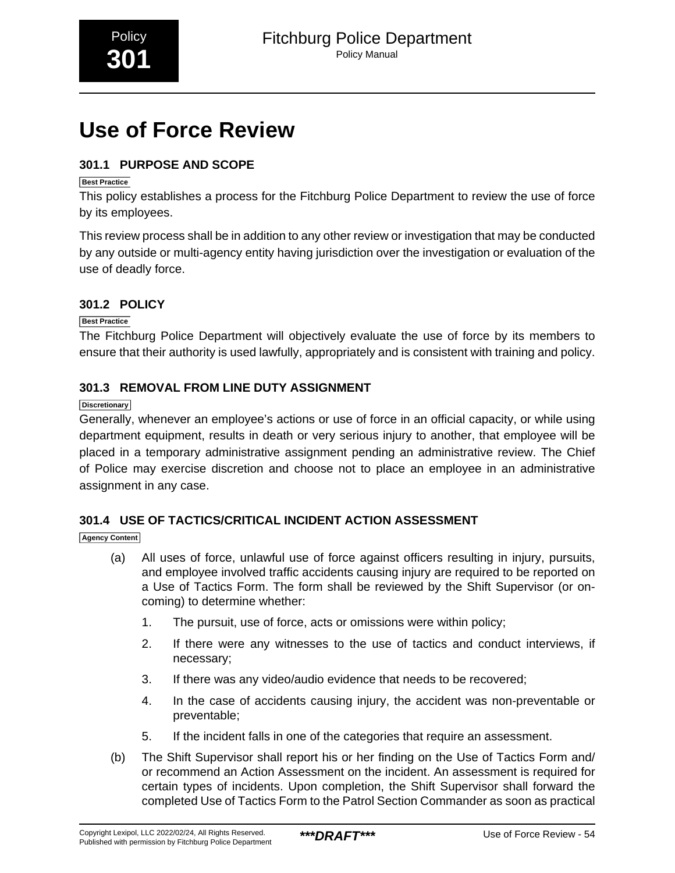# <span id="page-10-0"></span>**Use of Force Review**

# **301.1 PURPOSE AND SCOPE**

### **Best Practice**

This policy establishes a process for the Fitchburg Police Department to review the use of force by its employees.

This review process shall be in addition to any other review or investigation that may be conducted by any outside or multi-agency entity having jurisdiction over the investigation or evaluation of the use of deadly force.

# **301.2 POLICY**

### **Best Practice**

The Fitchburg Police Department will objectively evaluate the use of force by its members to ensure that their authority is used lawfully, appropriately and is consistent with training and policy.

# **301.3 REMOVAL FROM LINE DUTY ASSIGNMENT**

### **Discretionary**

Generally, whenever an employee's actions or use of force in an official capacity, or while using department equipment, results in death or very serious injury to another, that employee will be placed in a temporary administrative assignment pending an administrative review. The Chief of Police may exercise discretion and choose not to place an employee in an administrative assignment in any case.

# **301.4 USE OF TACTICS/CRITICAL INCIDENT ACTION ASSESSMENT**

### **Agency Content**

- (a) All uses of force, unlawful use of force against officers resulting in injury, pursuits, and employee involved traffic accidents causing injury are required to be reported on a Use of Tactics Form. The form shall be reviewed by the Shift Supervisor (or oncoming) to determine whether:
	- 1. The pursuit, use of force, acts or omissions were within policy;
	- 2. If there were any witnesses to the use of tactics and conduct interviews, if necessary;
	- 3. If there was any video/audio evidence that needs to be recovered;
	- 4. In the case of accidents causing injury, the accident was non-preventable or preventable;
	- 5. If the incident falls in one of the categories that require an assessment.
- (b) The Shift Supervisor shall report his or her finding on the Use of Tactics Form and/ or recommend an Action Assessment on the incident. An assessment is required for certain types of incidents. Upon completion, the Shift Supervisor shall forward the completed Use of Tactics Form to the Patrol Section Commander as soon as practical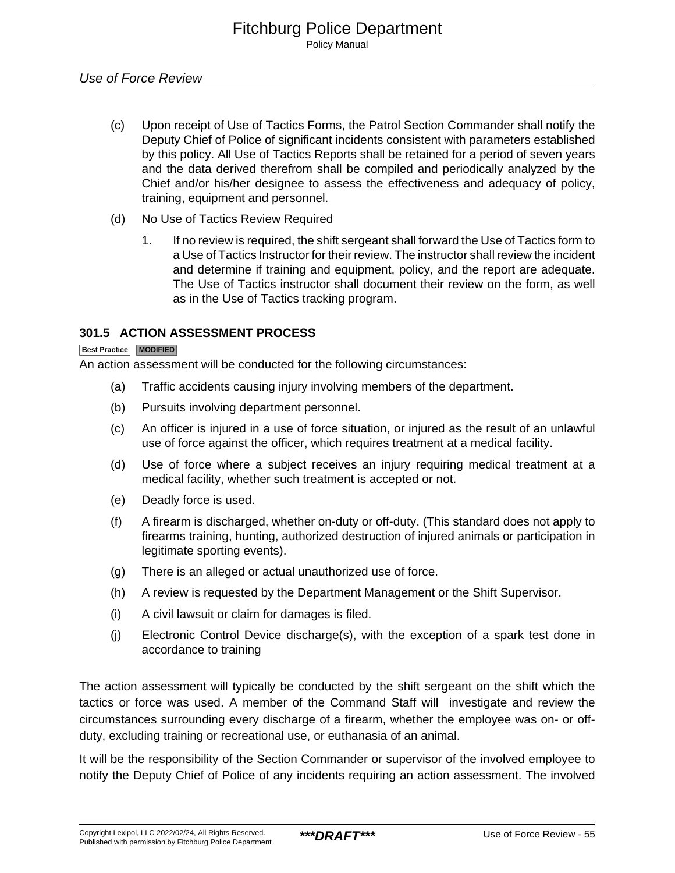- (c) Upon receipt of Use of Tactics Forms, the Patrol Section Commander shall notify the Deputy Chief of Police of significant incidents consistent with parameters established by this policy. All Use of Tactics Reports shall be retained for a period of seven years and the data derived therefrom shall be compiled and periodically analyzed by the Chief and/or his/her designee to assess the effectiveness and adequacy of policy, training, equipment and personnel.
- (d) No Use of Tactics Review Required
	- 1. If no review is required, the shift sergeant shall forward the Use of Tactics form to a Use of Tactics Instructor for their review. The instructor shall review the incident and determine if training and equipment, policy, and the report are adequate. The Use of Tactics instructor shall document their review on the form, as well as in the Use of Tactics tracking program.

### **301.5 ACTION ASSESSMENT PROCESS**

### **Best Practice MODIFIED**

An action assessment will be conducted for the following circumstances:

- (a) Traffic accidents causing injury involving members of the department.
- (b) Pursuits involving department personnel.
- (c) An officer is injured in a use of force situation, or injured as the result of an unlawful use of force against the officer, which requires treatment at a medical facility.
- (d) Use of force where a subject receives an injury requiring medical treatment at a medical facility, whether such treatment is accepted or not.
- (e) Deadly force is used.
- (f) A firearm is discharged, whether on-duty or off-duty. (This standard does not apply to firearms training, hunting, authorized destruction of injured animals or participation in legitimate sporting events).
- (g) There is an alleged or actual unauthorized use of force.
- (h) A review is requested by the Department Management or the Shift Supervisor.
- (i) A civil lawsuit or claim for damages is filed.
- (j) Electronic Control Device discharge(s), with the exception of a spark test done in accordance to training

The action assessment will typically be conducted by the shift sergeant on the shift which the tactics or force was used. A member of the Command Staff will investigate and review the circumstances surrounding every discharge of a firearm, whether the employee was on- or offduty, excluding training or recreational use, or euthanasia of an animal.

It will be the responsibility of the Section Commander or supervisor of the involved employee to notify the Deputy Chief of Police of any incidents requiring an action assessment. The involved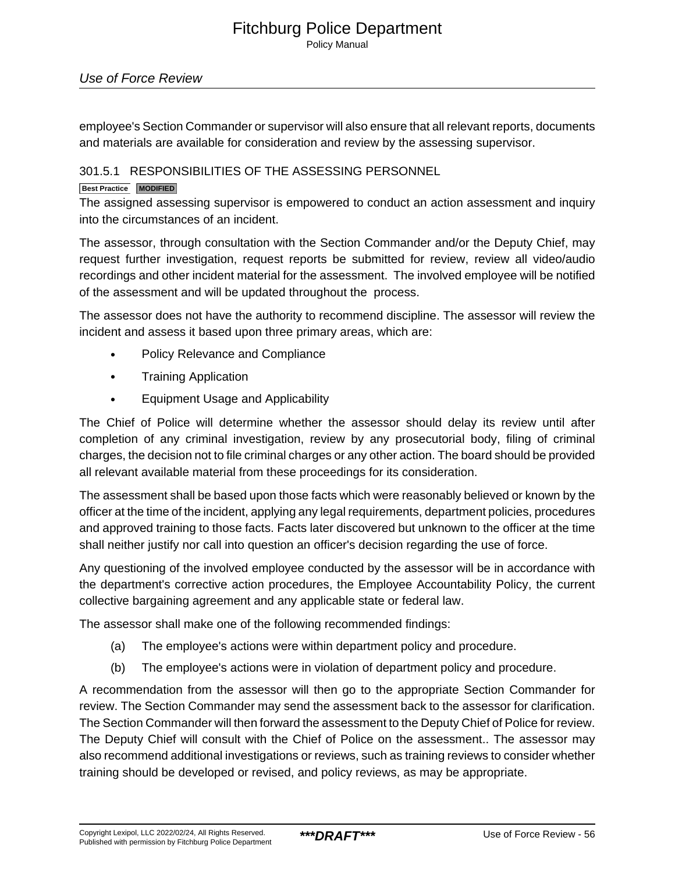Policy Manual

### Use of Force Review

employee's Section Commander or supervisor will also ensure that all relevant reports, documents and materials are available for consideration and review by the assessing supervisor.

### 301.5.1 RESPONSIBILITIES OF THE ASSESSING PERSONNEL

### **Best Practice MODIFIED**

The assigned assessing supervisor is empowered to conduct an action assessment and inquiry into the circumstances of an incident.

The assessor, through consultation with the Section Commander and/or the Deputy Chief, may request further investigation, request reports be submitted for review, review all video/audio recordings and other incident material for the assessment. The involved employee will be notified of the assessment and will be updated throughout the process.

The assessor does not have the authority to recommend discipline. The assessor will review the incident and assess it based upon three primary areas, which are:

- Policy Relevance and Compliance
- Training Application
- Equipment Usage and Applicability

The Chief of Police will determine whether the assessor should delay its review until after completion of any criminal investigation, review by any prosecutorial body, filing of criminal charges, the decision not to file criminal charges or any other action. The board should be provided all relevant available material from these proceedings for its consideration.

The assessment shall be based upon those facts which were reasonably believed or known by the officer at the time of the incident, applying any legal requirements, department policies, procedures and approved training to those facts. Facts later discovered but unknown to the officer at the time shall neither justify nor call into question an officer's decision regarding the use of force.

Any questioning of the involved employee conducted by the assessor will be in accordance with the department's corrective action procedures, the Employee Accountability Policy, the current collective bargaining agreement and any applicable state or federal law.

The assessor shall make one of the following recommended findings:

- (a) The employee's actions were within department policy and procedure.
- (b) The employee's actions were in violation of department policy and procedure.

A recommendation from the assessor will then go to the appropriate Section Commander for review. The Section Commander may send the assessment back to the assessor for clarification. The Section Commander will then forward the assessment to the Deputy Chief of Police for review. The Deputy Chief will consult with the Chief of Police on the assessment.. The assessor may also recommend additional investigations or reviews, such as training reviews to consider whether training should be developed or revised, and policy reviews, as may be appropriate.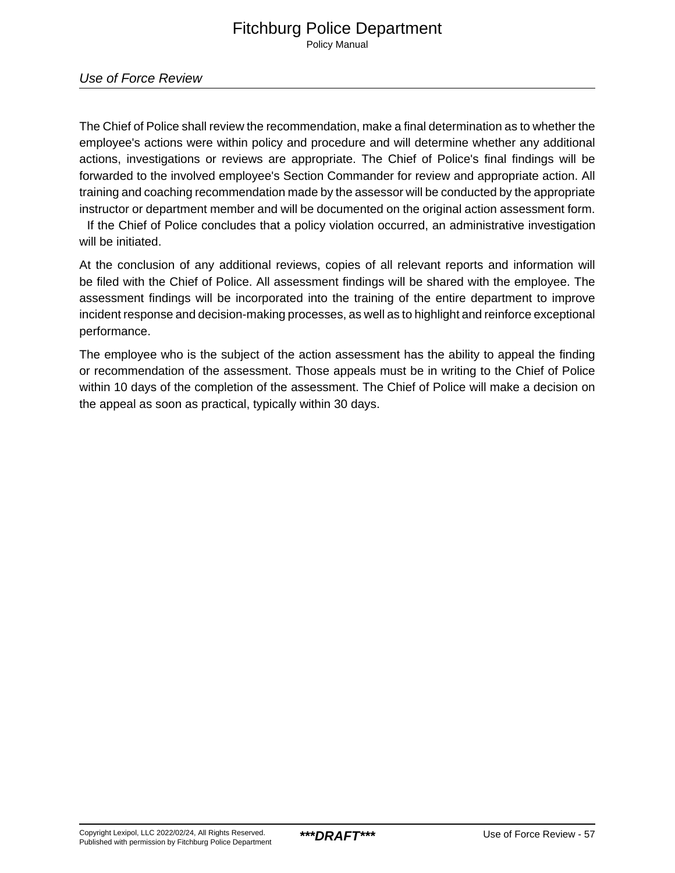Use of Force Review

The Chief of Police shall review the recommendation, make a final determination as to whether the employee's actions were within policy and procedure and will determine whether any additional actions, investigations or reviews are appropriate. The Chief of Police's final findings will be forwarded to the involved employee's Section Commander for review and appropriate action. All training and coaching recommendation made by the assessor will be conducted by the appropriate instructor or department member and will be documented on the original action assessment form.

 If the Chief of Police concludes that a policy violation occurred, an administrative investigation will be initiated.

At the conclusion of any additional reviews, copies of all relevant reports and information will be filed with the Chief of Police. All assessment findings will be shared with the employee. The assessment findings will be incorporated into the training of the entire department to improve incident response and decision-making processes, as well as to highlight and reinforce exceptional performance.

The employee who is the subject of the action assessment has the ability to appeal the finding or recommendation of the assessment. Those appeals must be in writing to the Chief of Police within 10 days of the completion of the assessment. The Chief of Police will make a decision on the appeal as soon as practical, typically within 30 days.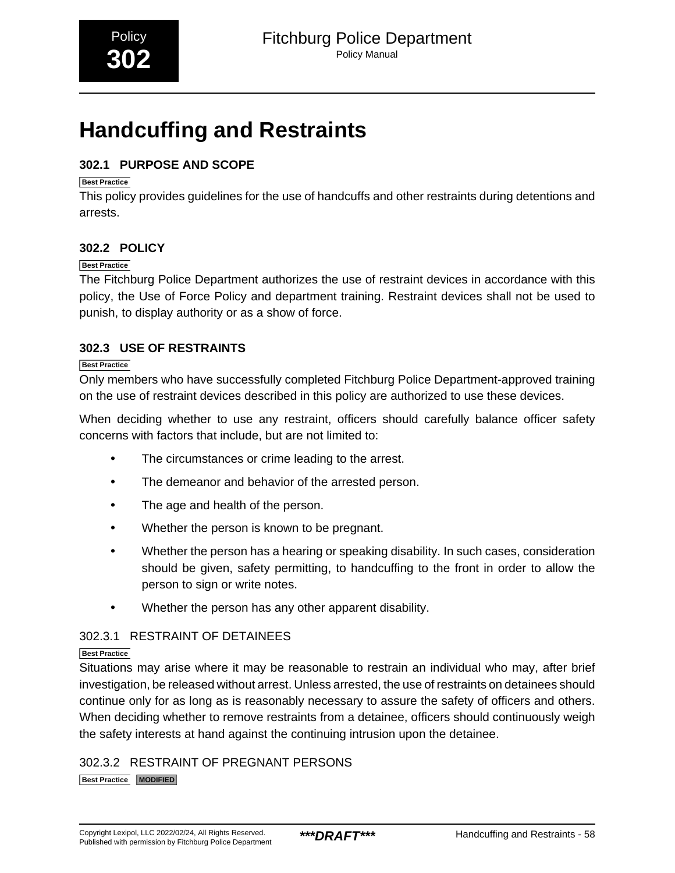# <span id="page-14-0"></span>**Handcuffing and Restraints**

# **302.1 PURPOSE AND SCOPE**

### **Best Practice**

This policy provides guidelines for the use of handcuffs and other restraints during detentions and arrests.

# **302.2 POLICY**

### **Best Practice**

The Fitchburg Police Department authorizes the use of restraint devices in accordance with this policy, the Use of Force Policy and department training. Restraint devices shall not be used to punish, to display authority or as a show of force.

# **302.3 USE OF RESTRAINTS**

### **Best Practice**

Only members who have successfully completed Fitchburg Police Department-approved training on the use of restraint devices described in this policy are authorized to use these devices.

When deciding whether to use any restraint, officers should carefully balance officer safety concerns with factors that include, but are not limited to:

- The circumstances or crime leading to the arrest.
- The demeanor and behavior of the arrested person.
- The age and health of the person.
- Whether the person is known to be pregnant.
- Whether the person has a hearing or speaking disability. In such cases, consideration should be given, safety permitting, to handcuffing to the front in order to allow the person to sign or write notes.
- Whether the person has any other apparent disability.

### 302.3.1 RESTRAINT OF DETAINEES

### **Best Practice**

Situations may arise where it may be reasonable to restrain an individual who may, after brief investigation, be released without arrest. Unless arrested, the use of restraints on detainees should continue only for as long as is reasonably necessary to assure the safety of officers and others. When deciding whether to remove restraints from a detainee, officers should continuously weigh the safety interests at hand against the continuing intrusion upon the detainee.

302.3.2 RESTRAINT OF PREGNANT PERSONS **Best Practice MODIFIED**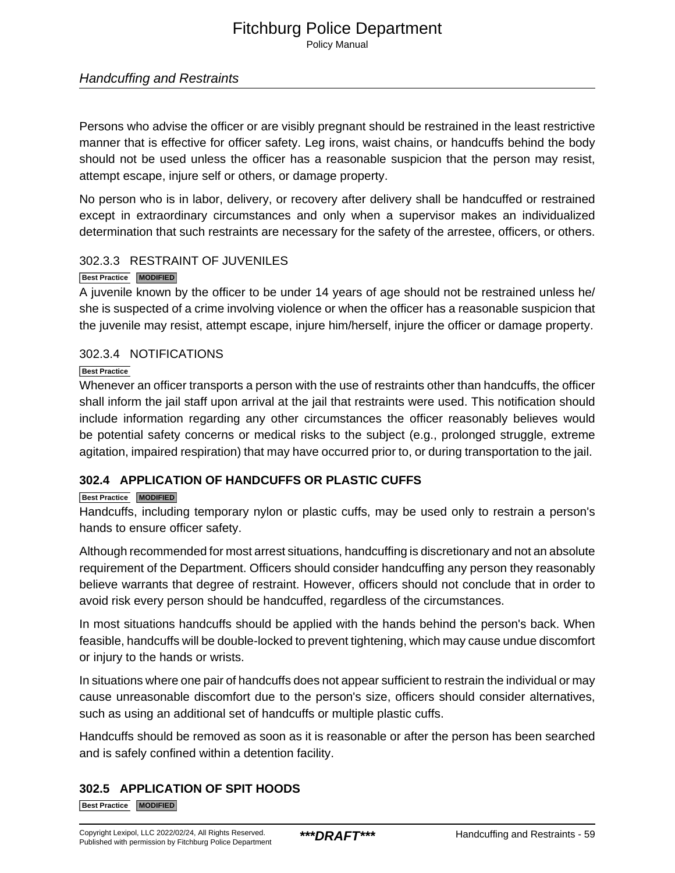Policy Manual

### Handcuffing and Restraints

Persons who advise the officer or are visibly pregnant should be restrained in the least restrictive manner that is effective for officer safety. Leg irons, waist chains, or handcuffs behind the body should not be used unless the officer has a reasonable suspicion that the person may resist, attempt escape, injure self or others, or damage property.

No person who is in labor, delivery, or recovery after delivery shall be handcuffed or restrained except in extraordinary circumstances and only when a supervisor makes an individualized determination that such restraints are necessary for the safety of the arrestee, officers, or others.

### 302.3.3 RESTRAINT OF JUVENILES

### **Best Practice MODIFIED**

A juvenile known by the officer to be under 14 years of age should not be restrained unless he/ she is suspected of a crime involving violence or when the officer has a reasonable suspicion that the juvenile may resist, attempt escape, injure him/herself, injure the officer or damage property.

### 302.3.4 NOTIFICATIONS

### **Best Practice**

Whenever an officer transports a person with the use of restraints other than handcuffs, the officer shall inform the jail staff upon arrival at the jail that restraints were used. This notification should include information regarding any other circumstances the officer reasonably believes would be potential safety concerns or medical risks to the subject (e.g., prolonged struggle, extreme agitation, impaired respiration) that may have occurred prior to, or during transportation to the jail.

### **302.4 APPLICATION OF HANDCUFFS OR PLASTIC CUFFS**

### **Best Practice MODIFIED**

Handcuffs, including temporary nylon or plastic cuffs, may be used only to restrain a person's hands to ensure officer safety.

Although recommended for most arrest situations, handcuffing is discretionary and not an absolute requirement of the Department. Officers should consider handcuffing any person they reasonably believe warrants that degree of restraint. However, officers should not conclude that in order to avoid risk every person should be handcuffed, regardless of the circumstances.

In most situations handcuffs should be applied with the hands behind the person's back. When feasible, handcuffs will be double-locked to prevent tightening, which may cause undue discomfort or injury to the hands or wrists.

In situations where one pair of handcuffs does not appear sufficient to restrain the individual or may cause unreasonable discomfort due to the person's size, officers should consider alternatives, such as using an additional set of handcuffs or multiple plastic cuffs.

Handcuffs should be removed as soon as it is reasonable or after the person has been searched and is safely confined within a detention facility.

# **302.5 APPLICATION OF SPIT HOODS**

**Best Practice MODIFIED**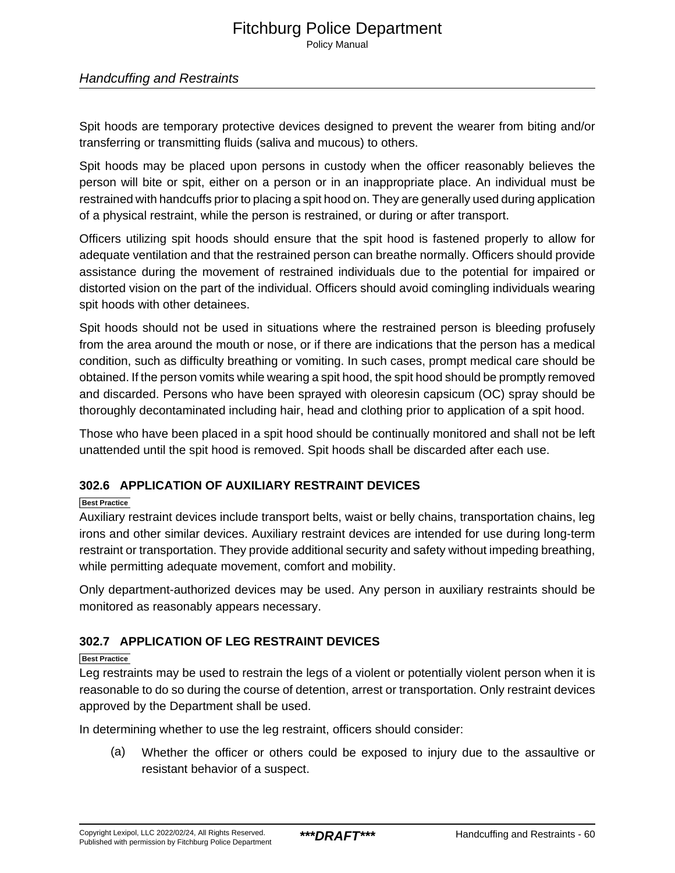# Fitchburg Police Department Policy Manual

### Handcuffing and Restraints

Spit hoods are temporary protective devices designed to prevent the wearer from biting and/or transferring or transmitting fluids (saliva and mucous) to others.

Spit hoods may be placed upon persons in custody when the officer reasonably believes the person will bite or spit, either on a person or in an inappropriate place. An individual must be restrained with handcuffs prior to placing a spit hood on. They are generally used during application of a physical restraint, while the person is restrained, or during or after transport.

Officers utilizing spit hoods should ensure that the spit hood is fastened properly to allow for adequate ventilation and that the restrained person can breathe normally. Officers should provide assistance during the movement of restrained individuals due to the potential for impaired or distorted vision on the part of the individual. Officers should avoid comingling individuals wearing spit hoods with other detainees.

Spit hoods should not be used in situations where the restrained person is bleeding profusely from the area around the mouth or nose, or if there are indications that the person has a medical condition, such as difficulty breathing or vomiting. In such cases, prompt medical care should be obtained. If the person vomits while wearing a spit hood, the spit hood should be promptly removed and discarded. Persons who have been sprayed with oleoresin capsicum (OC) spray should be thoroughly decontaminated including hair, head and clothing prior to application of a spit hood.

Those who have been placed in a spit hood should be continually monitored and shall not be left unattended until the spit hood is removed. Spit hoods shall be discarded after each use.

### **302.6 APPLICATION OF AUXILIARY RESTRAINT DEVICES**

### **Best Practice**

Auxiliary restraint devices include transport belts, waist or belly chains, transportation chains, leg irons and other similar devices. Auxiliary restraint devices are intended for use during long-term restraint or transportation. They provide additional security and safety without impeding breathing, while permitting adequate movement, comfort and mobility.

Only department-authorized devices may be used. Any person in auxiliary restraints should be monitored as reasonably appears necessary.

### **302.7 APPLICATION OF LEG RESTRAINT DEVICES**

### **Best Practice**

Leg restraints may be used to restrain the legs of a violent or potentially violent person when it is reasonable to do so during the course of detention, arrest or transportation. Only restraint devices approved by the Department shall be used.

In determining whether to use the leg restraint, officers should consider:

(a) Whether the officer or others could be exposed to injury due to the assaultive or resistant behavior of a suspect.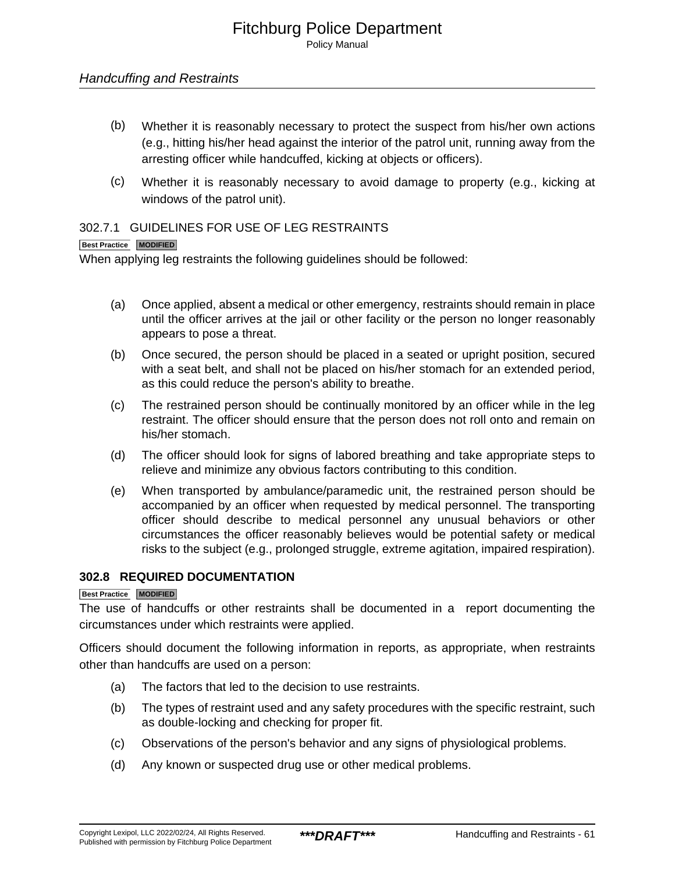Policy Manual

- (b) Whether it is reasonably necessary to protect the suspect from his/her own actions (e.g., hitting his/her head against the interior of the patrol unit, running away from the arresting officer while handcuffed, kicking at objects or officers).
- (c) Whether it is reasonably necessary to avoid damage to property (e.g., kicking at windows of the patrol unit).

### 302.7.1 GUIDELINES FOR USE OF LEG RESTRAINTS

### **Best Practice MODIFIED**

When applying leg restraints the following guidelines should be followed:

- (a) Once applied, absent a medical or other emergency, restraints should remain in place until the officer arrives at the jail or other facility or the person no longer reasonably appears to pose a threat.
- (b) Once secured, the person should be placed in a seated or upright position, secured with a seat belt, and shall not be placed on his/her stomach for an extended period, as this could reduce the person's ability to breathe.
- (c) The restrained person should be continually monitored by an officer while in the leg restraint. The officer should ensure that the person does not roll onto and remain on his/her stomach.
- (d) The officer should look for signs of labored breathing and take appropriate steps to relieve and minimize any obvious factors contributing to this condition.
- (e) When transported by ambulance/paramedic unit, the restrained person should be accompanied by an officer when requested by medical personnel. The transporting officer should describe to medical personnel any unusual behaviors or other circumstances the officer reasonably believes would be potential safety or medical risks to the subject (e.g., prolonged struggle, extreme agitation, impaired respiration).

### **302.8 REQUIRED DOCUMENTATION**

### **Best Practice MODIFIED**

The use of handcuffs or other restraints shall be documented in a report documenting the circumstances under which restraints were applied.

Officers should document the following information in reports, as appropriate, when restraints other than handcuffs are used on a person:

- (a) The factors that led to the decision to use restraints.
- (b) The types of restraint used and any safety procedures with the specific restraint, such as double-locking and checking for proper fit.
- (c) Observations of the person's behavior and any signs of physiological problems.
- (d) Any known or suspected drug use or other medical problems.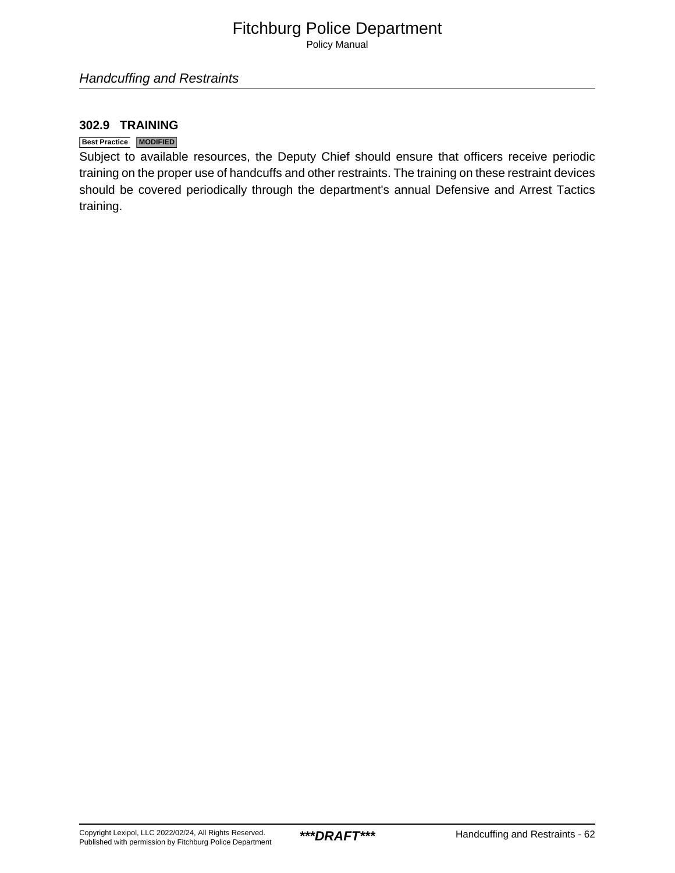Policy Manual

### **302.9 TRAINING**

### **Best Practice MODIFIED**

Subject to available resources, the Deputy Chief should ensure that officers receive periodic training on the proper use of handcuffs and other restraints. The training on these restraint devices should be covered periodically through the department's annual Defensive and Arrest Tactics training.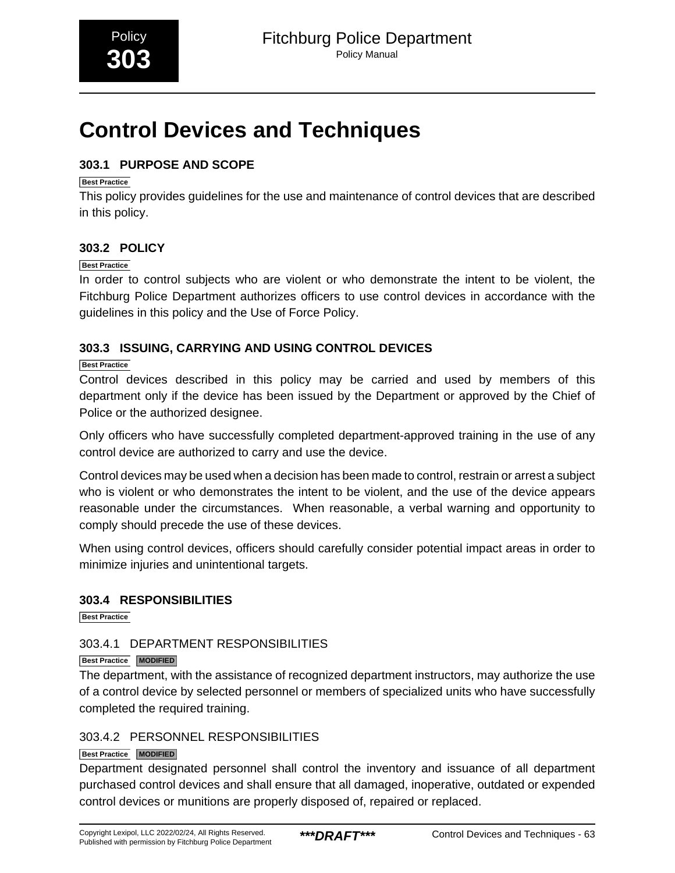# <span id="page-19-0"></span>**Control Devices and Techniques**

# **303.1 PURPOSE AND SCOPE**

### **Best Practice**

This policy provides guidelines for the use and maintenance of control devices that are described in this policy.

# **303.2 POLICY**

### **Best Practice**

In order to control subjects who are violent or who demonstrate the intent to be violent, the Fitchburg Police Department authorizes officers to use control devices in accordance with the guidelines in this policy and the Use of Force Policy.

# **303.3 ISSUING, CARRYING AND USING CONTROL DEVICES**

### **Best Practice**

Control devices described in this policy may be carried and used by members of this department only if the device has been issued by the Department or approved by the Chief of Police or the authorized designee.

Only officers who have successfully completed department-approved training in the use of any control device are authorized to carry and use the device.

Control devices may be used when a decision has been made to control, restrain or arrest a subject who is violent or who demonstrates the intent to be violent, and the use of the device appears reasonable under the circumstances. When reasonable, a verbal warning and opportunity to comply should precede the use of these devices.

When using control devices, officers should carefully consider potential impact areas in order to minimize injuries and unintentional targets.

# **303.4 RESPONSIBILITIES**

**Best Practice**

# 303.4.1 DEPARTMENT RESPONSIBILITIES

### **Best Practice MODIFIED**

The department, with the assistance of recognized department instructors, may authorize the use of a control device by selected personnel or members of specialized units who have successfully completed the required training.

# 303.4.2 PERSONNEL RESPONSIBILITIES

### **Best Practice MODIFIED**

Department designated personnel shall control the inventory and issuance of all department purchased control devices and shall ensure that all damaged, inoperative, outdated or expended control devices or munitions are properly disposed of, repaired or replaced.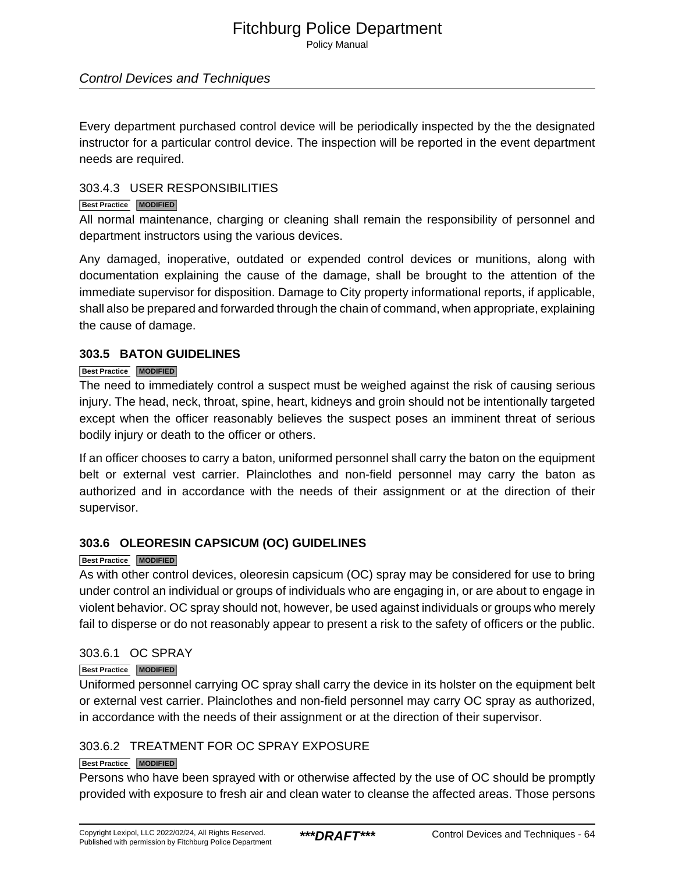Policy Manual

### Control Devices and Techniques

Every department purchased control device will be periodically inspected by the the designated instructor for a particular control device. The inspection will be reported in the event department needs are required.

### 303.4.3 USER RESPONSIBILITIES

### **Best Practice MODIFIED**

All normal maintenance, charging or cleaning shall remain the responsibility of personnel and department instructors using the various devices.

Any damaged, inoperative, outdated or expended control devices or munitions, along with documentation explaining the cause of the damage, shall be brought to the attention of the immediate supervisor for disposition. Damage to City property informational reports, if applicable, shall also be prepared and forwarded through the chain of command, when appropriate, explaining the cause of damage.

### **303.5 BATON GUIDELINES**

### **Best Practice MODIFIED**

The need to immediately control a suspect must be weighed against the risk of causing serious injury. The head, neck, throat, spine, heart, kidneys and groin should not be intentionally targeted except when the officer reasonably believes the suspect poses an imminent threat of serious bodily injury or death to the officer or others.

If an officer chooses to carry a baton, uniformed personnel shall carry the baton on the equipment belt or external vest carrier. Plainclothes and non-field personnel may carry the baton as authorized and in accordance with the needs of their assignment or at the direction of their supervisor.

### **303.6 OLEORESIN CAPSICUM (OC) GUIDELINES**

### **Best Practice MODIFIED**

As with other control devices, oleoresin capsicum (OC) spray may be considered for use to bring under control an individual or groups of individuals who are engaging in, or are about to engage in violent behavior. OC spray should not, however, be used against individuals or groups who merely fail to disperse or do not reasonably appear to present a risk to the safety of officers or the public.

### 303.6.1 OC SPRAY

### **Best Practice MODIFIED**

Uniformed personnel carrying OC spray shall carry the device in its holster on the equipment belt or external vest carrier. Plainclothes and non-field personnel may carry OC spray as authorized, in accordance with the needs of their assignment or at the direction of their supervisor.

# 303.6.2 TREATMENT FOR OC SPRAY EXPOSURE

### **Best Practice MODIFIED**

Persons who have been sprayed with or otherwise affected by the use of OC should be promptly provided with exposure to fresh air and clean water to cleanse the affected areas. Those persons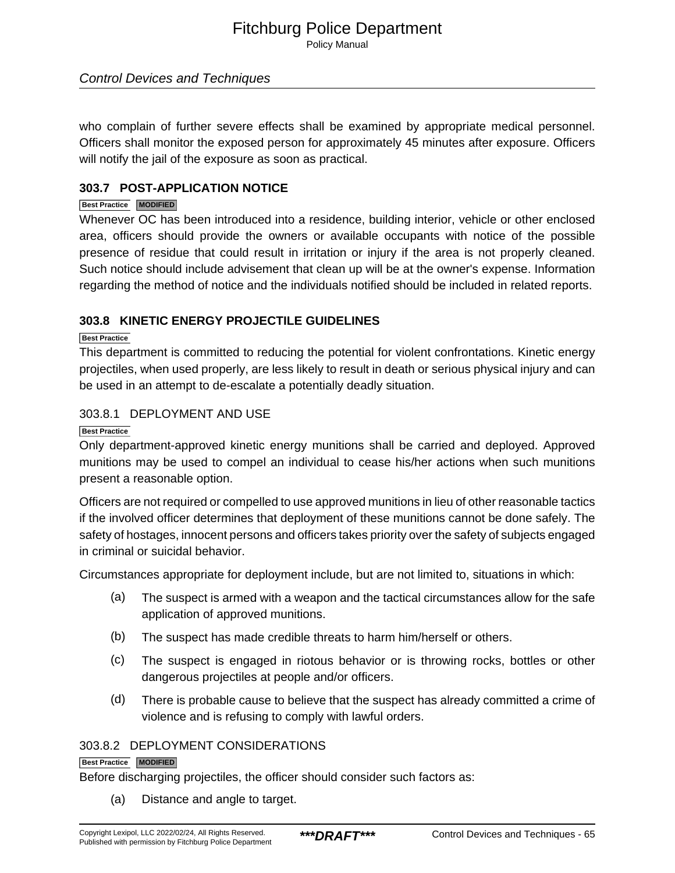Policy Manual

### Control Devices and Techniques

who complain of further severe effects shall be examined by appropriate medical personnel. Officers shall monitor the exposed person for approximately 45 minutes after exposure. Officers will notify the jail of the exposure as soon as practical.

### **303.7 POST-APPLICATION NOTICE**

### **Best Practice MODIFIED**

Whenever OC has been introduced into a residence, building interior, vehicle or other enclosed area, officers should provide the owners or available occupants with notice of the possible presence of residue that could result in irritation or injury if the area is not properly cleaned. Such notice should include advisement that clean up will be at the owner's expense. Information regarding the method of notice and the individuals notified should be included in related reports.

### **303.8 KINETIC ENERGY PROJECTILE GUIDELINES**

### **Best Practice**

This department is committed to reducing the potential for violent confrontations. Kinetic energy projectiles, when used properly, are less likely to result in death or serious physical injury and can be used in an attempt to de-escalate a potentially deadly situation.

### 303.8.1 DEPLOYMENT AND USE

### **Best Practice**

Only department-approved kinetic energy munitions shall be carried and deployed. Approved munitions may be used to compel an individual to cease his/her actions when such munitions present a reasonable option.

Officers are not required or compelled to use approved munitions in lieu of other reasonable tactics if the involved officer determines that deployment of these munitions cannot be done safely. The safety of hostages, innocent persons and officers takes priority over the safety of subjects engaged in criminal or suicidal behavior.

Circumstances appropriate for deployment include, but are not limited to, situations in which:

- (a) The suspect is armed with a weapon and the tactical circumstances allow for the safe application of approved munitions.
- (b) The suspect has made credible threats to harm him/herself or others.
- (c) The suspect is engaged in riotous behavior or is throwing rocks, bottles or other dangerous projectiles at people and/or officers.
- (d) There is probable cause to believe that the suspect has already committed a crime of violence and is refusing to comply with lawful orders.

### 303.8.2 DEPLOYMENT CONSIDERATIONS

### **Best Practice MODIFIED**

Before discharging projectiles, the officer should consider such factors as:

(a) Distance and angle to target.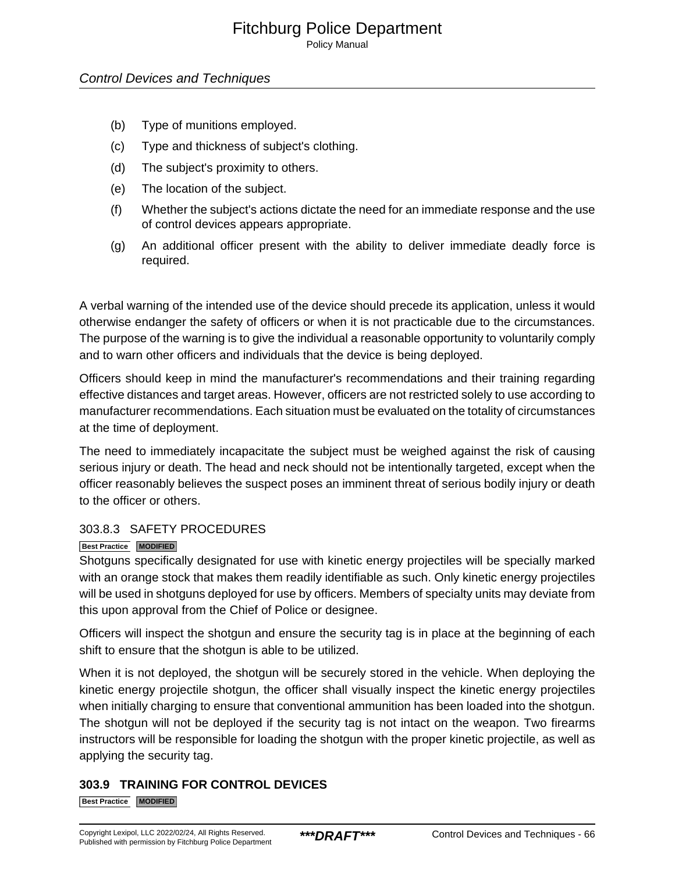Policy Manual

### Control Devices and Techniques

- (b) Type of munitions employed.
- (c) Type and thickness of subject's clothing.
- (d) The subject's proximity to others.
- (e) The location of the subject.
- (f) Whether the subject's actions dictate the need for an immediate response and the use of control devices appears appropriate.
- (g) An additional officer present with the ability to deliver immediate deadly force is required.

A verbal warning of the intended use of the device should precede its application, unless it would otherwise endanger the safety of officers or when it is not practicable due to the circumstances. The purpose of the warning is to give the individual a reasonable opportunity to voluntarily comply and to warn other officers and individuals that the device is being deployed.

Officers should keep in mind the manufacturer's recommendations and their training regarding effective distances and target areas. However, officers are not restricted solely to use according to manufacturer recommendations. Each situation must be evaluated on the totality of circumstances at the time of deployment.

The need to immediately incapacitate the subject must be weighed against the risk of causing serious injury or death. The head and neck should not be intentionally targeted, except when the officer reasonably believes the suspect poses an imminent threat of serious bodily injury or death to the officer or others.

### 303.8.3 SAFETY PROCEDURES

### **Best Practice MODIFIED**

Shotguns specifically designated for use with kinetic energy projectiles will be specially marked with an orange stock that makes them readily identifiable as such. Only kinetic energy projectiles will be used in shotguns deployed for use by officers. Members of specialty units may deviate from this upon approval from the Chief of Police or designee.

Officers will inspect the shotgun and ensure the security tag is in place at the beginning of each shift to ensure that the shotgun is able to be utilized.

When it is not deployed, the shotgun will be securely stored in the vehicle. When deploying the kinetic energy projectile shotgun, the officer shall visually inspect the kinetic energy projectiles when initially charging to ensure that conventional ammunition has been loaded into the shotgun. The shotgun will not be deployed if the security tag is not intact on the weapon. Two firearms instructors will be responsible for loading the shotgun with the proper kinetic projectile, as well as applying the security tag.

# **303.9 TRAINING FOR CONTROL DEVICES**

**Best Practice MODIFIED**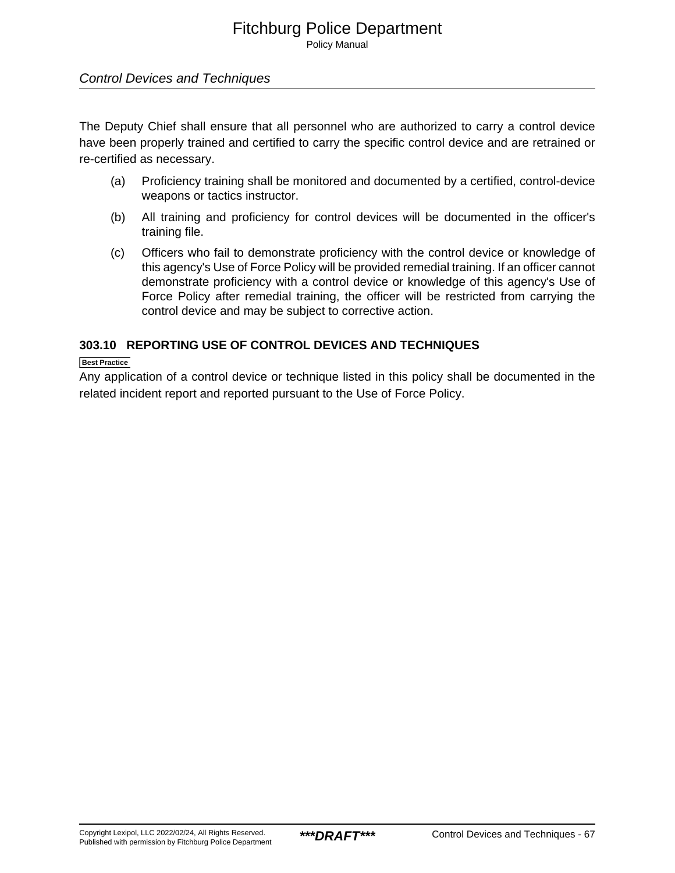Policy Manual

### Control Devices and Techniques

The Deputy Chief shall ensure that all personnel who are authorized to carry a control device have been properly trained and certified to carry the specific control device and are retrained or re-certified as necessary.

- (a) Proficiency training shall be monitored and documented by a certified, control-device weapons or tactics instructor.
- (b) All training and proficiency for control devices will be documented in the officer's training file.
- (c) Officers who fail to demonstrate proficiency with the control device or knowledge of this agency's Use of Force Policy will be provided remedial training. If an officer cannot demonstrate proficiency with a control device or knowledge of this agency's Use of Force Policy after remedial training, the officer will be restricted from carrying the control device and may be subject to corrective action.

### **303.10 REPORTING USE OF CONTROL DEVICES AND TECHNIQUES**

### **Best Practice**

Any application of a control device or technique listed in this policy shall be documented in the related incident report and reported pursuant to the Use of Force Policy.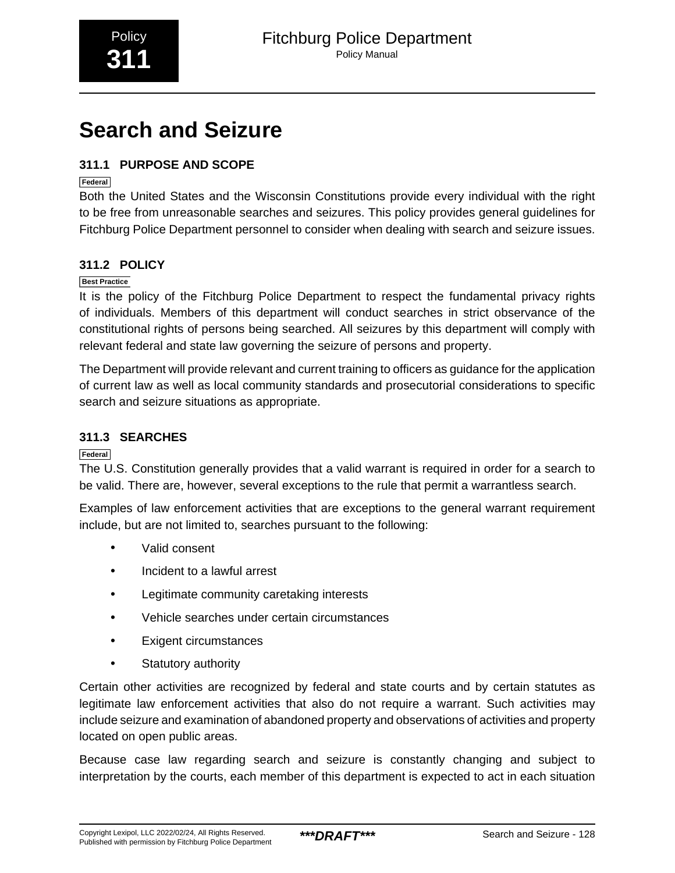# <span id="page-24-0"></span>**Search and Seizure**

# **311.1 PURPOSE AND SCOPE**

### **Federal**

Both the United States and the Wisconsin Constitutions provide every individual with the right to be free from unreasonable searches and seizures. This policy provides general guidelines for Fitchburg Police Department personnel to consider when dealing with search and seizure issues.

# **311.2 POLICY**

### **Best Practice**

It is the policy of the Fitchburg Police Department to respect the fundamental privacy rights of individuals. Members of this department will conduct searches in strict observance of the constitutional rights of persons being searched. All seizures by this department will comply with relevant federal and state law governing the seizure of persons and property.

The Department will provide relevant and current training to officers as guidance for the application of current law as well as local community standards and prosecutorial considerations to specific search and seizure situations as appropriate.

# **311.3 SEARCHES**

**Federal**

The U.S. Constitution generally provides that a valid warrant is required in order for a search to be valid. There are, however, several exceptions to the rule that permit a warrantless search.

Examples of law enforcement activities that are exceptions to the general warrant requirement include, but are not limited to, searches pursuant to the following:

- Valid consent
- Incident to a lawful arrest
- Legitimate community caretaking interests
- Vehicle searches under certain circumstances
- Exigent circumstances
- Statutory authority

Certain other activities are recognized by federal and state courts and by certain statutes as legitimate law enforcement activities that also do not require a warrant. Such activities may include seizure and examination of abandoned property and observations of activities and property located on open public areas.

Because case law regarding search and seizure is constantly changing and subject to interpretation by the courts, each member of this department is expected to act in each situation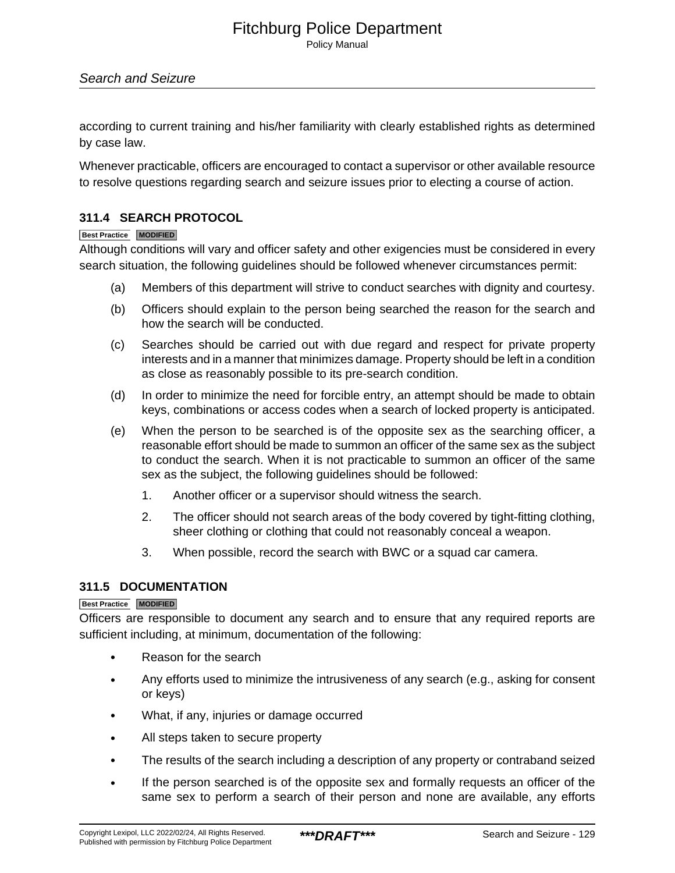Policy Manual

### Search and Seizure

according to current training and his/her familiarity with clearly established rights as determined by case law.

Whenever practicable, officers are encouraged to contact a supervisor or other available resource to resolve questions regarding search and seizure issues prior to electing a course of action.

### **311.4 SEARCH PROTOCOL**

### **Best Practice MODIFIED**

Although conditions will vary and officer safety and other exigencies must be considered in every search situation, the following guidelines should be followed whenever circumstances permit:

- (a) Members of this department will strive to conduct searches with dignity and courtesy.
- (b) Officers should explain to the person being searched the reason for the search and how the search will be conducted.
- (c) Searches should be carried out with due regard and respect for private property interests and in a manner that minimizes damage. Property should be left in a condition as close as reasonably possible to its pre-search condition.
- (d) In order to minimize the need for forcible entry, an attempt should be made to obtain keys, combinations or access codes when a search of locked property is anticipated.
- (e) When the person to be searched is of the opposite sex as the searching officer, a reasonable effort should be made to summon an officer of the same sex as the subject to conduct the search. When it is not practicable to summon an officer of the same sex as the subject, the following guidelines should be followed:
	- 1. Another officer or a supervisor should witness the search.
	- 2. The officer should not search areas of the body covered by tight-fitting clothing, sheer clothing or clothing that could not reasonably conceal a weapon.
	- 3. When possible, record the search with BWC or a squad car camera.

### **311.5 DOCUMENTATION**

### **Best Practice MODIFIED**

Officers are responsible to document any search and to ensure that any required reports are sufficient including, at minimum, documentation of the following:

- Reason for the search
- Any efforts used to minimize the intrusiveness of any search (e.g., asking for consent or keys)
- What, if any, injuries or damage occurred
- All steps taken to secure property
- The results of the search including a description of any property or contraband seized
- If the person searched is of the opposite sex and formally requests an officer of the same sex to perform a search of their person and none are available, any efforts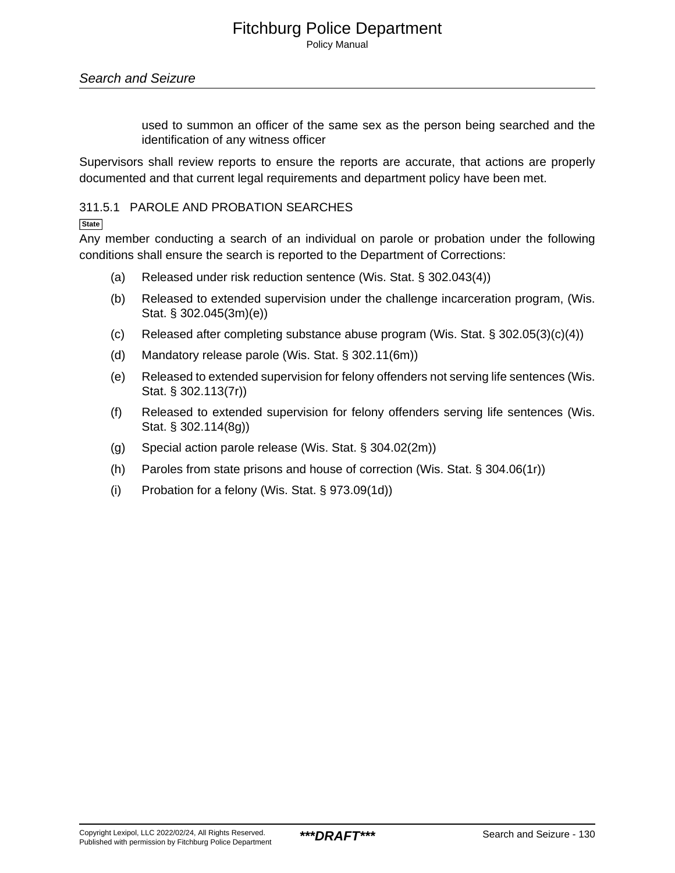used to summon an officer of the same sex as the person being searched and the identification of any witness officer

Supervisors shall review reports to ensure the reports are accurate, that actions are properly documented and that current legal requirements and department policy have been met.

### 311.5.1 PAROLE AND PROBATION SEARCHES

**State**

Any member conducting a search of an individual on parole or probation under the following conditions shall ensure the search is reported to the Department of Corrections:

- (a) Released under risk reduction sentence (Wis. Stat. § 302.043(4))
- (b) Released to extended supervision under the challenge incarceration program, (Wis. Stat. § 302.045(3m)(e))
- (c) Released after completing substance abuse program (Wis. Stat. § 302.05(3)(c)(4))
- (d) Mandatory release parole (Wis. Stat. § 302.11(6m))
- (e) Released to extended supervision for felony offenders not serving life sentences (Wis. Stat. § 302.113(7r))
- (f) Released to extended supervision for felony offenders serving life sentences (Wis. Stat. § 302.114(8g))
- (g) Special action parole release (Wis. Stat. § 304.02(2m))
- (h) Paroles from state prisons and house of correction (Wis. Stat. § 304.06(1r))
- (i) Probation for a felony (Wis. Stat. § 973.09(1d))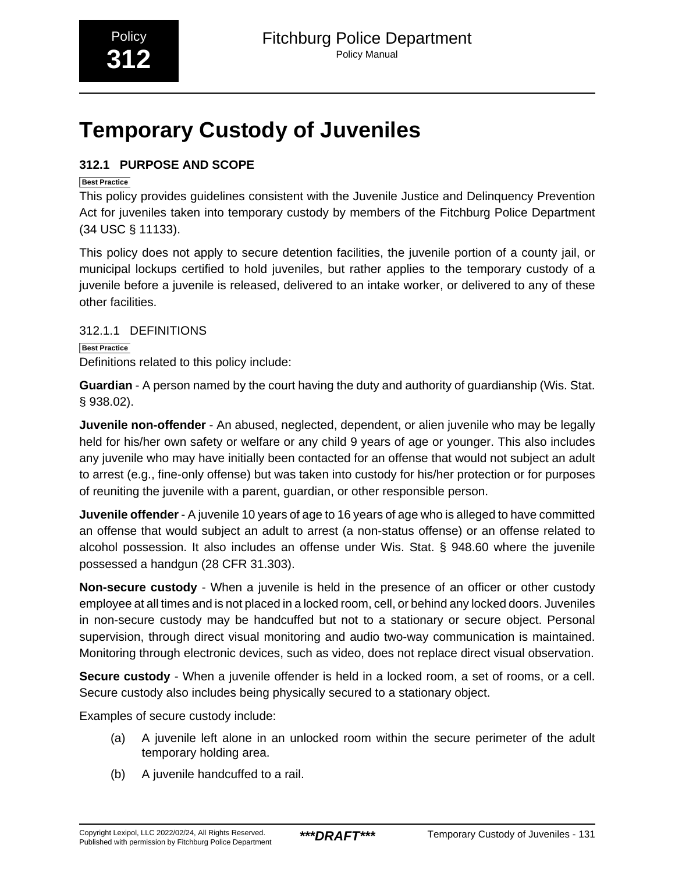# <span id="page-27-0"></span>**Temporary Custody of Juveniles**

# **312.1 PURPOSE AND SCOPE**

### **Best Practice**

This policy provides guidelines consistent with the Juvenile Justice and Delinquency Prevention Act for juveniles taken into temporary custody by members of the Fitchburg Police Department (34 USC § 11133).

This policy does not apply to secure detention facilities, the juvenile portion of a county jail, or municipal lockups certified to hold juveniles, but rather applies to the temporary custody of a juvenile before a juvenile is released, delivered to an intake worker, or delivered to any of these other facilities.

# 312.1.1 DEFINITIONS

**Best Practice** Definitions related to this policy include:

**Guardian** - A person named by the court having the duty and authority of guardianship (Wis. Stat. § 938.02).

**Juvenile non-offender** - An abused, neglected, dependent, or alien juvenile who may be legally held for his/her own safety or welfare or any child 9 years of age or younger. This also includes any juvenile who may have initially been contacted for an offense that would not subject an adult to arrest (e.g., fine-only offense) but was taken into custody for his/her protection or for purposes of reuniting the juvenile with a parent, guardian, or other responsible person.

**Juvenile offender** - A juvenile 10 years of age to 16 years of age who is alleged to have committed an offense that would subject an adult to arrest (a non-status offense) or an offense related to alcohol possession. It also includes an offense under Wis. Stat. § 948.60 where the juvenile possessed a handgun (28 CFR 31.303).

**Non-secure custody** - When a juvenile is held in the presence of an officer or other custody employee at all times and is not placed in a locked room, cell, or behind any locked doors. Juveniles in non-secure custody may be handcuffed but not to a stationary or secure object. Personal supervision, through direct visual monitoring and audio two-way communication is maintained. Monitoring through electronic devices, such as video, does not replace direct visual observation.

**Secure custody** - When a juvenile offender is held in a locked room, a set of rooms, or a cell. Secure custody also includes being physically secured to a stationary object.

Examples of secure custody include:

- (a) A juvenile left alone in an unlocked room within the secure perimeter of the adult temporary holding area.
- (b) A juvenile handcuffed to a rail.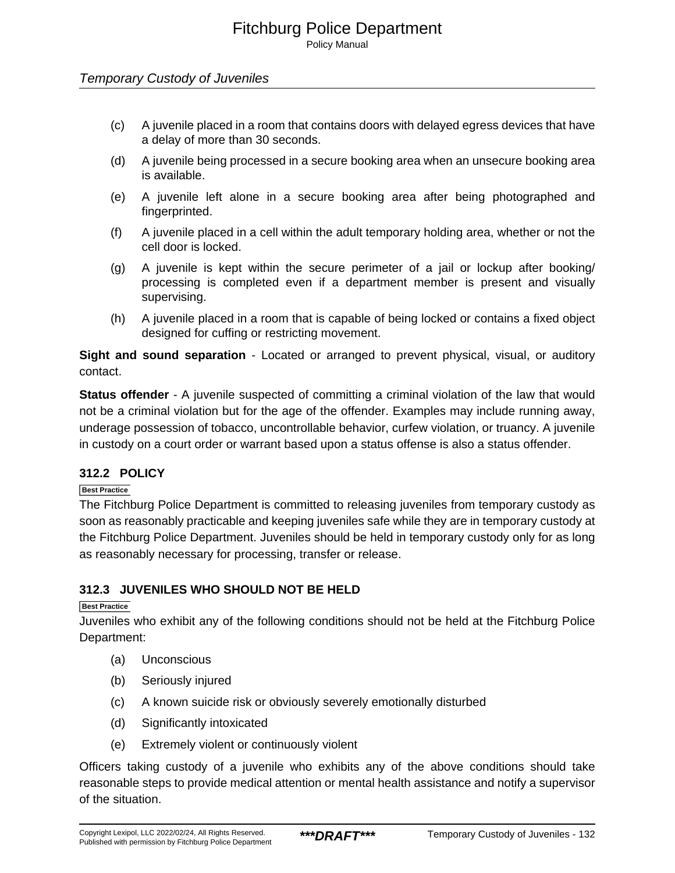### Temporary Custody of Juveniles

- (c) A juvenile placed in a room that contains doors with delayed egress devices that have a delay of more than 30 seconds.
- (d) A juvenile being processed in a secure booking area when an unsecure booking area is available.
- (e) A juvenile left alone in a secure booking area after being photographed and fingerprinted.
- (f) A juvenile placed in a cell within the adult temporary holding area, whether or not the cell door is locked.
- (g) A juvenile is kept within the secure perimeter of a jail or lockup after booking/ processing is completed even if a department member is present and visually supervising.
- (h) A juvenile placed in a room that is capable of being locked or contains a fixed object designed for cuffing or restricting movement.

**Sight and sound separation** - Located or arranged to prevent physical, visual, or auditory contact.

**Status offender** - A juvenile suspected of committing a criminal violation of the law that would not be a criminal violation but for the age of the offender. Examples may include running away, underage possession of tobacco, uncontrollable behavior, curfew violation, or truancy. A juvenile in custody on a court order or warrant based upon a status offense is also a status offender.

### **312.2 POLICY**

### **Best Practice**

The Fitchburg Police Department is committed to releasing juveniles from temporary custody as soon as reasonably practicable and keeping juveniles safe while they are in temporary custody at the Fitchburg Police Department. Juveniles should be held in temporary custody only for as long as reasonably necessary for processing, transfer or release.

### **312.3 JUVENILES WHO SHOULD NOT BE HELD**

### **Best Practice**

Juveniles who exhibit any of the following conditions should not be held at the Fitchburg Police Department:

- (a) Unconscious
- (b) Seriously injured
- (c) A known suicide risk or obviously severely emotionally disturbed
- (d) Significantly intoxicated
- (e) Extremely violent or continuously violent

Officers taking custody of a juvenile who exhibits any of the above conditions should take reasonable steps to provide medical attention or mental health assistance and notify a supervisor of the situation.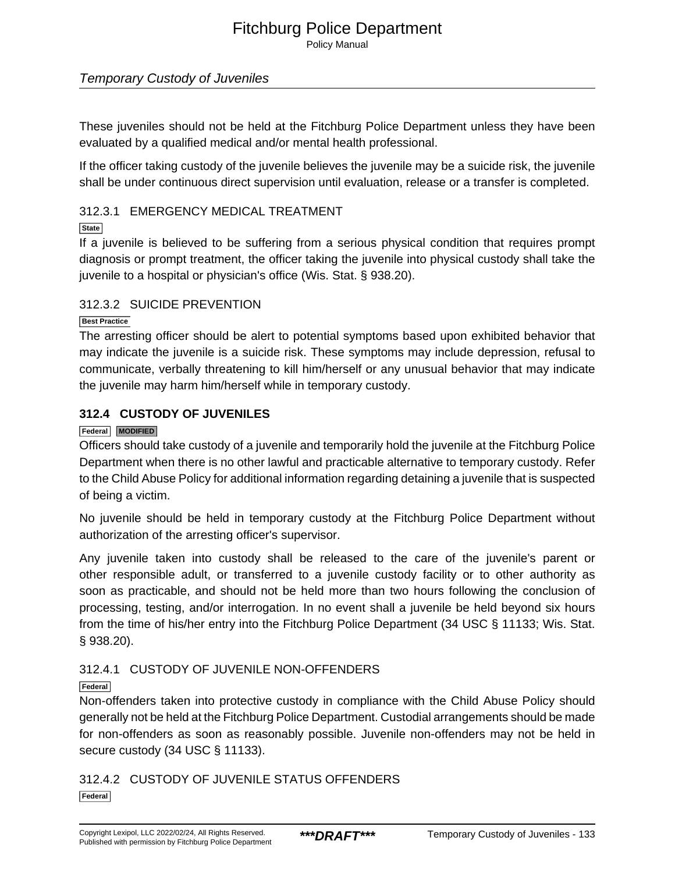Policy Manual

# Temporary Custody of Juveniles

These juveniles should not be held at the Fitchburg Police Department unless they have been evaluated by a qualified medical and/or mental health professional.

If the officer taking custody of the juvenile believes the juvenile may be a suicide risk, the juvenile shall be under continuous direct supervision until evaluation, release or a transfer is completed.

### 312.3.1 EMERGENCY MEDICAL TREATMENT

### **State**

If a juvenile is believed to be suffering from a serious physical condition that requires prompt diagnosis or prompt treatment, the officer taking the juvenile into physical custody shall take the juvenile to a hospital or physician's office (Wis. Stat. § 938.20).

### 312.3.2 SUICIDE PREVENTION

### **Best Practice**

The arresting officer should be alert to potential symptoms based upon exhibited behavior that may indicate the juvenile is a suicide risk. These symptoms may include depression, refusal to communicate, verbally threatening to kill him/herself or any unusual behavior that may indicate the juvenile may harm him/herself while in temporary custody.

### **312.4 CUSTODY OF JUVENILES**

### **Federal MODIFIED**

Officers should take custody of a juvenile and temporarily hold the juvenile at the Fitchburg Police Department when there is no other lawful and practicable alternative to temporary custody. Refer to the Child Abuse Policy for additional information regarding detaining a juvenile that is suspected of being a victim.

No juvenile should be held in temporary custody at the Fitchburg Police Department without authorization of the arresting officer's supervisor.

Any juvenile taken into custody shall be released to the care of the juvenile's parent or other responsible adult, or transferred to a juvenile custody facility or to other authority as soon as practicable, and should not be held more than two hours following the conclusion of processing, testing, and/or interrogation. In no event shall a juvenile be held beyond six hours from the time of his/her entry into the Fitchburg Police Department (34 USC § 11133; Wis. Stat. § 938.20).

### 312.4.1 CUSTODY OF JUVENILE NON-OFFENDERS

### **Federal**

Non-offenders taken into protective custody in compliance with the Child Abuse Policy should generally not be held at the Fitchburg Police Department. Custodial arrangements should be made for non-offenders as soon as reasonably possible. Juvenile non-offenders may not be held in secure custody (34 USC § 11133).

312.4.2 CUSTODY OF JUVENILE STATUS OFFENDERS **Federal**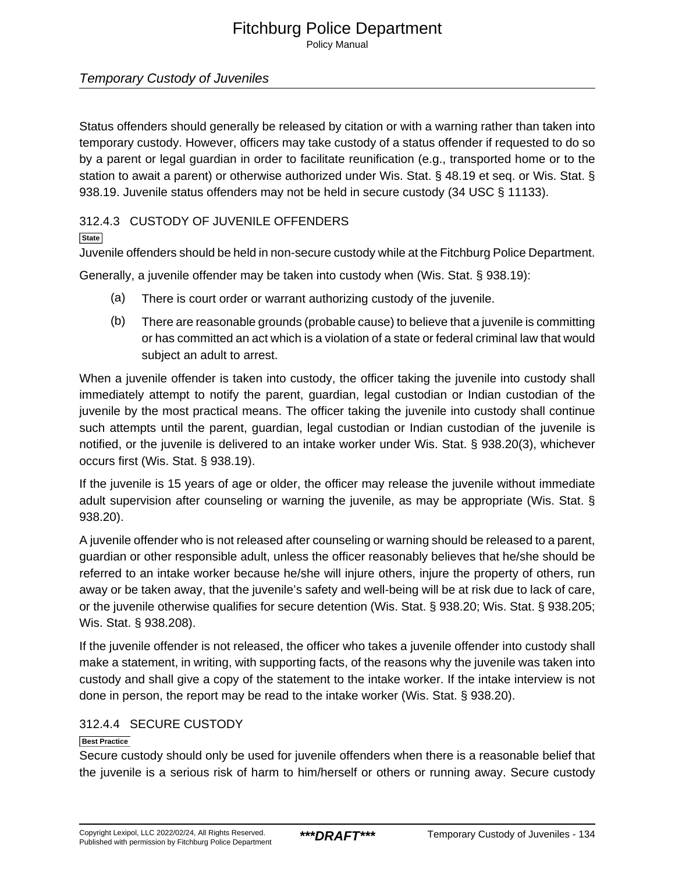Policy Manual

# Temporary Custody of Juveniles

Status offenders should generally be released by citation or with a warning rather than taken into temporary custody. However, officers may take custody of a status offender if requested to do so by a parent or legal guardian in order to facilitate reunification (e.g., transported home or to the station to await a parent) or otherwise authorized under Wis. Stat. § 48.19 et seq. or Wis. Stat. § 938.19. Juvenile status offenders may not be held in secure custody (34 USC § 11133).

### 312.4.3 CUSTODY OF JUVENILE OFFENDERS

### **State**

Juvenile offenders should be held in non-secure custody while at the Fitchburg Police Department.

Generally, a juvenile offender may be taken into custody when (Wis. Stat. § 938.19):

- (a) There is court order or warrant authorizing custody of the juvenile.
- (b) There are reasonable grounds (probable cause) to believe that a juvenile is committing or has committed an act which is a violation of a state or federal criminal law that would subject an adult to arrest.

When a juvenile offender is taken into custody, the officer taking the juvenile into custody shall immediately attempt to notify the parent, guardian, legal custodian or Indian custodian of the juvenile by the most practical means. The officer taking the juvenile into custody shall continue such attempts until the parent, guardian, legal custodian or Indian custodian of the juvenile is notified, or the juvenile is delivered to an intake worker under Wis. Stat. § 938.20(3), whichever occurs first (Wis. Stat. § 938.19).

If the juvenile is 15 years of age or older, the officer may release the juvenile without immediate adult supervision after counseling or warning the juvenile, as may be appropriate (Wis. Stat. § 938.20).

A juvenile offender who is not released after counseling or warning should be released to a parent, guardian or other responsible adult, unless the officer reasonably believes that he/she should be referred to an intake worker because he/she will injure others, injure the property of others, run away or be taken away, that the juvenile's safety and well-being will be at risk due to lack of care, or the juvenile otherwise qualifies for secure detention (Wis. Stat. § 938.20; Wis. Stat. § 938.205; Wis. Stat. § 938.208).

If the juvenile offender is not released, the officer who takes a juvenile offender into custody shall make a statement, in writing, with supporting facts, of the reasons why the juvenile was taken into custody and shall give a copy of the statement to the intake worker. If the intake interview is not done in person, the report may be read to the intake worker (Wis. Stat. § 938.20).

# 312.4.4 SECURE CUSTODY

### **Best Practice**

Secure custody should only be used for juvenile offenders when there is a reasonable belief that the juvenile is a serious risk of harm to him/herself or others or running away. Secure custody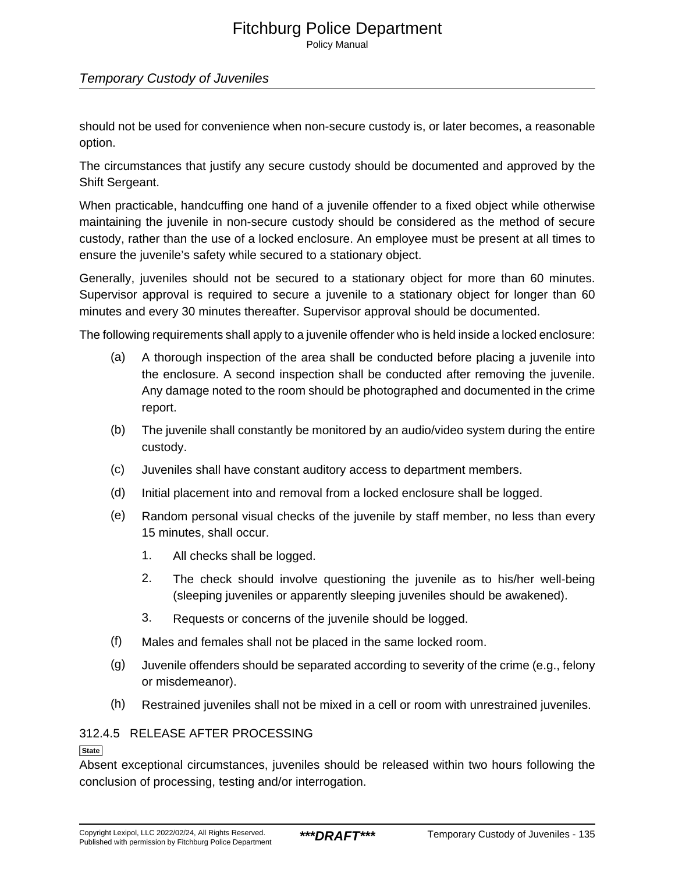Policy Manual

# Temporary Custody of Juveniles

should not be used for convenience when non-secure custody is, or later becomes, a reasonable option.

The circumstances that justify any secure custody should be documented and approved by the Shift Sergeant.

When practicable, handcuffing one hand of a juvenile offender to a fixed object while otherwise maintaining the juvenile in non-secure custody should be considered as the method of secure custody, rather than the use of a locked enclosure. An employee must be present at all times to ensure the juvenile's safety while secured to a stationary object.

Generally, juveniles should not be secured to a stationary object for more than 60 minutes. Supervisor approval is required to secure a juvenile to a stationary object for longer than 60 minutes and every 30 minutes thereafter. Supervisor approval should be documented.

The following requirements shall apply to a juvenile offender who is held inside a locked enclosure:

- (a) A thorough inspection of the area shall be conducted before placing a juvenile into the enclosure. A second inspection shall be conducted after removing the juvenile. Any damage noted to the room should be photographed and documented in the crime report.
- (b) The juvenile shall constantly be monitored by an audio/video system during the entire custody.
- (c) Juveniles shall have constant auditory access to department members.
- (d) Initial placement into and removal from a locked enclosure shall be logged.
- (e) Random personal visual checks of the juvenile by staff member, no less than every 15 minutes, shall occur.
	- 1. All checks shall be logged.
	- 2. The check should involve questioning the juvenile as to his/her well-being (sleeping juveniles or apparently sleeping juveniles should be awakened).
	- 3. Requests or concerns of the juvenile should be logged.
- (f) Males and females shall not be placed in the same locked room.
- (g) Juvenile offenders should be separated according to severity of the crime (e.g., felony or misdemeanor).
- (h) Restrained juveniles shall not be mixed in a cell or room with unrestrained juveniles.

# 312.4.5 RELEASE AFTER PROCESSING

**State**

Absent exceptional circumstances, juveniles should be released within two hours following the conclusion of processing, testing and/or interrogation.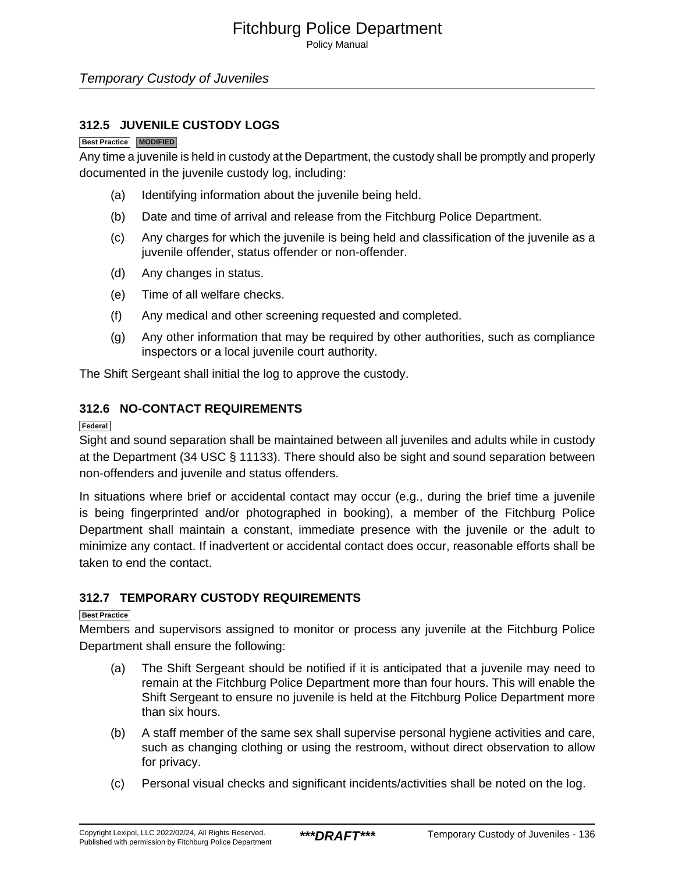Policy Manual

### Temporary Custody of Juveniles

### **312.5 JUVENILE CUSTODY LOGS**

### **Best Practice MODIFIED**

Any time a juvenile is held in custody at the Department, the custody shall be promptly and properly documented in the juvenile custody log, including:

- (a) Identifying information about the juvenile being held.
- (b) Date and time of arrival and release from the Fitchburg Police Department.
- (c) Any charges for which the juvenile is being held and classification of the juvenile as a juvenile offender, status offender or non-offender.
- (d) Any changes in status.
- (e) Time of all welfare checks.
- (f) Any medical and other screening requested and completed.
- (g) Any other information that may be required by other authorities, such as compliance inspectors or a local juvenile court authority.

The Shift Sergeant shall initial the log to approve the custody.

### **312.6 NO-CONTACT REQUIREMENTS**

#### **Federal**

Sight and sound separation shall be maintained between all juveniles and adults while in custody at the Department (34 USC § 11133). There should also be sight and sound separation between non-offenders and juvenile and status offenders.

In situations where brief or accidental contact may occur (e.g., during the brief time a juvenile is being fingerprinted and/or photographed in booking), a member of the Fitchburg Police Department shall maintain a constant, immediate presence with the juvenile or the adult to minimize any contact. If inadvertent or accidental contact does occur, reasonable efforts shall be taken to end the contact.

### **312.7 TEMPORARY CUSTODY REQUIREMENTS**

### **Best Practice**

Members and supervisors assigned to monitor or process any juvenile at the Fitchburg Police Department shall ensure the following:

- (a) The Shift Sergeant should be notified if it is anticipated that a juvenile may need to remain at the Fitchburg Police Department more than four hours. This will enable the Shift Sergeant to ensure no juvenile is held at the Fitchburg Police Department more than six hours.
- (b) A staff member of the same sex shall supervise personal hygiene activities and care, such as changing clothing or using the restroom, without direct observation to allow for privacy.
- (c) Personal visual checks and significant incidents/activities shall be noted on the log.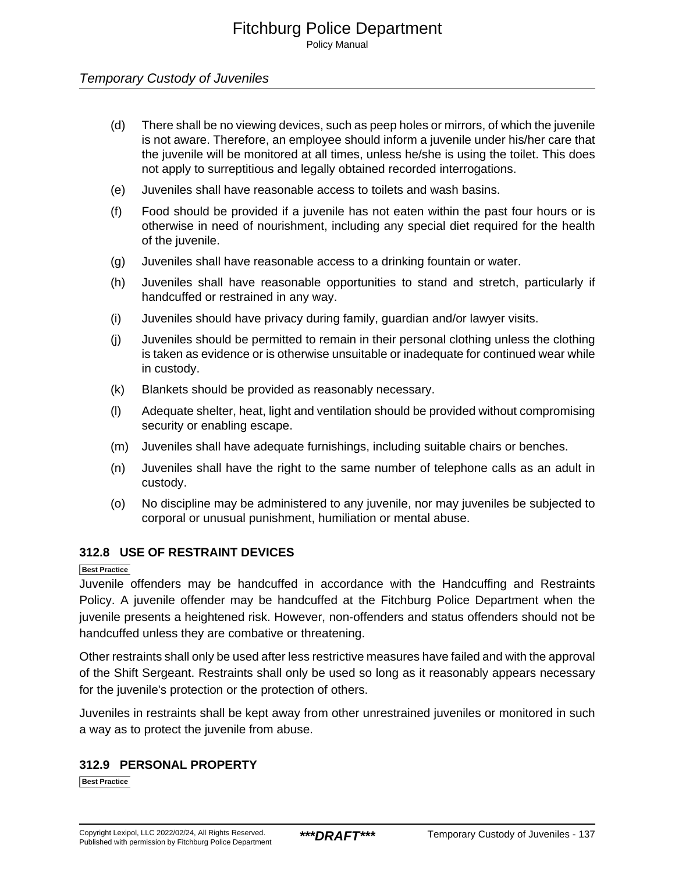Policy Manual

### Temporary Custody of Juveniles

- (d) There shall be no viewing devices, such as peep holes or mirrors, of which the juvenile is not aware. Therefore, an employee should inform a juvenile under his/her care that the juvenile will be monitored at all times, unless he/she is using the toilet. This does not apply to surreptitious and legally obtained recorded interrogations.
- (e) Juveniles shall have reasonable access to toilets and wash basins.
- (f) Food should be provided if a juvenile has not eaten within the past four hours or is otherwise in need of nourishment, including any special diet required for the health of the juvenile.
- (g) Juveniles shall have reasonable access to a drinking fountain or water.
- (h) Juveniles shall have reasonable opportunities to stand and stretch, particularly if handcuffed or restrained in any way.
- (i) Juveniles should have privacy during family, guardian and/or lawyer visits.
- (j) Juveniles should be permitted to remain in their personal clothing unless the clothing is taken as evidence or is otherwise unsuitable or inadequate for continued wear while in custody.
- (k) Blankets should be provided as reasonably necessary.
- (l) Adequate shelter, heat, light and ventilation should be provided without compromising security or enabling escape.
- (m) Juveniles shall have adequate furnishings, including suitable chairs or benches.
- (n) Juveniles shall have the right to the same number of telephone calls as an adult in custody.
- (o) No discipline may be administered to any juvenile, nor may juveniles be subjected to corporal or unusual punishment, humiliation or mental abuse.

### **312.8 USE OF RESTRAINT DEVICES**

### **Best Practice**

Juvenile offenders may be handcuffed in accordance with the Handcuffing and Restraints Policy. A juvenile offender may be handcuffed at the Fitchburg Police Department when the juvenile presents a heightened risk. However, non-offenders and status offenders should not be handcuffed unless they are combative or threatening.

Other restraints shall only be used after less restrictive measures have failed and with the approval of the Shift Sergeant. Restraints shall only be used so long as it reasonably appears necessary for the juvenile's protection or the protection of others.

Juveniles in restraints shall be kept away from other unrestrained juveniles or monitored in such a way as to protect the juvenile from abuse.

### **312.9 PERSONAL PROPERTY**

**Best Practice**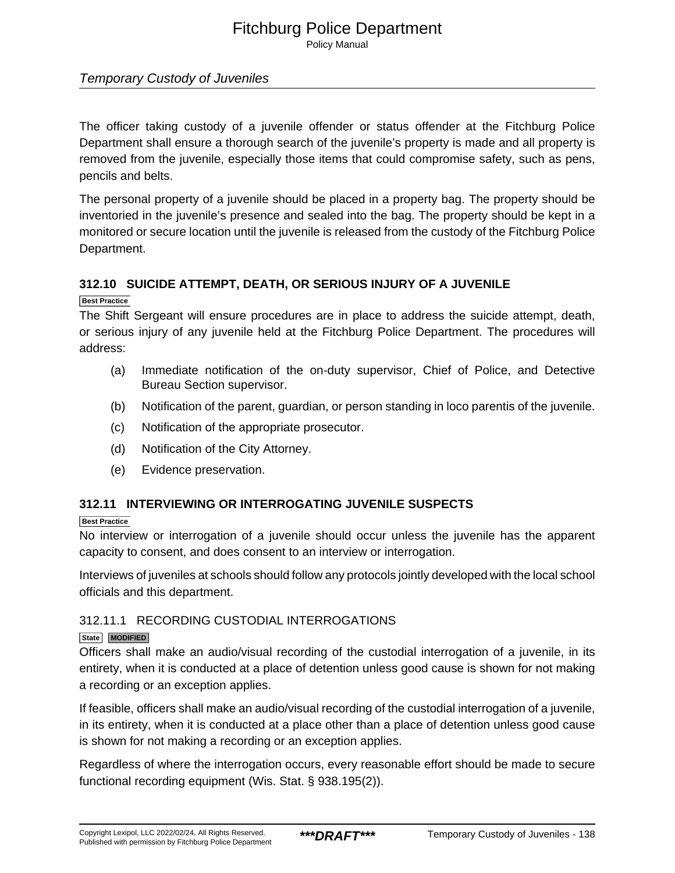Policy Manual

# Temporary Custody of Juveniles

The officer taking custody of a juvenile offender or status offender at the Fitchburg Police Department shall ensure a thorough search of the juvenile's property is made and all property is removed from the juvenile, especially those items that could compromise safety, such as pens, pencils and belts.

The personal property of a juvenile should be placed in a property bag. The property should be inventoried in the juvenile's presence and sealed into the bag. The property should be kept in a monitored or secure location until the juvenile is released from the custody of the Fitchburg Police Department.

# **312.10 SUICIDE ATTEMPT, DEATH, OR SERIOUS INJURY OF A JUVENILE**

**Best Practice**

The Shift Sergeant will ensure procedures are in place to address the suicide attempt, death, or serious injury of any juvenile held at the Fitchburg Police Department. The procedures will address:

- (a) Immediate notification of the on-duty supervisor, Chief of Police, and Detective Bureau Section supervisor.
- (b) Notification of the parent, guardian, or person standing in loco parentis of the juvenile.
- (c) Notification of the appropriate prosecutor.
- (d) Notification of the City Attorney.
- (e) Evidence preservation.

# **312.11 INTERVIEWING OR INTERROGATING JUVENILE SUSPECTS**

### **Best Practice**

No interview or interrogation of a juvenile should occur unless the juvenile has the apparent capacity to consent, and does consent to an interview or interrogation.

Interviews of juveniles at schools should follow any protocols jointly developed with the local school officials and this department.

### 312.11.1 RECORDING CUSTODIAL INTERROGATIONS

### **State MODIFIED**

Officers shall make an audio/visual recording of the custodial interrogation of a juvenile, in its entirety, when it is conducted at a place of detention unless good cause is shown for not making a recording or an exception applies.

If feasible, officers shall make an audio/visual recording of the custodial interrogation of a juvenile, in its entirety, when it is conducted at a place other than a place of detention unless good cause is shown for not making a recording or an exception applies.

Regardless of where the interrogation occurs, every reasonable effort should be made to secure functional recording equipment (Wis. Stat. § 938.195(2)).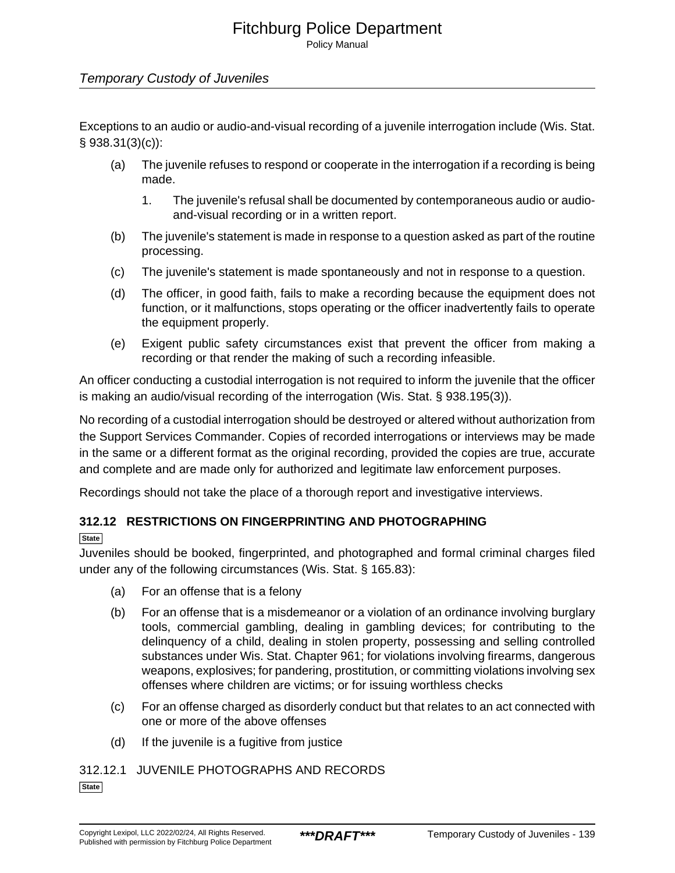Policy Manual

### Temporary Custody of Juveniles

Exceptions to an audio or audio-and-visual recording of a juvenile interrogation include (Wis. Stat. § 938.31(3)(c)):

- (a) The juvenile refuses to respond or cooperate in the interrogation if a recording is being made.
	- 1. The juvenile's refusal shall be documented by contemporaneous audio or audioand-visual recording or in a written report.
- (b) The juvenile's statement is made in response to a question asked as part of the routine processing.
- (c) The juvenile's statement is made spontaneously and not in response to a question.
- (d) The officer, in good faith, fails to make a recording because the equipment does not function, or it malfunctions, stops operating or the officer inadvertently fails to operate the equipment properly.
- (e) Exigent public safety circumstances exist that prevent the officer from making a recording or that render the making of such a recording infeasible.

An officer conducting a custodial interrogation is not required to inform the juvenile that the officer is making an audio/visual recording of the interrogation (Wis. Stat. § 938.195(3)).

No recording of a custodial interrogation should be destroyed or altered without authorization from the Support Services Commander. Copies of recorded interrogations or interviews may be made in the same or a different format as the original recording, provided the copies are true, accurate and complete and are made only for authorized and legitimate law enforcement purposes.

Recordings should not take the place of a thorough report and investigative interviews.

# **312.12 RESTRICTIONS ON FINGERPRINTING AND PHOTOGRAPHING**

**State**

Juveniles should be booked, fingerprinted, and photographed and formal criminal charges filed under any of the following circumstances (Wis. Stat. § 165.83):

- (a) For an offense that is a felony
- (b) For an offense that is a misdemeanor or a violation of an ordinance involving burglary tools, commercial gambling, dealing in gambling devices; for contributing to the delinquency of a child, dealing in stolen property, possessing and selling controlled substances under Wis. Stat. Chapter 961; for violations involving firearms, dangerous weapons, explosives; for pandering, prostitution, or committing violations involving sex offenses where children are victims; or for issuing worthless checks
- (c) For an offense charged as disorderly conduct but that relates to an act connected with one or more of the above offenses
- (d) If the juvenile is a fugitive from justice

312.12.1 JUVENILE PHOTOGRAPHS AND RECORDS **State**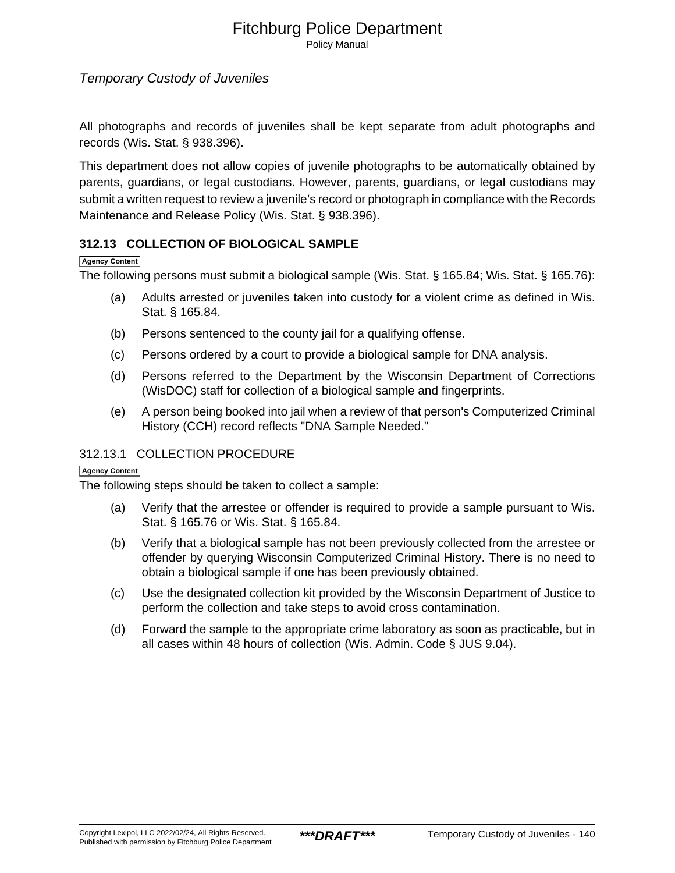Policy Manual

### Temporary Custody of Juveniles

All photographs and records of juveniles shall be kept separate from adult photographs and records (Wis. Stat. § 938.396).

This department does not allow copies of juvenile photographs to be automatically obtained by parents, guardians, or legal custodians. However, parents, guardians, or legal custodians may submit a written request to review a juvenile's record or photograph in compliance with the Records Maintenance and Release Policy (Wis. Stat. § 938.396).

### **312.13 COLLECTION OF BIOLOGICAL SAMPLE**

### **Agency Content**

The following persons must submit a biological sample (Wis. Stat. § 165.84; Wis. Stat. § 165.76):

- (a) Adults arrested or juveniles taken into custody for a violent crime as defined in Wis. Stat. § 165.84.
- (b) Persons sentenced to the county jail for a qualifying offense.
- (c) Persons ordered by a court to provide a biological sample for DNA analysis.
- (d) Persons referred to the Department by the Wisconsin Department of Corrections (WisDOC) staff for collection of a biological sample and fingerprints.
- (e) A person being booked into jail when a review of that person's Computerized Criminal History (CCH) record reflects "DNA Sample Needed."

### 312.13.1 COLLECTION PROCEDURE

### **Agency Content**

The following steps should be taken to collect a sample:

- (a) Verify that the arrestee or offender is required to provide a sample pursuant to Wis. Stat. § 165.76 or Wis. Stat. § 165.84.
- (b) Verify that a biological sample has not been previously collected from the arrestee or offender by querying Wisconsin Computerized Criminal History. There is no need to obtain a biological sample if one has been previously obtained.
- (c) Use the designated collection kit provided by the Wisconsin Department of Justice to perform the collection and take steps to avoid cross contamination.
- (d) Forward the sample to the appropriate crime laboratory as soon as practicable, but in all cases within 48 hours of collection (Wis. Admin. Code § JUS 9.04).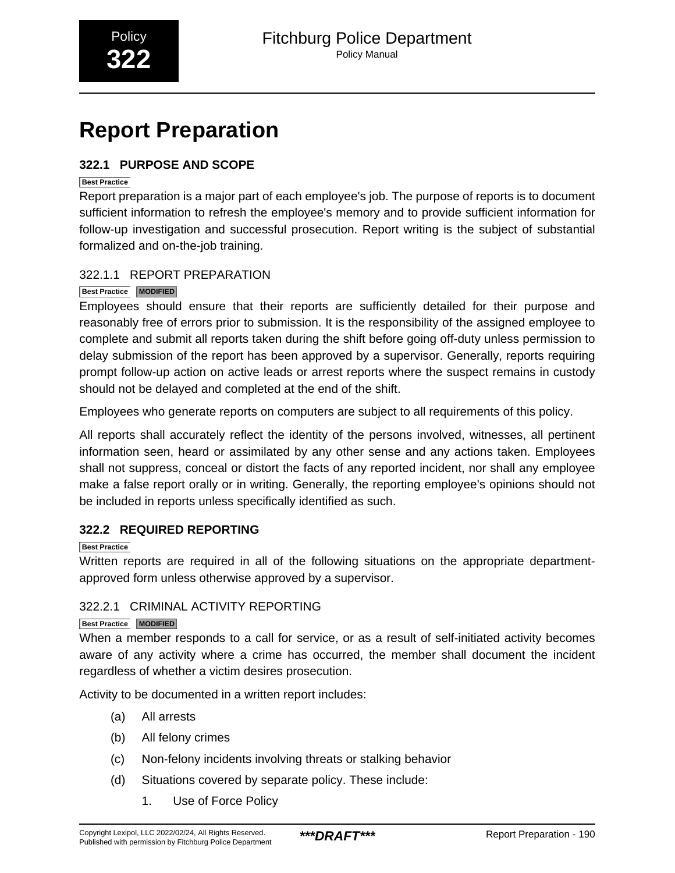# <span id="page-37-0"></span>**Report Preparation**

# **322.1 PURPOSE AND SCOPE**

### **Best Practice**

Report preparation is a major part of each employee's job. The purpose of reports is to document sufficient information to refresh the employee's memory and to provide sufficient information for follow-up investigation and successful prosecution. Report writing is the subject of substantial formalized and on-the-job training.

# 322.1.1 REPORT PREPARATION

# **Best Practice MODIFIED**

Employees should ensure that their reports are sufficiently detailed for their purpose and reasonably free of errors prior to submission. It is the responsibility of the assigned employee to complete and submit all reports taken during the shift before going off-duty unless permission to delay submission of the report has been approved by a supervisor. Generally, reports requiring prompt follow-up action on active leads or arrest reports where the suspect remains in custody should not be delayed and completed at the end of the shift.

Employees who generate reports on computers are subject to all requirements of this policy.

All reports shall accurately reflect the identity of the persons involved, witnesses, all pertinent information seen, heard or assimilated by any other sense and any actions taken. Employees shall not suppress, conceal or distort the facts of any reported incident, nor shall any employee make a false report orally or in writing. Generally, the reporting employee's opinions should not be included in reports unless specifically identified as such.

# **322.2 REQUIRED REPORTING**

# **Best Practice**

Written reports are required in all of the following situations on the appropriate departmentapproved form unless otherwise approved by a supervisor.

# 322.2.1 CRIMINAL ACTIVITY REPORTING

### **Best Practice MODIFIED**

When a member responds to a call for service, or as a result of self-initiated activity becomes aware of any activity where a crime has occurred, the member shall document the incident regardless of whether a victim desires prosecution.

Activity to be documented in a written report includes:

- (a) All arrests
- (b) All felony crimes
- (c) Non-felony incidents involving threats or stalking behavior
- (d) Situations covered by separate policy. These include:
	- 1. Use of Force Policy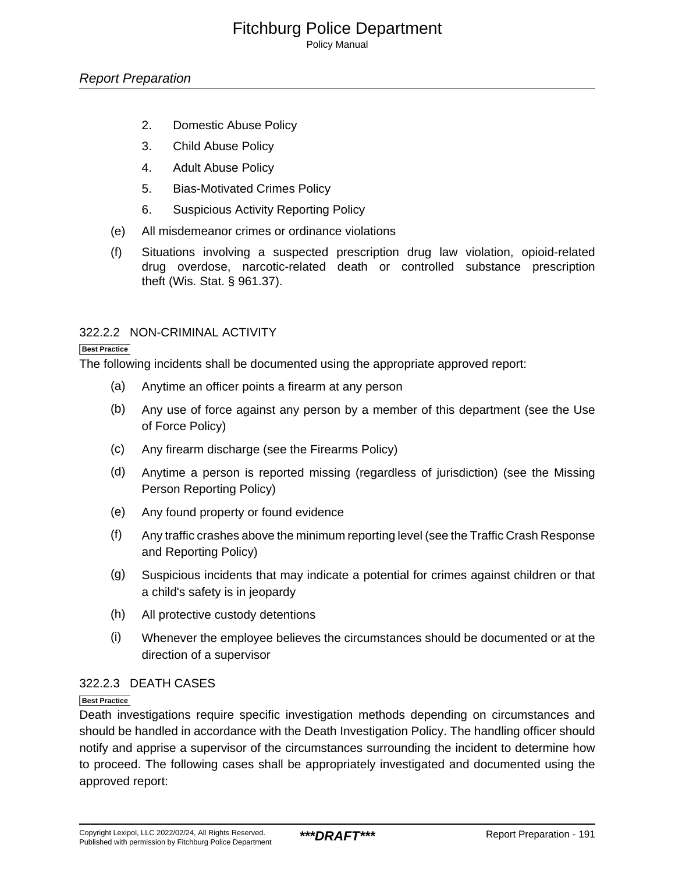Policy Manual

- 2. Domestic Abuse Policy
- 3. Child Abuse Policy
- 4. Adult Abuse Policy
- 5. Bias-Motivated Crimes Policy
- 6. Suspicious Activity Reporting Policy
- (e) All misdemeanor crimes or ordinance violations
- (f) Situations involving a suspected prescription drug law violation, opioid-related drug overdose, narcotic-related death or controlled substance prescription theft (Wis. Stat. § 961.37).

### 322.2.2 NON-CRIMINAL ACTIVITY

#### **Best Practice**

The following incidents shall be documented using the appropriate approved report:

- (a) Anytime an officer points a firearm at any person
- (b) Any use of force against any person by a member of this department (see the Use of Force Policy)
- (c) Any firearm discharge (see the Firearms Policy)
- (d) Anytime a person is reported missing (regardless of jurisdiction) (see the Missing Person Reporting Policy)
- (e) Any found property or found evidence
- (f) Any traffic crashes above the minimum reporting level (see the Traffic Crash Response and Reporting Policy)
- (g) Suspicious incidents that may indicate a potential for crimes against children or that a child's safety is in jeopardy
- (h) All protective custody detentions
- (i) Whenever the employee believes the circumstances should be documented or at the direction of a supervisor

### 322.2.3 DEATH CASES

### **Best Practice**

Death investigations require specific investigation methods depending on circumstances and should be handled in accordance with the Death Investigation Policy. The handling officer should notify and apprise a supervisor of the circumstances surrounding the incident to determine how to proceed. The following cases shall be appropriately investigated and documented using the approved report: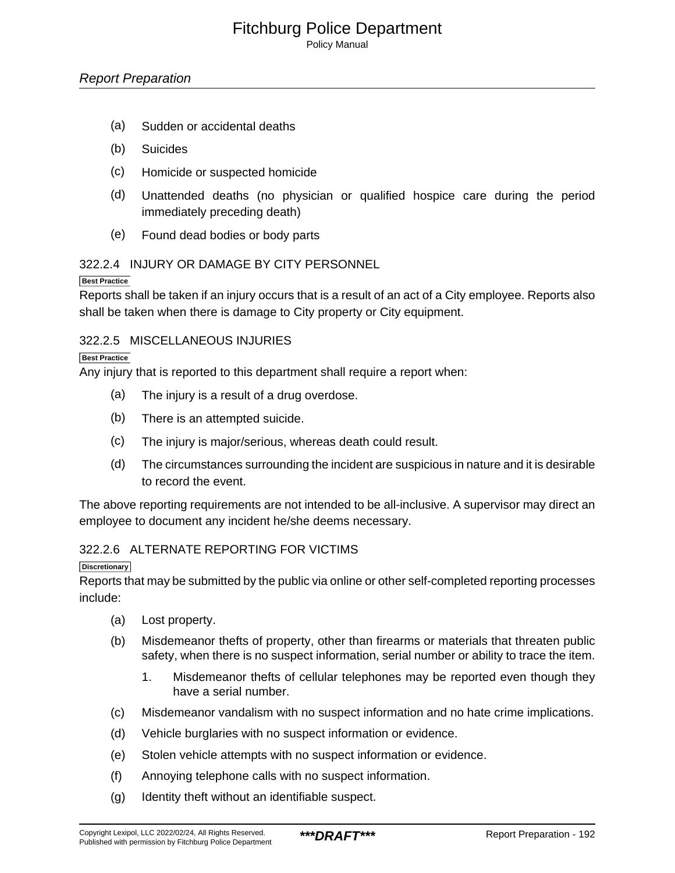Policy Manual

- (a) Sudden or accidental deaths
- (b) Suicides
- (c) Homicide or suspected homicide
- (d) Unattended deaths (no physician or qualified hospice care during the period immediately preceding death)
- (e) Found dead bodies or body parts

### 322.2.4 INJURY OR DAMAGE BY CITY PERSONNEL

### **Best Practice**

Reports shall be taken if an injury occurs that is a result of an act of a City employee. Reports also shall be taken when there is damage to City property or City equipment.

### 322.2.5 MISCELLANEOUS INJURIES

#### **Best Practice**

Any injury that is reported to this department shall require a report when:

- (a) The injury is a result of a drug overdose.
- (b) There is an attempted suicide.
- (c) The injury is major/serious, whereas death could result.
- (d) The circumstances surrounding the incident are suspicious in nature and it is desirable to record the event.

The above reporting requirements are not intended to be all-inclusive. A supervisor may direct an employee to document any incident he/she deems necessary.

### 322.2.6 ALTERNATE REPORTING FOR VICTIMS

#### **Discretionary**

Reports that may be submitted by the public via online or other self-completed reporting processes include:

- (a) Lost property.
- (b) Misdemeanor thefts of property, other than firearms or materials that threaten public safety, when there is no suspect information, serial number or ability to trace the item.
	- 1. Misdemeanor thefts of cellular telephones may be reported even though they have a serial number.
- (c) Misdemeanor vandalism with no suspect information and no hate crime implications.
- (d) Vehicle burglaries with no suspect information or evidence.
- (e) Stolen vehicle attempts with no suspect information or evidence.
- (f) Annoying telephone calls with no suspect information.
- (g) Identity theft without an identifiable suspect.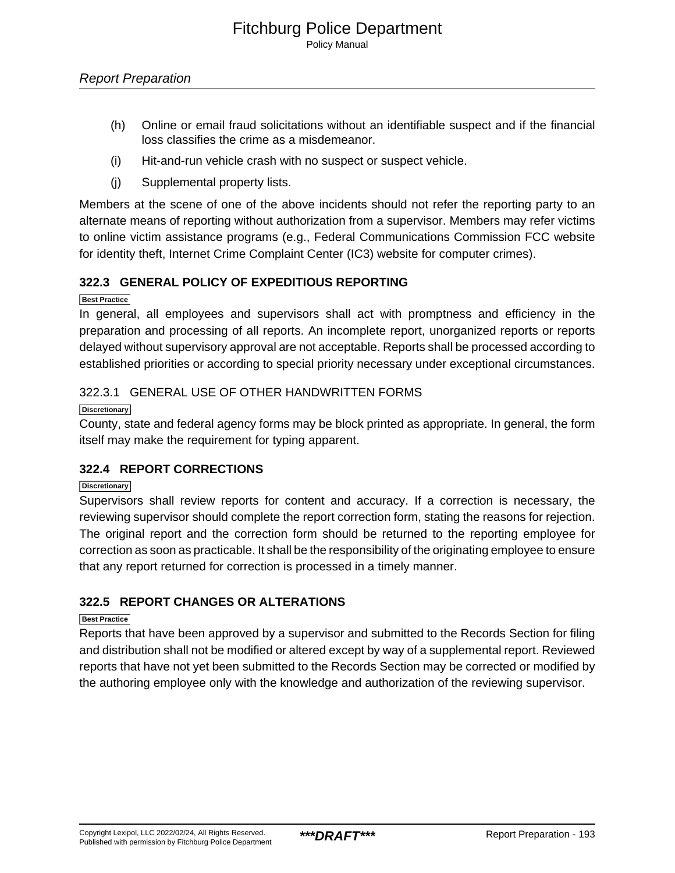- (h) Online or email fraud solicitations without an identifiable suspect and if the financial loss classifies the crime as a misdemeanor.
- (i) Hit-and-run vehicle crash with no suspect or suspect vehicle.
- (j) Supplemental property lists.

Members at the scene of one of the above incidents should not refer the reporting party to an alternate means of reporting without authorization from a supervisor. Members may refer victims to online victim assistance programs (e.g., Federal Communications Commission FCC website for identity theft, Internet Crime Complaint Center (IC3) website for computer crimes).

### **322.3 GENERAL POLICY OF EXPEDITIOUS REPORTING**

**Best Practice**

In general, all employees and supervisors shall act with promptness and efficiency in the preparation and processing of all reports. An incomplete report, unorganized reports or reports delayed without supervisory approval are not acceptable. Reports shall be processed according to established priorities or according to special priority necessary under exceptional circumstances.

### 322.3.1 GENERAL USE OF OTHER HANDWRITTEN FORMS

**Discretionary**

County, state and federal agency forms may be block printed as appropriate. In general, the form itself may make the requirement for typing apparent.

### **322.4 REPORT CORRECTIONS**

**Discretionary**

Supervisors shall review reports for content and accuracy. If a correction is necessary, the reviewing supervisor should complete the report correction form, stating the reasons for rejection. The original report and the correction form should be returned to the reporting employee for correction as soon as practicable. It shall be the responsibility of the originating employee to ensure that any report returned for correction is processed in a timely manner.

### **322.5 REPORT CHANGES OR ALTERATIONS**

### **Best Practice**

Reports that have been approved by a supervisor and submitted to the Records Section for filing and distribution shall not be modified or altered except by way of a supplemental report. Reviewed reports that have not yet been submitted to the Records Section may be corrected or modified by the authoring employee only with the knowledge and authorization of the reviewing supervisor.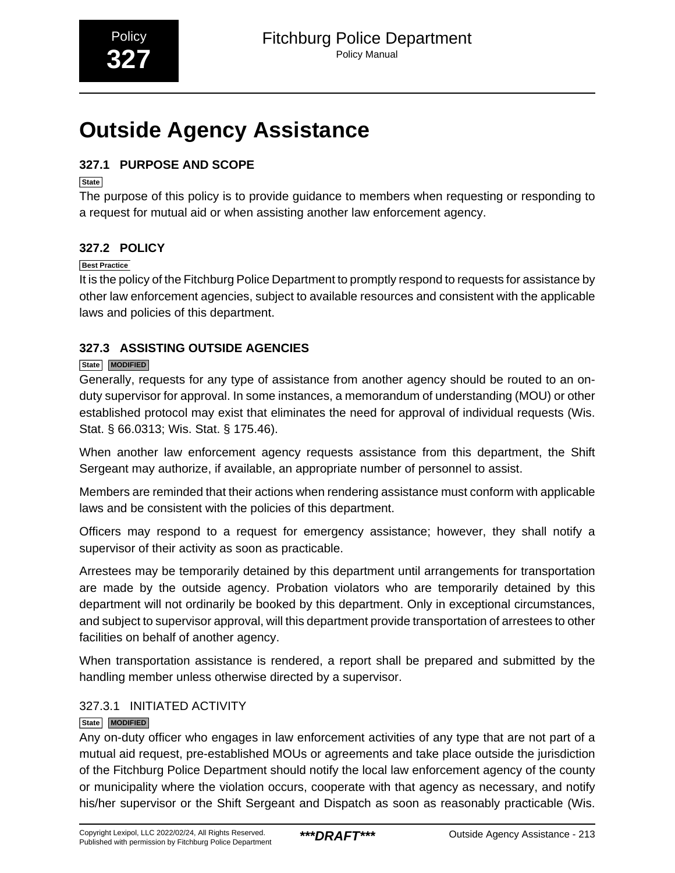# <span id="page-41-0"></span>**Outside Agency Assistance**

# **327.1 PURPOSE AND SCOPE**

**State**

The purpose of this policy is to provide guidance to members when requesting or responding to a request for mutual aid or when assisting another law enforcement agency.

# **327.2 POLICY**

### **Best Practice**

It is the policy of the Fitchburg Police Department to promptly respond to requests for assistance by other law enforcement agencies, subject to available resources and consistent with the applicable laws and policies of this department.

# **327.3 ASSISTING OUTSIDE AGENCIES**

# **State MODIFIED**

Generally, requests for any type of assistance from another agency should be routed to an onduty supervisor for approval. In some instances, a memorandum of understanding (MOU) or other established protocol may exist that eliminates the need for approval of individual requests (Wis. Stat. § 66.0313; Wis. Stat. § 175.46).

When another law enforcement agency requests assistance from this department, the Shift Sergeant may authorize, if available, an appropriate number of personnel to assist.

Members are reminded that their actions when rendering assistance must conform with applicable laws and be consistent with the policies of this department.

Officers may respond to a request for emergency assistance; however, they shall notify a supervisor of their activity as soon as practicable.

Arrestees may be temporarily detained by this department until arrangements for transportation are made by the outside agency. Probation violators who are temporarily detained by this department will not ordinarily be booked by this department. Only in exceptional circumstances, and subject to supervisor approval, will this department provide transportation of arrestees to other facilities on behalf of another agency.

When transportation assistance is rendered, a report shall be prepared and submitted by the handling member unless otherwise directed by a supervisor.

# 327.3.1 INITIATED ACTIVITY

### **State MODIFIED**

Any on-duty officer who engages in law enforcement activities of any type that are not part of a mutual aid request, pre-established MOUs or agreements and take place outside the jurisdiction of the Fitchburg Police Department should notify the local law enforcement agency of the county or municipality where the violation occurs, cooperate with that agency as necessary, and notify his/her supervisor or the Shift Sergeant and Dispatch as soon as reasonably practicable (Wis.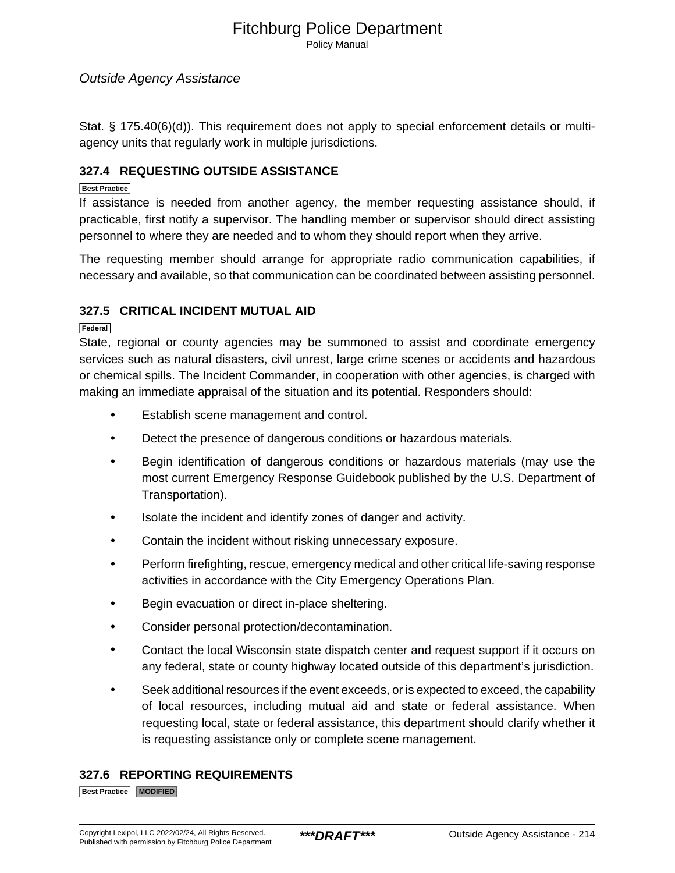Policy Manual

### Outside Agency Assistance

Stat. § 175.40(6)(d)). This requirement does not apply to special enforcement details or multiagency units that regularly work in multiple jurisdictions.

### **327.4 REQUESTING OUTSIDE ASSISTANCE**

#### **Best Practice**

If assistance is needed from another agency, the member requesting assistance should, if practicable, first notify a supervisor. The handling member or supervisor should direct assisting personnel to where they are needed and to whom they should report when they arrive.

The requesting member should arrange for appropriate radio communication capabilities, if necessary and available, so that communication can be coordinated between assisting personnel.

### **327.5 CRITICAL INCIDENT MUTUAL AID**

**Federal**

State, regional or county agencies may be summoned to assist and coordinate emergency services such as natural disasters, civil unrest, large crime scenes or accidents and hazardous or chemical spills. The Incident Commander, in cooperation with other agencies, is charged with making an immediate appraisal of the situation and its potential. Responders should:

- Establish scene management and control.
- Detect the presence of dangerous conditions or hazardous materials.
- Begin identification of dangerous conditions or hazardous materials (may use the most current Emergency Response Guidebook published by the U.S. Department of Transportation).
- Isolate the incident and identify zones of danger and activity.
- Contain the incident without risking unnecessary exposure.
- Perform firefighting, rescue, emergency medical and other critical life-saving response activities in accordance with the City Emergency Operations Plan.
- Begin evacuation or direct in-place sheltering.
- Consider personal protection/decontamination.
- Contact the local Wisconsin state dispatch center and request support if it occurs on any federal, state or county highway located outside of this department's jurisdiction.
- Seek additional resources if the event exceeds, or is expected to exceed, the capability of local resources, including mutual aid and state or federal assistance. When requesting local, state or federal assistance, this department should clarify whether it is requesting assistance only or complete scene management.

### **327.6 REPORTING REQUIREMENTS**

**Best Practice MODIFIED**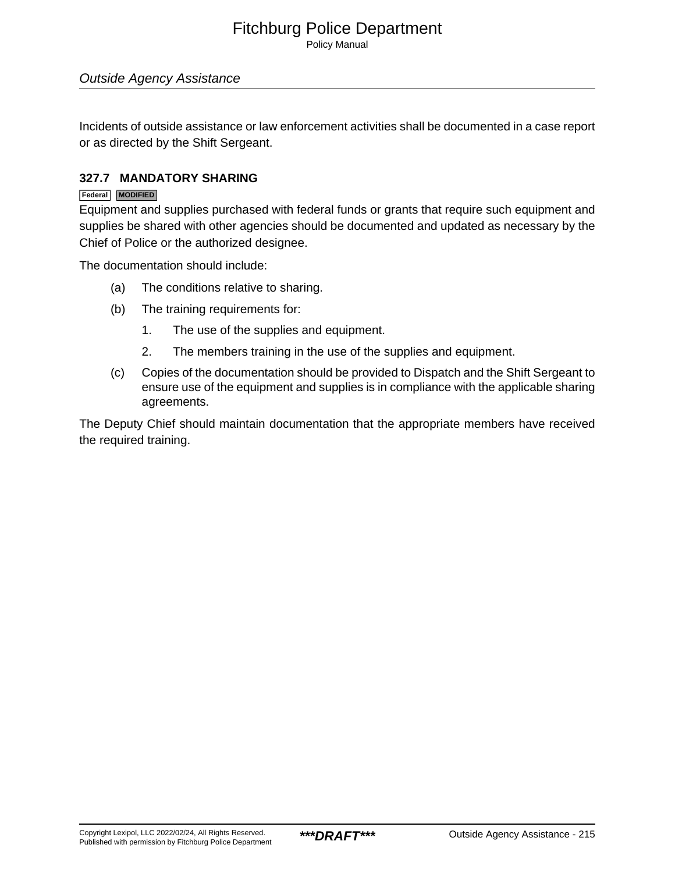Policy Manual

### Outside Agency Assistance

Incidents of outside assistance or law enforcement activities shall be documented in a case report or as directed by the Shift Sergeant.

### **327.7 MANDATORY SHARING**

### **Federal MODIFIED**

Equipment and supplies purchased with federal funds or grants that require such equipment and supplies be shared with other agencies should be documented and updated as necessary by the Chief of Police or the authorized designee.

The documentation should include:

- (a) The conditions relative to sharing.
- (b) The training requirements for:
	- 1. The use of the supplies and equipment.
	- 2. The members training in the use of the supplies and equipment.
- (c) Copies of the documentation should be provided to Dispatch and the Shift Sergeant to ensure use of the equipment and supplies is in compliance with the applicable sharing agreements.

The Deputy Chief should maintain documentation that the appropriate members have received the required training.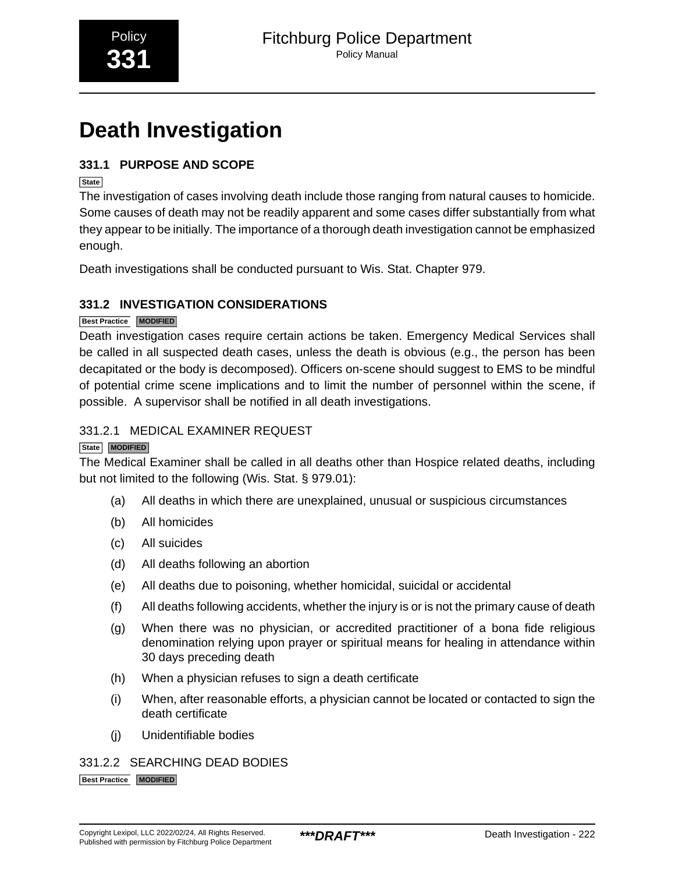# <span id="page-44-0"></span>**Death Investigation**

# **331.1 PURPOSE AND SCOPE**

**State**

The investigation of cases involving death include those ranging from natural causes to homicide. Some causes of death may not be readily apparent and some cases differ substantially from what they appear to be initially. The importance of a thorough death investigation cannot be emphasized enough.

Death investigations shall be conducted pursuant to Wis. Stat. Chapter 979.

# **331.2 INVESTIGATION CONSIDERATIONS**

### **Best Practice MODIFIED**

Death investigation cases require certain actions be taken. Emergency Medical Services shall be called in all suspected death cases, unless the death is obvious (e.g., the person has been decapitated or the body is decomposed). Officers on-scene should suggest to EMS to be mindful of potential crime scene implications and to limit the number of personnel within the scene, if possible. A supervisor shall be notified in all death investigations.

# 331.2.1 MEDICAL EXAMINER REQUEST

### **State MODIFIED**

The Medical Examiner shall be called in all deaths other than Hospice related deaths, including but not limited to the following (Wis. Stat. § 979.01):

- (a) All deaths in which there are unexplained, unusual or suspicious circumstances
- (b) All homicides
- (c) All suicides
- (d) All deaths following an abortion
- (e) All deaths due to poisoning, whether homicidal, suicidal or accidental
- (f) All deaths following accidents, whether the injury is or is not the primary cause of death
- (g) When there was no physician, or accredited practitioner of a bona fide religious denomination relying upon prayer or spiritual means for healing in attendance within 30 days preceding death
- (h) When a physician refuses to sign a death certificate
- (i) When, after reasonable efforts, a physician cannot be located or contacted to sign the death certificate
- (j) Unidentifiable bodies

# 331.2.2 SEARCHING DEAD BODIES

**Best Practice MODIFIED**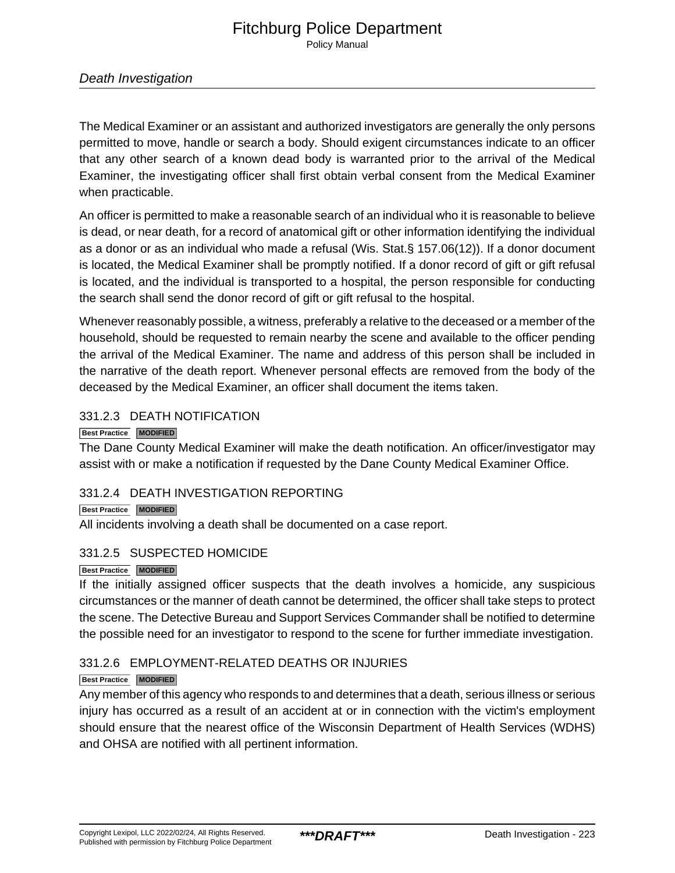Policy Manual

### Death Investigation

The Medical Examiner or an assistant and authorized investigators are generally the only persons permitted to move, handle or search a body. Should exigent circumstances indicate to an officer that any other search of a known dead body is warranted prior to the arrival of the Medical Examiner, the investigating officer shall first obtain verbal consent from the Medical Examiner when practicable.

An officer is permitted to make a reasonable search of an individual who it is reasonable to believe is dead, or near death, for a record of anatomical gift or other information identifying the individual as a donor or as an individual who made a refusal (Wis. Stat.§ 157.06(12)). If a donor document is located, the Medical Examiner shall be promptly notified. If a donor record of gift or gift refusal is located, and the individual is transported to a hospital, the person responsible for conducting the search shall send the donor record of gift or gift refusal to the hospital.

Whenever reasonably possible, a witness, preferably a relative to the deceased or a member of the household, should be requested to remain nearby the scene and available to the officer pending the arrival of the Medical Examiner. The name and address of this person shall be included in the narrative of the death report. Whenever personal effects are removed from the body of the deceased by the Medical Examiner, an officer shall document the items taken.

### 331.2.3 DEATH NOTIFICATION

### **Best Practice MODIFIED**

The Dane County Medical Examiner will make the death notification. An officer/investigator may assist with or make a notification if requested by the Dane County Medical Examiner Office.

### 331.2.4 DEATH INVESTIGATION REPORTING

### **Best Practice MODIFIED**

All incidents involving a death shall be documented on a case report.

### 331.2.5 SUSPECTED HOMICIDE

### **Best Practice MODIFIED**

If the initially assigned officer suspects that the death involves a homicide, any suspicious circumstances or the manner of death cannot be determined, the officer shall take steps to protect the scene. The Detective Bureau and Support Services Commander shall be notified to determine the possible need for an investigator to respond to the scene for further immediate investigation.

### 331.2.6 EMPLOYMENT-RELATED DEATHS OR INJURIES

### **Best Practice MODIFIED**

Any member of this agency who responds to and determines that a death, serious illness or serious injury has occurred as a result of an accident at or in connection with the victim's employment should ensure that the nearest office of the Wisconsin Department of Health Services (WDHS) and OHSA are notified with all pertinent information.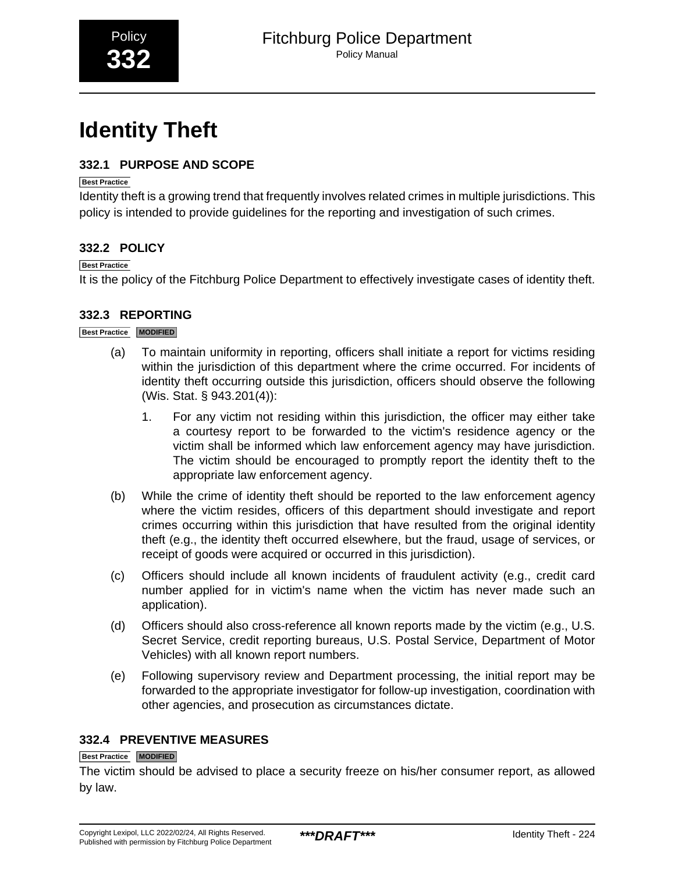# <span id="page-46-0"></span>**Identity Theft**

# **332.1 PURPOSE AND SCOPE**

### **Best Practice**

Identity theft is a growing trend that frequently involves related crimes in multiple jurisdictions. This policy is intended to provide guidelines for the reporting and investigation of such crimes.

# **332.2 POLICY**

### **Best Practice**

It is the policy of the Fitchburg Police Department to effectively investigate cases of identity theft.

# **332.3 REPORTING**

### **Best Practice MODIFIED**

- (a) To maintain uniformity in reporting, officers shall initiate a report for victims residing within the jurisdiction of this department where the crime occurred. For incidents of identity theft occurring outside this jurisdiction, officers should observe the following (Wis. Stat. § 943.201(4)):
	- 1. For any victim not residing within this jurisdiction, the officer may either take a courtesy report to be forwarded to the victim's residence agency or the victim shall be informed which law enforcement agency may have jurisdiction. The victim should be encouraged to promptly report the identity theft to the appropriate law enforcement agency.
- (b) While the crime of identity theft should be reported to the law enforcement agency where the victim resides, officers of this department should investigate and report crimes occurring within this jurisdiction that have resulted from the original identity theft (e.g., the identity theft occurred elsewhere, but the fraud, usage of services, or receipt of goods were acquired or occurred in this jurisdiction).
- (c) Officers should include all known incidents of fraudulent activity (e.g., credit card number applied for in victim's name when the victim has never made such an application).
- (d) Officers should also cross-reference all known reports made by the victim (e.g., U.S. Secret Service, credit reporting bureaus, U.S. Postal Service, Department of Motor Vehicles) with all known report numbers.
- (e) Following supervisory review and Department processing, the initial report may be forwarded to the appropriate investigator for follow-up investigation, coordination with other agencies, and prosecution as circumstances dictate.

# **332.4 PREVENTIVE MEASURES**

### **Best Practice MODIFIED**

The victim should be advised to place a security freeze on his/her consumer report, as allowed by law.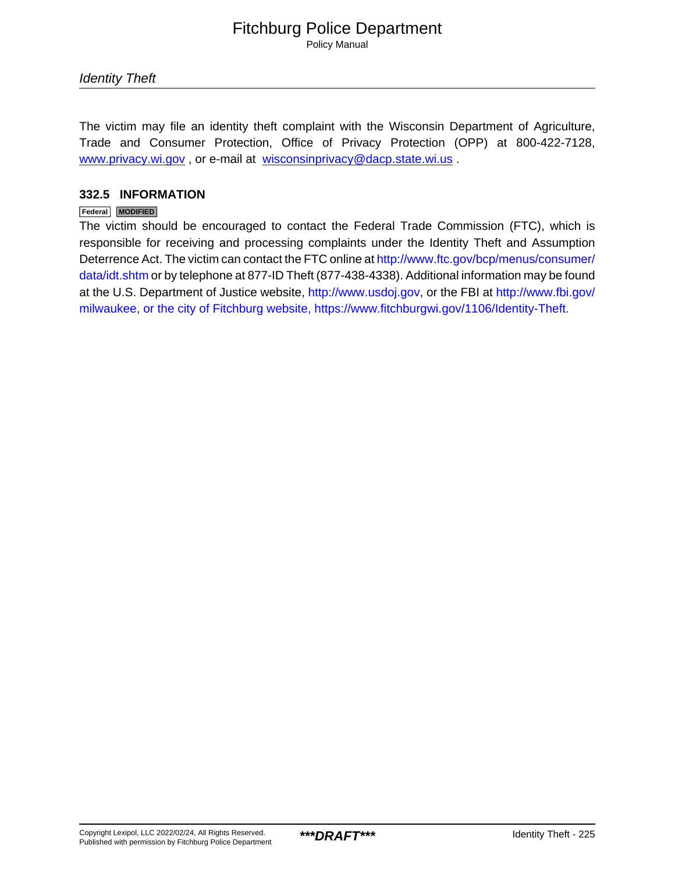Policy Manual

Identity Theft

The victim may file an identity theft complaint with the Wisconsin Department of Agriculture, Trade and Consumer Protection, Office of Privacy Protection (OPP) at 800-422-7128, [www.privacy.wi.gov](http://www.privacy.wi.gov/) , or e-mail at [wisconsinprivacy@dacp.state.wi.us](mailto:wisconsinprivacy@dacp.state.wi.us) .

### **332.5 INFORMATION**

### **Federal MODIFIED**

The victim should be encouraged to contact the Federal Trade Commission (FTC), which is responsible for receiving and processing complaints under the Identity Theft and Assumption Deterrence Act. The victim can contact the FTC online at [http://www.ftc.gov/bcp/menus/consumer/](http://www.ftc.gov/bcp/menus/consumer/data/idt.shtm) [data/idt.shtm](http://www.ftc.gov/bcp/menus/consumer/data/idt.shtm) or by telephone at 877-ID Theft (877-438-4338). Additional information may be found at the U.S. Department of Justice website, <http://www.usdoj.gov>, or the FBI at [http://www.fbi.gov/](http://www.fbi.gov/milwaukee) [milwaukee, or the city of Fitchburg website, https://www.fitchburgwi.gov/1106/Identity-Theft.](http://www.fbi.gov/milwaukee)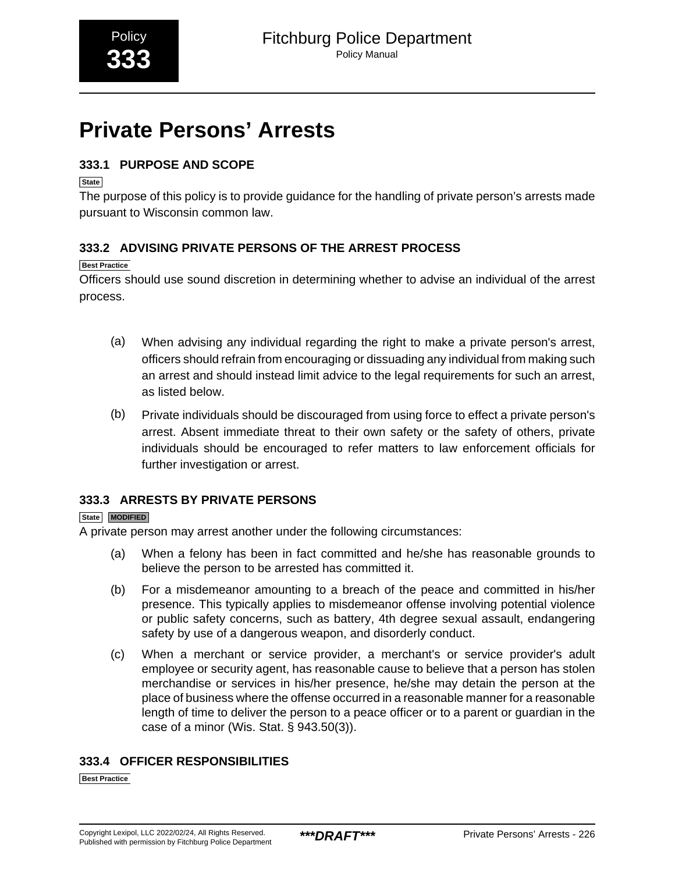# <span id="page-48-0"></span>**Private Persons' Arrests**

# **333.1 PURPOSE AND SCOPE**

**State**

The purpose of this policy is to provide guidance for the handling of private person's arrests made pursuant to Wisconsin common law.

# **333.2 ADVISING PRIVATE PERSONS OF THE ARREST PROCESS**

### **Best Practice**

Officers should use sound discretion in determining whether to advise an individual of the arrest process.

- (a) When advising any individual regarding the right to make a private person's arrest, officers should refrain from encouraging or dissuading any individual from making such an arrest and should instead limit advice to the legal requirements for such an arrest, as listed below.
- (b) Private individuals should be discouraged from using force to effect a private person's arrest. Absent immediate threat to their own safety or the safety of others, private individuals should be encouraged to refer matters to law enforcement officials for further investigation or arrest.

# **333.3 ARRESTS BY PRIVATE PERSONS**

### **State MODIFIED**

A private person may arrest another under the following circumstances:

- (a) When a felony has been in fact committed and he/she has reasonable grounds to believe the person to be arrested has committed it.
- (b) For a misdemeanor amounting to a breach of the peace and committed in his/her presence. This typically applies to misdemeanor offense involving potential violence or public safety concerns, such as battery, 4th degree sexual assault, endangering safety by use of a dangerous weapon, and disorderly conduct.
- (c) When a merchant or service provider, a merchant's or service provider's adult employee or security agent, has reasonable cause to believe that a person has stolen merchandise or services in his/her presence, he/she may detain the person at the place of business where the offense occurred in a reasonable manner for a reasonable length of time to deliver the person to a peace officer or to a parent or guardian in the case of a minor (Wis. Stat. § 943.50(3)).

# **333.4 OFFICER RESPONSIBILITIES**

**Best Practice**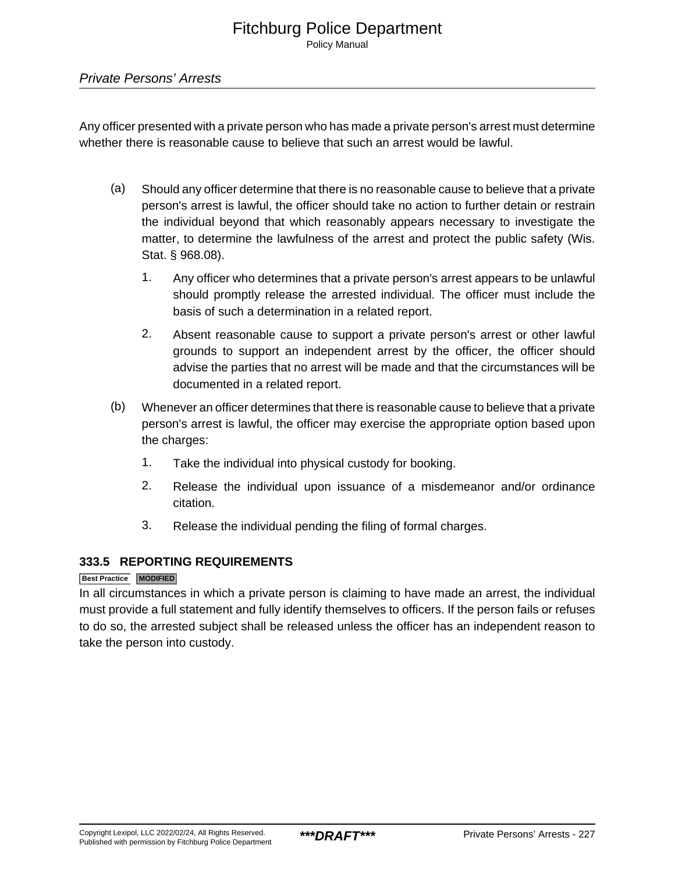### Private Persons' Arrests

Any officer presented with a private person who has made a private person's arrest must determine whether there is reasonable cause to believe that such an arrest would be lawful.

- (a) Should any officer determine that there is no reasonable cause to believe that a private person's arrest is lawful, the officer should take no action to further detain or restrain the individual beyond that which reasonably appears necessary to investigate the matter, to determine the lawfulness of the arrest and protect the public safety (Wis. Stat. § 968.08).
	- 1. Any officer who determines that a private person's arrest appears to be unlawful should promptly release the arrested individual. The officer must include the basis of such a determination in a related report.
	- 2. Absent reasonable cause to support a private person's arrest or other lawful grounds to support an independent arrest by the officer, the officer should advise the parties that no arrest will be made and that the circumstances will be documented in a related report.
- (b) Whenever an officer determines that there is reasonable cause to believe that a private person's arrest is lawful, the officer may exercise the appropriate option based upon the charges:
	- 1. Take the individual into physical custody for booking.
	- 2. Release the individual upon issuance of a misdemeanor and/or ordinance citation.
	- 3. Release the individual pending the filing of formal charges.

### **333.5 REPORTING REQUIREMENTS**

### **Best Practice MODIFIED**

In all circumstances in which a private person is claiming to have made an arrest, the individual must provide a full statement and fully identify themselves to officers. If the person fails or refuses to do so, the arrested subject shall be released unless the officer has an independent reason to take the person into custody.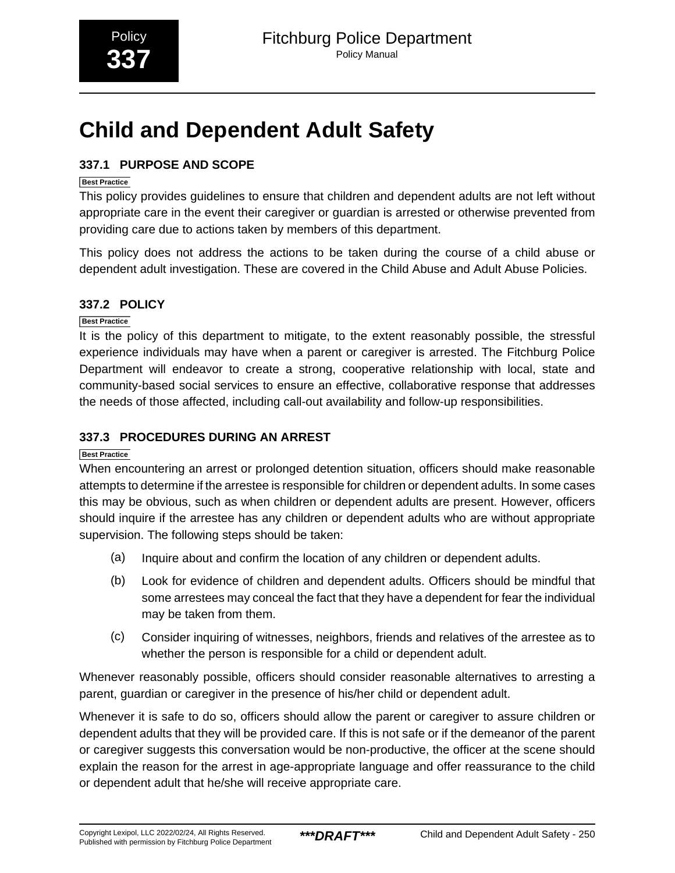# <span id="page-50-0"></span>**Child and Dependent Adult Safety**

# **337.1 PURPOSE AND SCOPE**

### **Best Practice**

This policy provides guidelines to ensure that children and dependent adults are not left without appropriate care in the event their caregiver or guardian is arrested or otherwise prevented from providing care due to actions taken by members of this department.

This policy does not address the actions to be taken during the course of a child abuse or dependent adult investigation. These are covered in the Child Abuse and Adult Abuse Policies.

# **337.2 POLICY**

### **Best Practice**

It is the policy of this department to mitigate, to the extent reasonably possible, the stressful experience individuals may have when a parent or caregiver is arrested. The Fitchburg Police Department will endeavor to create a strong, cooperative relationship with local, state and community-based social services to ensure an effective, collaborative response that addresses the needs of those affected, including call-out availability and follow-up responsibilities.

# **337.3 PROCEDURES DURING AN ARREST**

### **Best Practice**

When encountering an arrest or prolonged detention situation, officers should make reasonable attempts to determine if the arrestee is responsible for children or dependent adults. In some cases this may be obvious, such as when children or dependent adults are present. However, officers should inquire if the arrestee has any children or dependent adults who are without appropriate supervision. The following steps should be taken:

- (a) Inquire about and confirm the location of any children or dependent adults.
- (b) Look for evidence of children and dependent adults. Officers should be mindful that some arrestees may conceal the fact that they have a dependent for fear the individual may be taken from them.
- (c) Consider inquiring of witnesses, neighbors, friends and relatives of the arrestee as to whether the person is responsible for a child or dependent adult.

Whenever reasonably possible, officers should consider reasonable alternatives to arresting a parent, guardian or caregiver in the presence of his/her child or dependent adult.

Whenever it is safe to do so, officers should allow the parent or caregiver to assure children or dependent adults that they will be provided care. If this is not safe or if the demeanor of the parent or caregiver suggests this conversation would be non-productive, the officer at the scene should explain the reason for the arrest in age-appropriate language and offer reassurance to the child or dependent adult that he/she will receive appropriate care.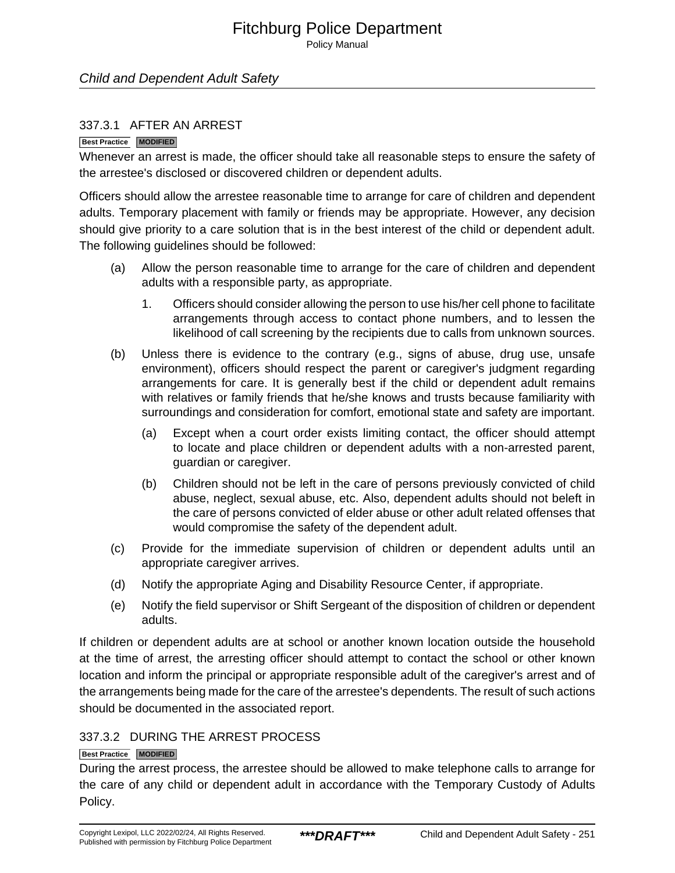Policy Manual

### Child and Dependent Adult Safety

### 337.3.1 AFTER AN ARREST

#### **Best Practice MODIFIED**

Whenever an arrest is made, the officer should take all reasonable steps to ensure the safety of the arrestee's disclosed or discovered children or dependent adults.

Officers should allow the arrestee reasonable time to arrange for care of children and dependent adults. Temporary placement with family or friends may be appropriate. However, any decision should give priority to a care solution that is in the best interest of the child or dependent adult. The following guidelines should be followed:

- (a) Allow the person reasonable time to arrange for the care of children and dependent adults with a responsible party, as appropriate.
	- 1. Officers should consider allowing the person to use his/her cell phone to facilitate arrangements through access to contact phone numbers, and to lessen the likelihood of call screening by the recipients due to calls from unknown sources.
- (b) Unless there is evidence to the contrary (e.g., signs of abuse, drug use, unsafe environment), officers should respect the parent or caregiver's judgment regarding arrangements for care. It is generally best if the child or dependent adult remains with relatives or family friends that he/she knows and trusts because familiarity with surroundings and consideration for comfort, emotional state and safety are important.
	- (a) Except when a court order exists limiting contact, the officer should attempt to locate and place children or dependent adults with a non-arrested parent, guardian or caregiver.
	- (b) Children should not be left in the care of persons previously convicted of child abuse, neglect, sexual abuse, etc. Also, dependent adults should not beleft in the care of persons convicted of elder abuse or other adult related offenses that would compromise the safety of the dependent adult.
- (c) Provide for the immediate supervision of children or dependent adults until an appropriate caregiver arrives.
- (d) Notify the appropriate Aging and Disability Resource Center, if appropriate.
- (e) Notify the field supervisor or Shift Sergeant of the disposition of children or dependent adults.

If children or dependent adults are at school or another known location outside the household at the time of arrest, the arresting officer should attempt to contact the school or other known location and inform the principal or appropriate responsible adult of the caregiver's arrest and of the arrangements being made for the care of the arrestee's dependents. The result of such actions should be documented in the associated report.

### 337.3.2 DURING THE ARREST PROCESS

### **Best Practice MODIFIED**

During the arrest process, the arrestee should be allowed to make telephone calls to arrange for the care of any child or dependent adult in accordance with the Temporary Custody of Adults Policy.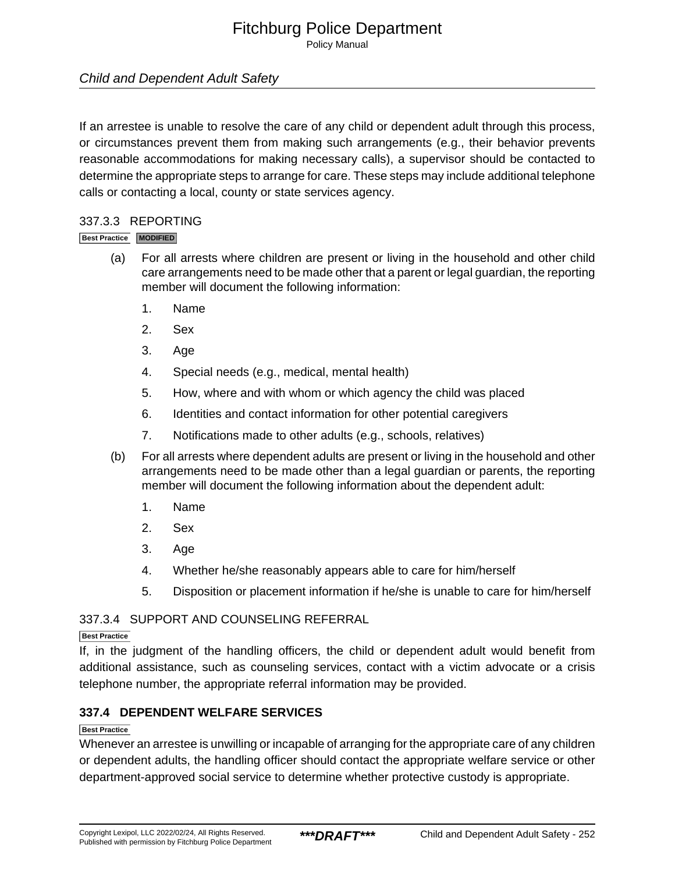Policy Manual

# Child and Dependent Adult Safety

If an arrestee is unable to resolve the care of any child or dependent adult through this process, or circumstances prevent them from making such arrangements (e.g., their behavior prevents reasonable accommodations for making necessary calls), a supervisor should be contacted to determine the appropriate steps to arrange for care. These steps may include additional telephone calls or contacting a local, county or state services agency.

### 337.3.3 REPORTING

### **Best Practice MODIFIED**

- (a) For all arrests where children are present or living in the household and other child care arrangements need to be made other that a parent or legal guardian, the reporting member will document the following information:
	- 1. Name
	- 2. Sex
	- 3. Age
	- 4. Special needs (e.g., medical, mental health)
	- 5. How, where and with whom or which agency the child was placed
	- 6. Identities and contact information for other potential caregivers
	- 7. Notifications made to other adults (e.g., schools, relatives)
- (b) For all arrests where dependent adults are present or living in the household and other arrangements need to be made other than a legal guardian or parents, the reporting member will document the following information about the dependent adult:
	- 1. Name
	- 2. Sex
	- 3. Age
	- 4. Whether he/she reasonably appears able to care for him/herself
	- 5. Disposition or placement information if he/she is unable to care for him/herself

### 337.3.4 SUPPORT AND COUNSELING REFERRAL

### **Best Practice**

If, in the judgment of the handling officers, the child or dependent adult would benefit from additional assistance, such as counseling services, contact with a victim advocate or a crisis telephone number, the appropriate referral information may be provided.

### **337.4 DEPENDENT WELFARE SERVICES**

### **Best Practice**

Whenever an arrestee is unwilling or incapable of arranging for the appropriate care of any children or dependent adults, the handling officer should contact the appropriate welfare service or other department-approved social service to determine whether protective custody is appropriate.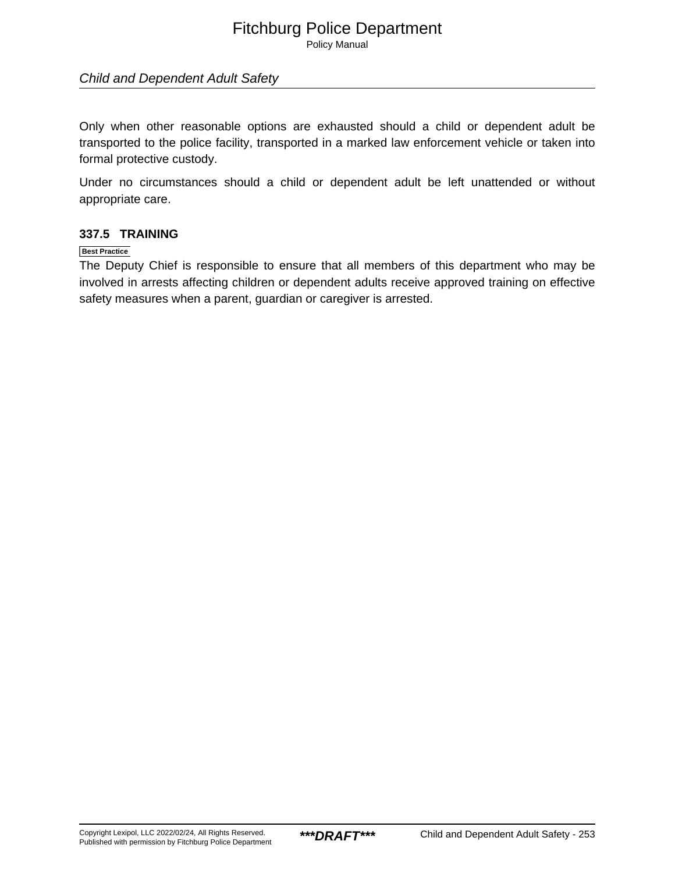Policy Manual

### Child and Dependent Adult Safety

Only when other reasonable options are exhausted should a child or dependent adult be transported to the police facility, transported in a marked law enforcement vehicle or taken into formal protective custody.

Under no circumstances should a child or dependent adult be left unattended or without appropriate care.

### **337.5 TRAINING**

### **Best Practice**

The Deputy Chief is responsible to ensure that all members of this department who may be involved in arrests affecting children or dependent adults receive approved training on effective safety measures when a parent, guardian or caregiver is arrested.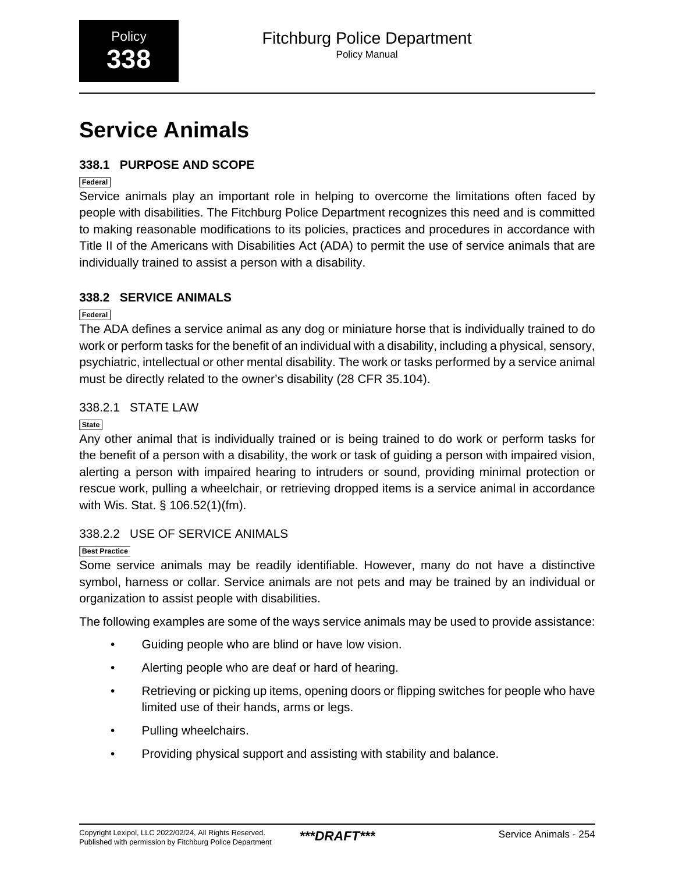# <span id="page-54-0"></span>**Service Animals**

# **338.1 PURPOSE AND SCOPE**

**Federal**

Service animals play an important role in helping to overcome the limitations often faced by people with disabilities. The Fitchburg Police Department recognizes this need and is committed to making reasonable modifications to its policies, practices and procedures in accordance with Title II of the Americans with Disabilities Act (ADA) to permit the use of service animals that are individually trained to assist a person with a disability.

# **338.2 SERVICE ANIMALS**

**Federal**

The ADA defines a service animal as any dog or miniature horse that is individually trained to do work or perform tasks for the benefit of an individual with a disability, including a physical, sensory, psychiatric, intellectual or other mental disability. The work or tasks performed by a service animal must be directly related to the owner's disability (28 CFR 35.104).

# 338.2.1 STATE LAW

**State**

Any other animal that is individually trained or is being trained to do work or perform tasks for the benefit of a person with a disability, the work or task of guiding a person with impaired vision, alerting a person with impaired hearing to intruders or sound, providing minimal protection or rescue work, pulling a wheelchair, or retrieving dropped items is a service animal in accordance with Wis. Stat. § 106.52(1)(fm).

# 338.2.2 USE OF SERVICE ANIMALS

**Best Practice**

Some service animals may be readily identifiable. However, many do not have a distinctive symbol, harness or collar. Service animals are not pets and may be trained by an individual or organization to assist people with disabilities.

The following examples are some of the ways service animals may be used to provide assistance:

- Guiding people who are blind or have low vision.
- Alerting people who are deaf or hard of hearing.
- Retrieving or picking up items, opening doors or flipping switches for people who have limited use of their hands, arms or legs.
- Pulling wheelchairs.
- Providing physical support and assisting with stability and balance.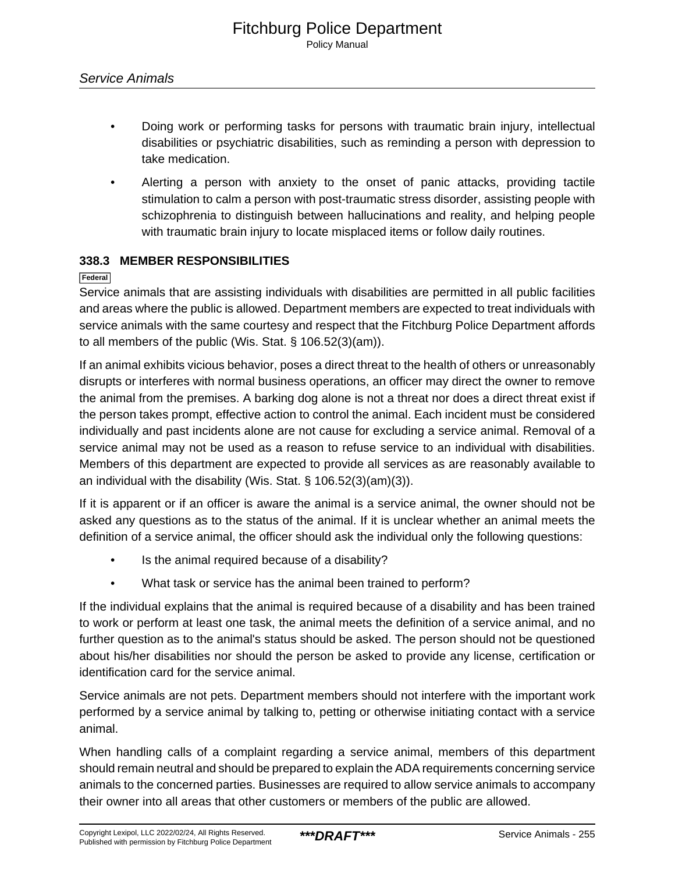- Doing work or performing tasks for persons with traumatic brain injury, intellectual disabilities or psychiatric disabilities, such as reminding a person with depression to take medication.
- Alerting a person with anxiety to the onset of panic attacks, providing tactile stimulation to calm a person with post-traumatic stress disorder, assisting people with schizophrenia to distinguish between hallucinations and reality, and helping people with traumatic brain injury to locate misplaced items or follow daily routines.

### **338.3 MEMBER RESPONSIBILITIES**

**Federal**

Service animals that are assisting individuals with disabilities are permitted in all public facilities and areas where the public is allowed. Department members are expected to treat individuals with service animals with the same courtesy and respect that the Fitchburg Police Department affords to all members of the public (Wis. Stat. § 106.52(3)(am)).

If an animal exhibits vicious behavior, poses a direct threat to the health of others or unreasonably disrupts or interferes with normal business operations, an officer may direct the owner to remove the animal from the premises. A barking dog alone is not a threat nor does a direct threat exist if the person takes prompt, effective action to control the animal. Each incident must be considered individually and past incidents alone are not cause for excluding a service animal. Removal of a service animal may not be used as a reason to refuse service to an individual with disabilities. Members of this department are expected to provide all services as are reasonably available to an individual with the disability (Wis. Stat. § 106.52(3)(am)(3)).

If it is apparent or if an officer is aware the animal is a service animal, the owner should not be asked any questions as to the status of the animal. If it is unclear whether an animal meets the definition of a service animal, the officer should ask the individual only the following questions:

- Is the animal required because of a disability?
- What task or service has the animal been trained to perform?

If the individual explains that the animal is required because of a disability and has been trained to work or perform at least one task, the animal meets the definition of a service animal, and no further question as to the animal's status should be asked. The person should not be questioned about his/her disabilities nor should the person be asked to provide any license, certification or identification card for the service animal.

Service animals are not pets. Department members should not interfere with the important work performed by a service animal by talking to, petting or otherwise initiating contact with a service animal.

When handling calls of a complaint regarding a service animal, members of this department should remain neutral and should be prepared to explain the ADA requirements concerning service animals to the concerned parties. Businesses are required to allow service animals to accompany their owner into all areas that other customers or members of the public are allowed.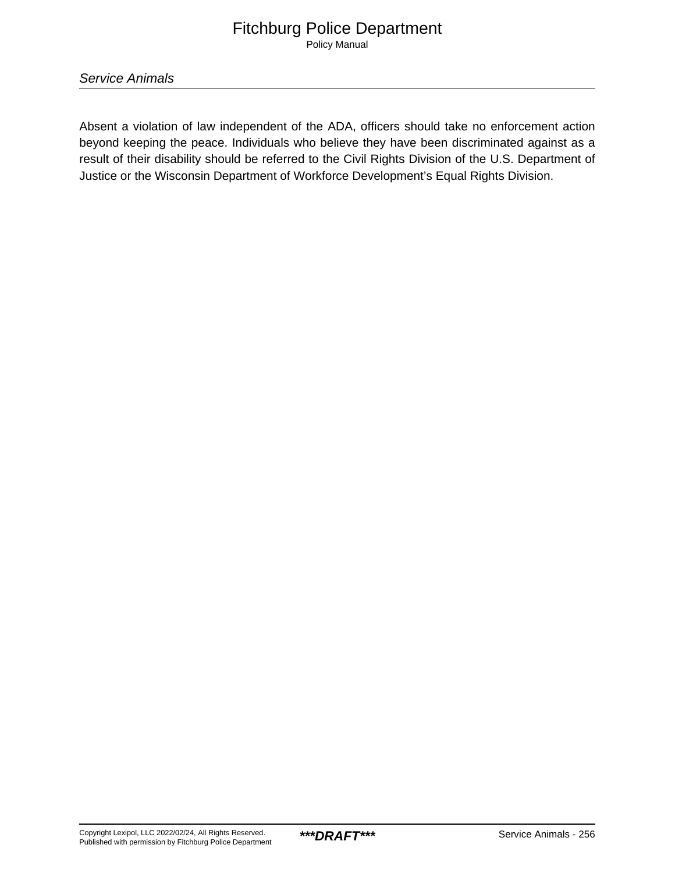# Fitchburg Police Department Policy Manual

Service Animals

Absent a violation of law independent of the ADA, officers should take no enforcement action beyond keeping the peace. Individuals who believe they have been discriminated against as a result of their disability should be referred to the Civil Rights Division of the U.S. Department of Justice or the Wisconsin Department of Workforce Development's Equal Rights Division.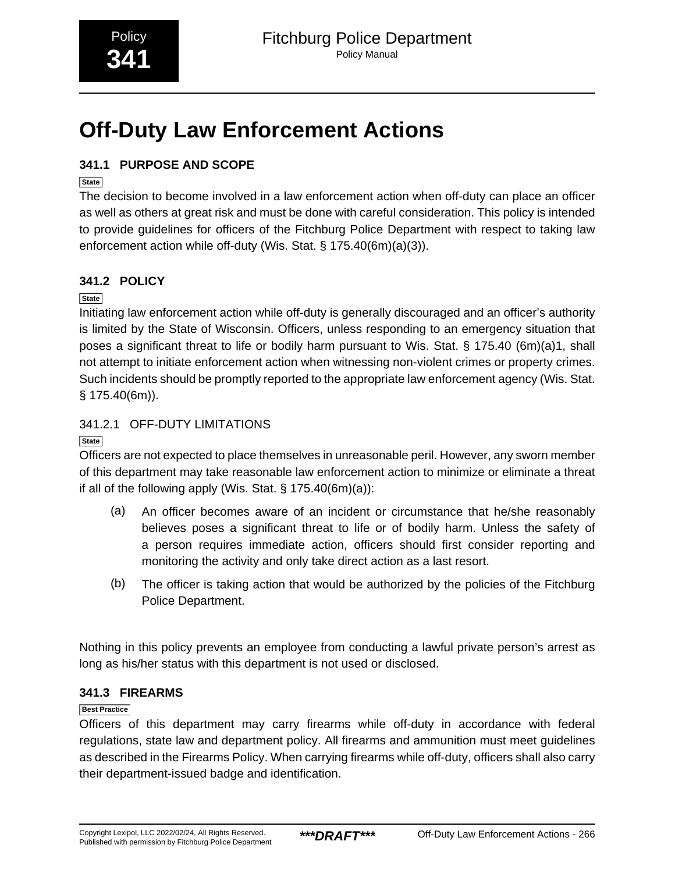# <span id="page-57-0"></span>**Off-Duty Law Enforcement Actions**

# **341.1 PURPOSE AND SCOPE**

# **State**

The decision to become involved in a law enforcement action when off-duty can place an officer as well as others at great risk and must be done with careful consideration. This policy is intended to provide guidelines for officers of the Fitchburg Police Department with respect to taking law enforcement action while off-duty (Wis. Stat. § 175.40(6m)(a)(3)).

# **341.2 POLICY**

**State**

Initiating law enforcement action while off-duty is generally discouraged and an officer's authority is limited by the State of Wisconsin. Officers, unless responding to an emergency situation that poses a significant threat to life or bodily harm pursuant to Wis. Stat. § 175.40 (6m)(a)1, shall not attempt to initiate enforcement action when witnessing non-violent crimes or property crimes. Such incidents should be promptly reported to the appropriate law enforcement agency (Wis. Stat. § 175.40(6m)).

# 341.2.1 OFF-DUTY LIMITATIONS

**State**

Officers are not expected to place themselves in unreasonable peril. However, any sworn member of this department may take reasonable law enforcement action to minimize or eliminate a threat if all of the following apply (Wis. Stat.  $\S$  175.40(6m)(a)):

- (a) An officer becomes aware of an incident or circumstance that he/she reasonably believes poses a significant threat to life or of bodily harm. Unless the safety of a person requires immediate action, officers should first consider reporting and monitoring the activity and only take direct action as a last resort.
- (b) The officer is taking action that would be authorized by the policies of the Fitchburg Police Department.

Nothing in this policy prevents an employee from conducting a lawful private person's arrest as long as his/her status with this department is not used or disclosed.

# **341.3 FIREARMS**

### **Best Practice**

Officers of this department may carry firearms while off-duty in accordance with federal regulations, state law and department policy. All firearms and ammunition must meet guidelines as described in the Firearms Policy. When carrying firearms while off-duty, officers shall also carry their department-issued badge and identification.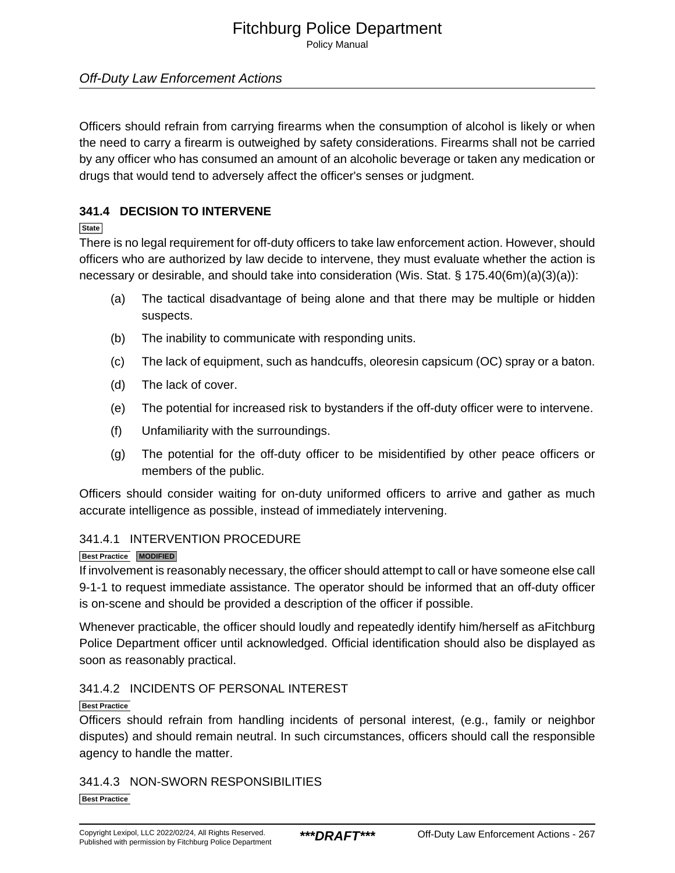Policy Manual

# Off-Duty Law Enforcement Actions

Officers should refrain from carrying firearms when the consumption of alcohol is likely or when the need to carry a firearm is outweighed by safety considerations. Firearms shall not be carried by any officer who has consumed an amount of an alcoholic beverage or taken any medication or drugs that would tend to adversely affect the officer's senses or judgment.

# **341.4 DECISION TO INTERVENE**

**State**

There is no legal requirement for off-duty officers to take law enforcement action. However, should officers who are authorized by law decide to intervene, they must evaluate whether the action is necessary or desirable, and should take into consideration (Wis. Stat. § 175.40(6m)(a)(3)(a)):

- (a) The tactical disadvantage of being alone and that there may be multiple or hidden suspects.
- (b) The inability to communicate with responding units.
- (c) The lack of equipment, such as handcuffs, oleoresin capsicum (OC) spray or a baton.
- (d) The lack of cover.
- (e) The potential for increased risk to bystanders if the off-duty officer were to intervene.
- (f) Unfamiliarity with the surroundings.
- (g) The potential for the off-duty officer to be misidentified by other peace officers or members of the public.

Officers should consider waiting for on-duty uniformed officers to arrive and gather as much accurate intelligence as possible, instead of immediately intervening.

### 341.4.1 INTERVENTION PROCEDURE

**Best Practice MODIFIED**

If involvement is reasonably necessary, the officer should attempt to call or have someone else call 9-1-1 to request immediate assistance. The operator should be informed that an off-duty officer is on-scene and should be provided a description of the officer if possible.

Whenever practicable, the officer should loudly and repeatedly identify him/herself as aFitchburg Police Department officer until acknowledged. Official identification should also be displayed as soon as reasonably practical.

### 341.4.2 INCIDENTS OF PERSONAL INTEREST

### **Best Practice**

Officers should refrain from handling incidents of personal interest, (e.g., family or neighbor disputes) and should remain neutral. In such circumstances, officers should call the responsible agency to handle the matter.

# 341.4.3 NON-SWORN RESPONSIBILITIES

**Best Practice**